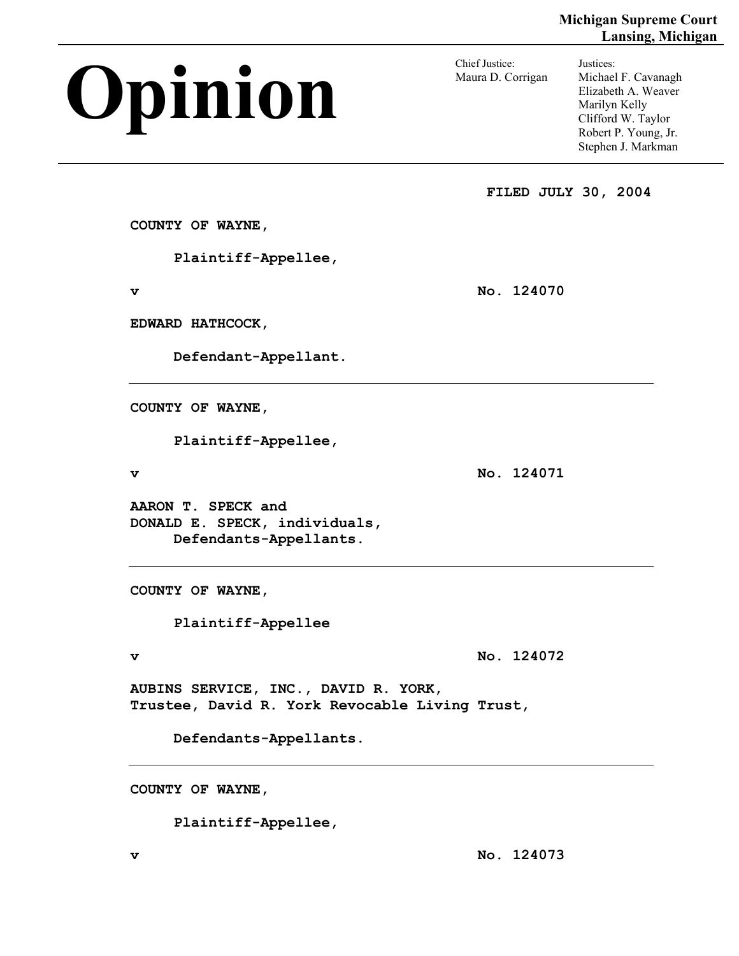# **Opinion Chief Justice:**

Maura D. Corrigan

Justices: Michael F. Cavanagh Elizabeth A. Weaver Marilyn Kelly Clifford W. Taylor Robert P. Young, Jr. Stephen J. Markman

**FILED JULY 30, 2004** 

**COUNTY OF WAYNE,** 

 **Plaintiff-Appellee,** 

**v** No. 124070

**EDWARD HATHCOCK,** 

 **Defendant-Appellant.** 

**COUNTY OF WAYNE,** 

 **Plaintiff-Appellee,** 

**v** No. 124071

**AARON T. SPECK and DONALD E. SPECK, individuals, Defendants-Appellants.** 

**COUNTY OF WAYNE,** 

 **Plaintiff-Appellee** 

**v** No. 124072

**AUBINS SERVICE, INC., DAVID R. YORK, Trustee, David R. York Revocable Living Trust,** 

 **Defendants-Appellants.** 

**COUNTY OF WAYNE,** 

 **Plaintiff-Appellee,** 

**v No. 124073**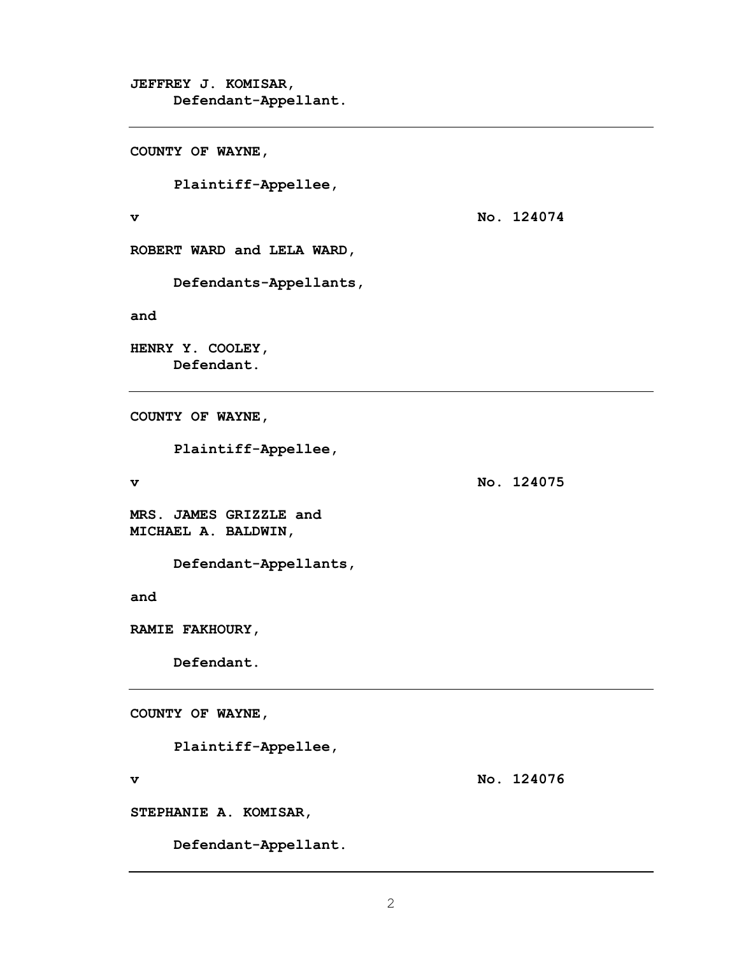**JEFFREY J. KOMISAR, Defendant-Appellant.** 

**COUNTY OF WAYNE,** 

 **Plaintiff-Appellee,** 

**v No. 124074** 

**ROBERT WARD and LELA WARD,** 

 **Defendants-Appellants,** 

**and** 

**HENRY Y. COOLEY, Defendant.** 

**COUNTY OF WAYNE,** 

 **Plaintiff-Appellee,** 

**v No. 124075** 

**MRS. JAMES GRIZZLE and MICHAEL A. BALDWIN,** 

 **Defendant-Appellants,** 

**and** 

**RAMIE FAKHOURY,** 

 **Defendant.** 

**COUNTY OF WAYNE,** 

 **Plaintiff-Appellee,** 

**v No. 124076** 

**STEPHANIE A. KOMISAR,** 

 **Defendant-Appellant.**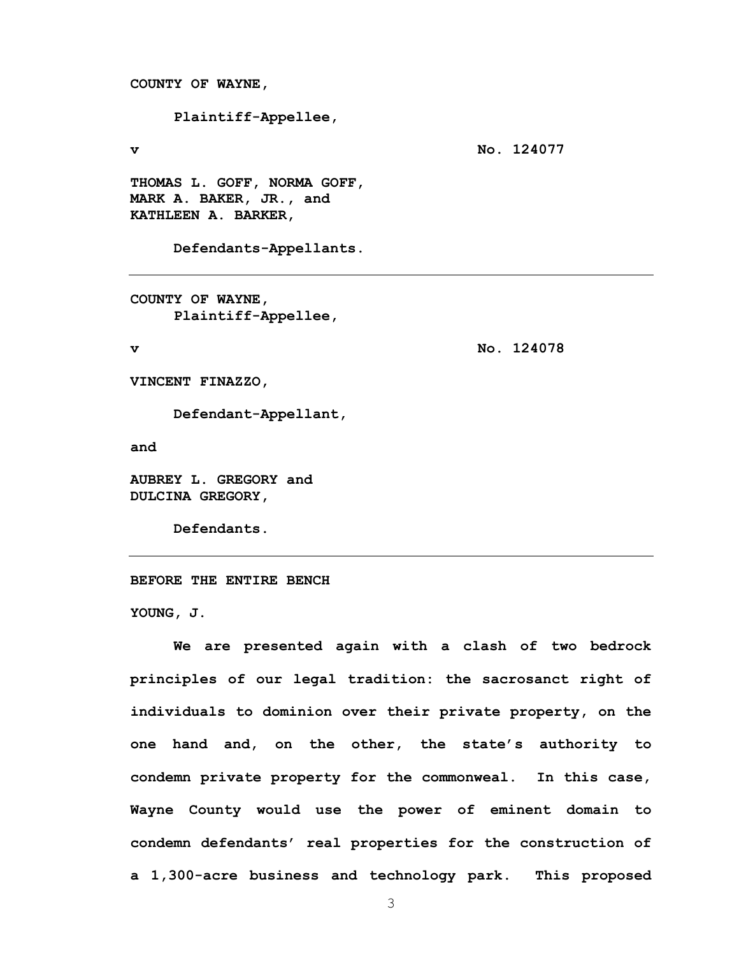**COUNTY OF WAYNE,** 

 **Plaintiff-Appellee,** 

**v** No. 124077

**THOMAS L. GOFF, NORMA GOFF, MARK A. BAKER, JR., and KATHLEEN A. BARKER,** 

 **Defendants-Appellants.** 

**COUNTY OF WAYNE, Plaintiff-Appellee,** 

**v No. 124078** 

**VINCENT FINAZZO,** 

 **Defendant-Appellant,** 

**and** 

**AUBREY L. GREGORY and DULCINA GREGORY,** 

 **Defendants.** 

**BEFORE THE ENTIRE BENCH** 

**YOUNG, J.** 

 **We are presented again with a clash of two bedrock principles of our legal tradition: the sacrosanct right of individuals to dominion over their private property, on the one hand and, on the other, the state's authority to condemn private property for the commonweal. In this case, Wayne County would use the power of eminent domain to condemn defendants' real properties for the construction of a 1,300-acre business and technology park. This proposed**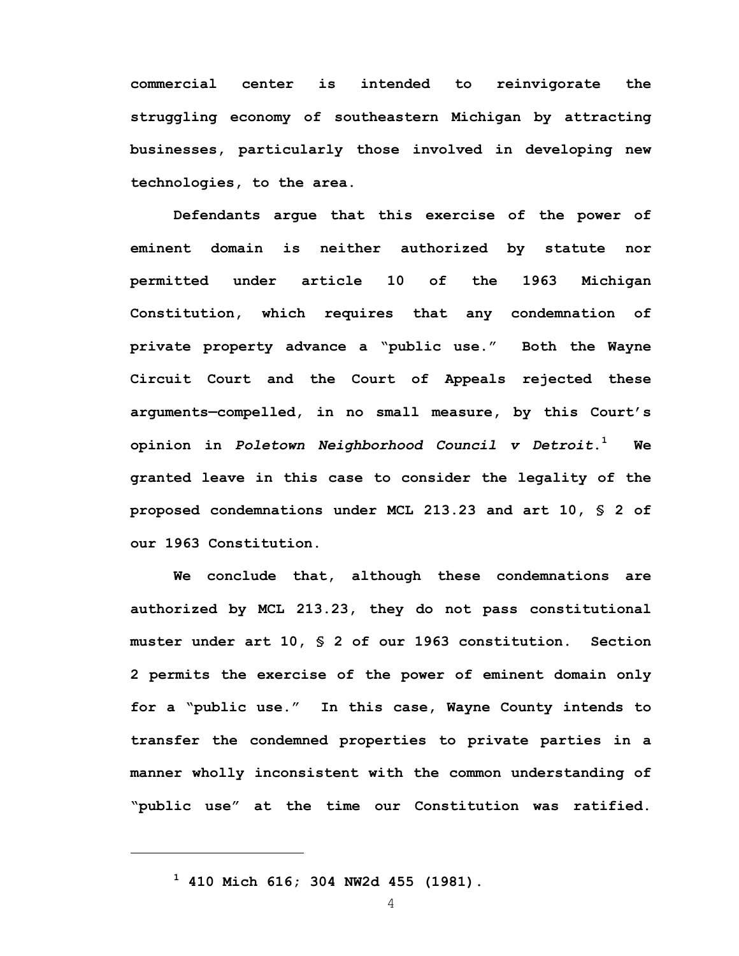**commercial center is intended to reinvigorate the struggling economy of southeastern Michigan by attracting businesses, particularly those involved in developing new technologies, to the area.** 

 **Defendants argue that this exercise of the power of eminent domain is neither authorized by statute nor permitted under article 10 of the 1963 Michigan Constitution, which requires that any condemnation of private property advance a "public use." Both the Wayne Circuit Court and the Court of Appeals rejected these arguments—compelled, in no small measure, by this Court's opinion in** *Poletown Neighborhood Council v Detroit***.1 We granted leave in this case to consider the legality of the proposed condemnations under MCL 213.23 and art 10, § 2 of our 1963 Constitution.** 

 **We conclude that, although these condemnations are authorized by MCL 213.23, they do not pass constitutional muster under art 10, § 2 of our 1963 constitution. Section 2 permits the exercise of the power of eminent domain only for a "public use." In this case, Wayne County intends to transfer the condemned properties to private parties in a manner wholly inconsistent with the common understanding of "public use" at the time our Constitution was ratified.** 

**1 410 Mich 616; 304 NW2d 455 (1981).** 

1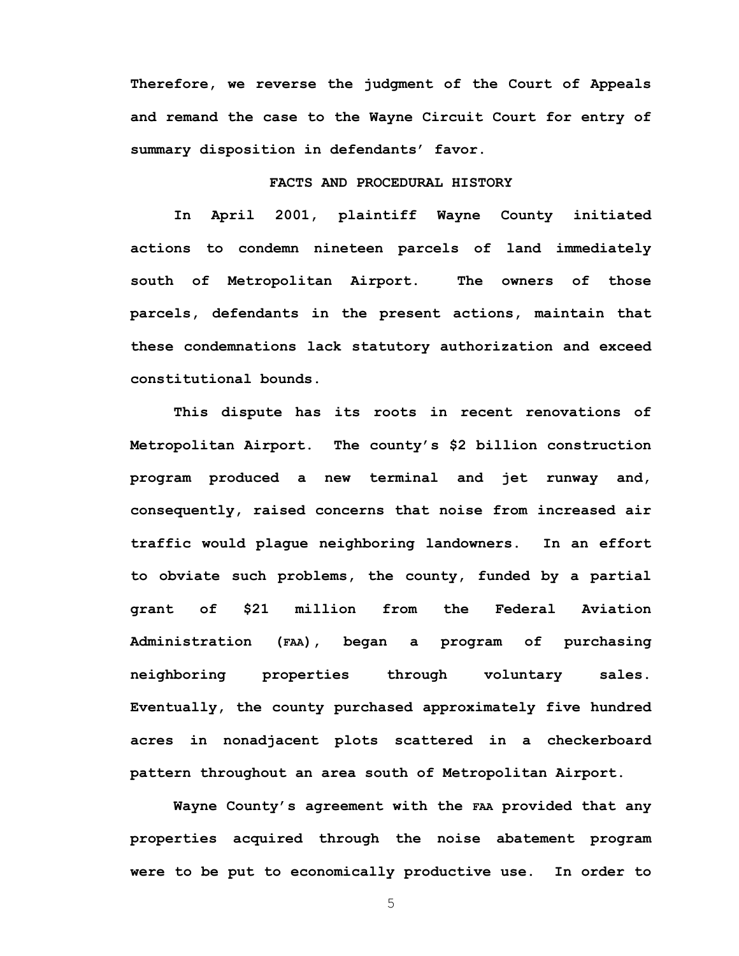**Therefore, we reverse the judgment of the Court of Appeals and remand the case to the Wayne Circuit Court for entry of summary disposition in defendants' favor.** 

## **FACTS AND PROCEDURAL HISTORY**

**In April 2001, plaintiff Wayne County initiated actions to condemn nineteen parcels of land immediately south of Metropolitan Airport. The owners of those parcels, defendants in the present actions, maintain that these condemnations lack statutory authorization and exceed constitutional bounds.** 

**This dispute has its roots in recent renovations of Metropolitan Airport. The county's \$2 billion construction program produced a new terminal and jet runway and, consequently, raised concerns that noise from increased air traffic would plague neighboring landowners. In an effort to obviate such problems, the county, funded by a partial grant of \$21 million from the Federal Aviation Administration (FAA), began a program of purchasing neighboring properties through voluntary sales. Eventually, the county purchased approximately five hundred acres in nonadjacent plots scattered in a checkerboard pattern throughout an area south of Metropolitan Airport.** 

**Wayne County's agreement with the FAA provided that any properties acquired through the noise abatement program were to be put to economically productive use. In order to**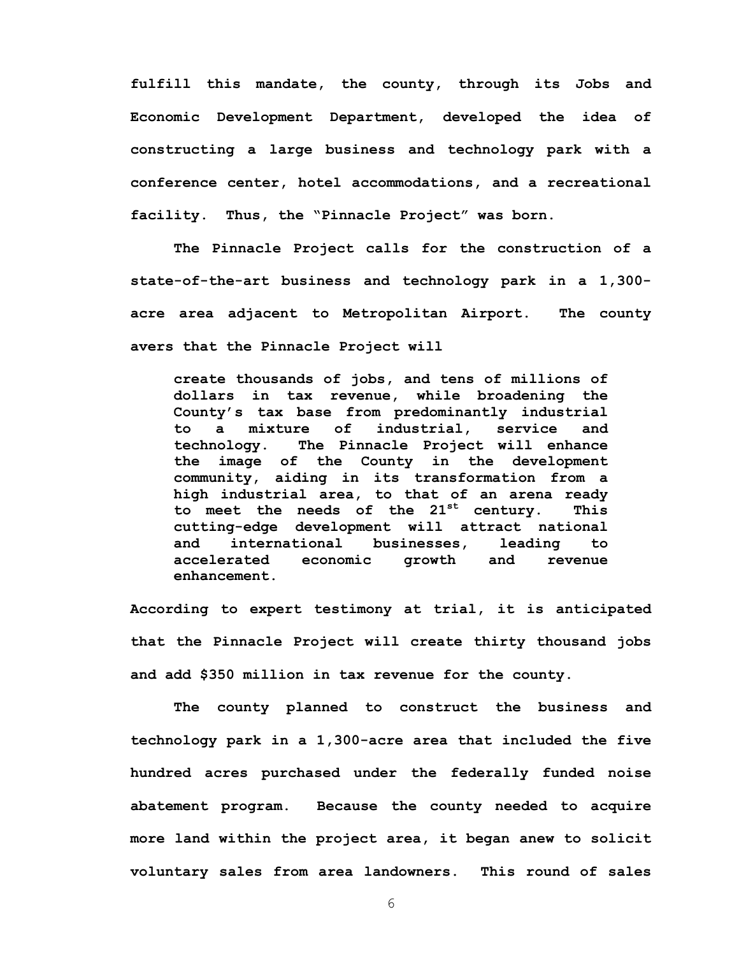**fulfill this mandate, the county, through its Jobs and Economic Development Department, developed the idea of constructing a large business and technology park with a conference center, hotel accommodations, and a recreational facility. Thus, the "Pinnacle Project" was born.** 

 **The Pinnacle Project calls for the construction of a state-of-the-art business and technology park in a 1,300 acre area adjacent to Metropolitan Airport. The county avers that the Pinnacle Project will** 

**create thousands of jobs, and tens of millions of dollars in tax revenue, while broadening the County's tax base from predominantly industrial to a mixture of industrial, service and technology. The Pinnacle Project will enhance the image of the County in the development community, aiding in its transformation from a high industrial area, to that of an arena ready to meet the needs of the 21st century. This cutting-edge development will attract national and international businesses, leading to accelerated economic growth and revenue enhancement.** 

**According to expert testimony at trial, it is anticipated that the Pinnacle Project will create thirty thousand jobs and add \$350 million in tax revenue for the county.** 

**The county planned to construct the business and technology park in a 1,300-acre area that included the five hundred acres purchased under the federally funded noise abatement program. Because the county needed to acquire more land within the project area, it began anew to solicit voluntary sales from area landowners. This round of sales**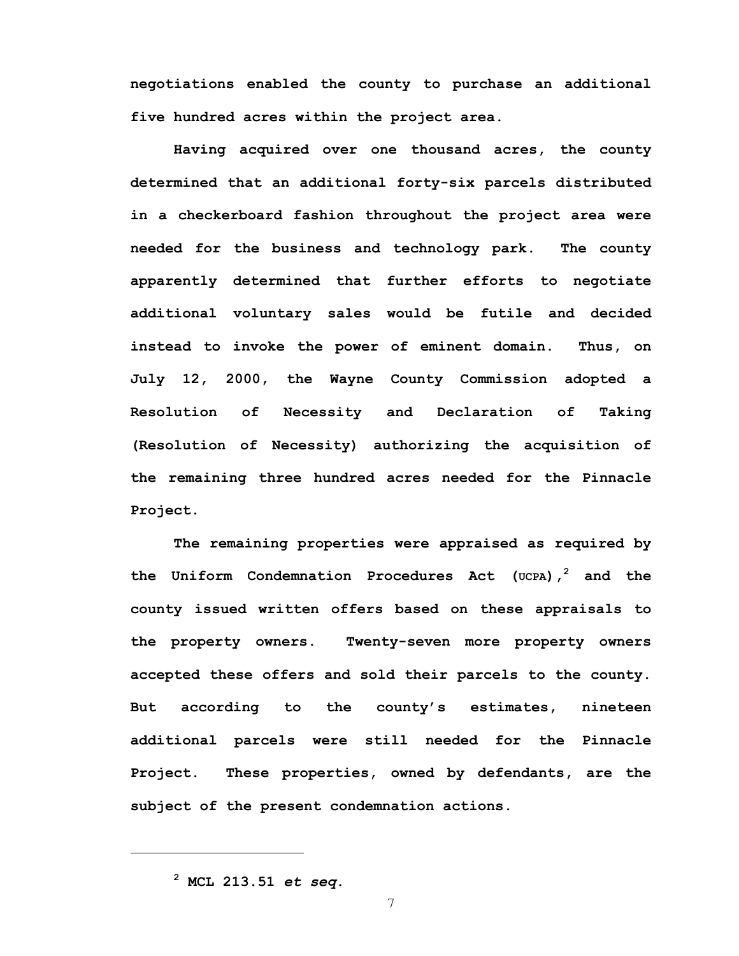**negotiations enabled the county to purchase an additional five hundred acres within the project area.** 

**Having acquired over one thousand acres, the county determined that an additional forty-six parcels distributed in a checkerboard fashion throughout the project area were needed for the business and technology park. The county apparently determined that further efforts to negotiate additional voluntary sales would be futile and decided instead to invoke the power of eminent domain. Thus, on July 12, 2000, the Wayne County Commission adopted a Resolution of Necessity and Declaration of Taking (Resolution of Necessity) authorizing the acquisition of the remaining three hundred acres needed for the Pinnacle Project.** 

**The remaining properties were appraised as required by the Uniform Condemnation Procedures Act (UCPA),<sup>2</sup> and the county issued written offers based on these appraisals to the property owners. Twenty-seven more property owners accepted these offers and sold their parcels to the county. But according to the county's estimates, nineteen additional parcels were still needed for the Pinnacle Project. These properties, owned by defendants, are the subject of the present condemnation actions.** 

**<sup>2</sup> MCL 213.51** *et seq***.**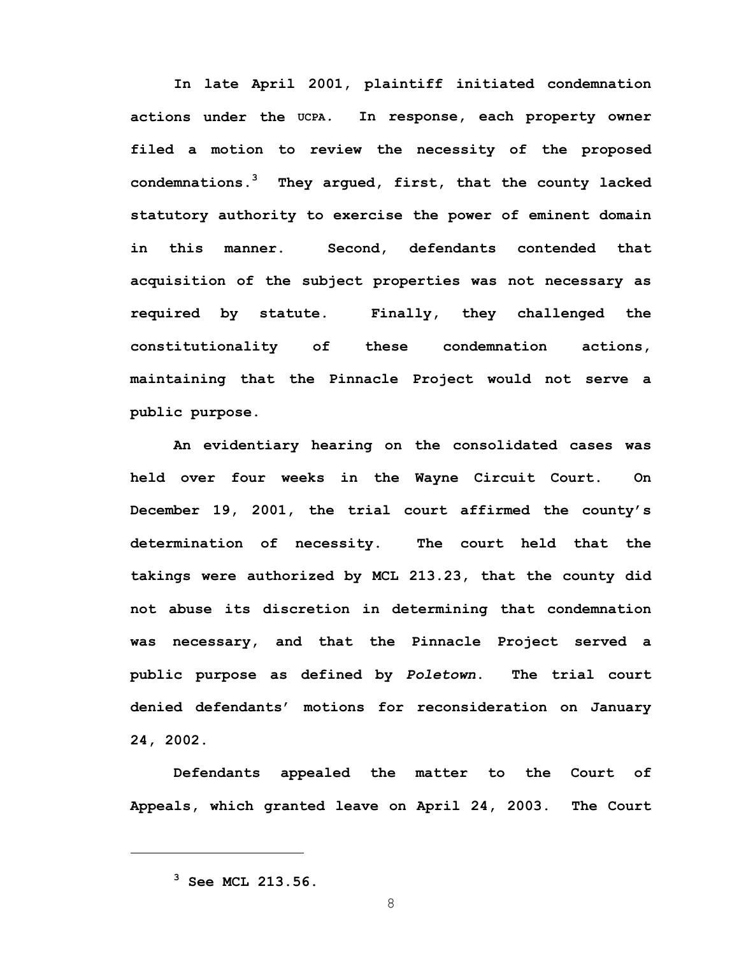**In late April 2001, plaintiff initiated condemnation actions under the UCPA***.* **In response, each property owner filed a motion to review the necessity of the proposed condemnations.<sup>3</sup> They argued, first, that the county lacked statutory authority to exercise the power of eminent domain in this manner. Second, defendants contended that acquisition of the subject properties was not necessary as required by statute. Finally, they challenged the constitutionality of these condemnation actions, maintaining that the Pinnacle Project would not serve a public purpose.** 

**An evidentiary hearing on the consolidated cases was held over four weeks in the Wayne Circuit Court. On December 19, 2001, the trial court affirmed the county's determination of necessity. The court held that the takings were authorized by MCL 213.23, that the county did not abuse its discretion in determining that condemnation was necessary, and that the Pinnacle Project served a public purpose as defined by** *Poletown***. The trial court denied defendants' motions for reconsideration on January 24, 2002.** 

**Defendants appealed the matter to the Court of Appeals, which granted leave on April 24, 2003. The Court** 

**<sup>3</sup> See MCL 213.56.**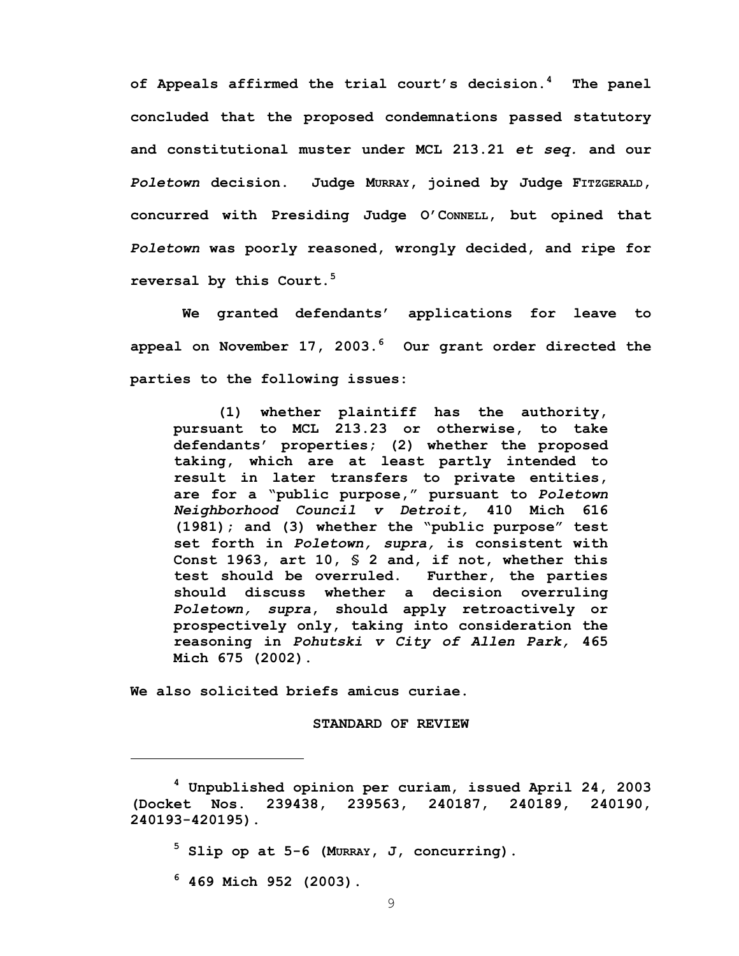**of Appeals affirmed the trial court's decision.<sup>4</sup> The panel concluded that the proposed condemnations passed statutory and constitutional muster under MCL 213.21** *et seq.* **and our**  *Poletown* **decision. Judge MURRAY, joined by Judge FITZGERALD, concurred with Presiding Judge O'CONNELL, but opined that**  *Poletown* **was poorly reasoned, wrongly decided, and ripe for reversal by this Court.<sup>5</sup>** 

 **We granted defendants' applications for leave to appeal on November 17, 2003.<sup>6</sup> Our grant order directed the parties to the following issues:** 

**(1) whether plaintiff has the authority, pursuant to MCL 213.23 or otherwise, to take defendants' properties; (2) whether the proposed taking, which are at least partly intended to result in later transfers to private entities, are for a "public purpose," pursuant to** *Poletown Neighborhood Council v Detroit,* **410 Mich 616 (1981); and (3) whether the "public purpose" test set forth in** *Poletown, supra,* **is consistent with Const 1963, art 10, § 2 and, if not, whether this test should be overruled. Further, the parties should discuss whether a decision overruling**  *Poletown, supra***, should apply retroactively or prospectively only, taking into consideration the reasoning in** *Pohutski v City of Allen Park,* **465 Mich 675 (2002).** 

**We also solicited briefs amicus curiae.** 

**STANDARD OF REVIEW** 

**5 Slip op at 5-6 (MURRAY, J, concurring).** 

**6 469 Mich 952 (2003).** 

**<sup>4</sup> Unpublished opinion per curiam, issued April 24, 2003 (Docket Nos. 239438, 239563, 240187, 240189, 240190, 240193-420195).**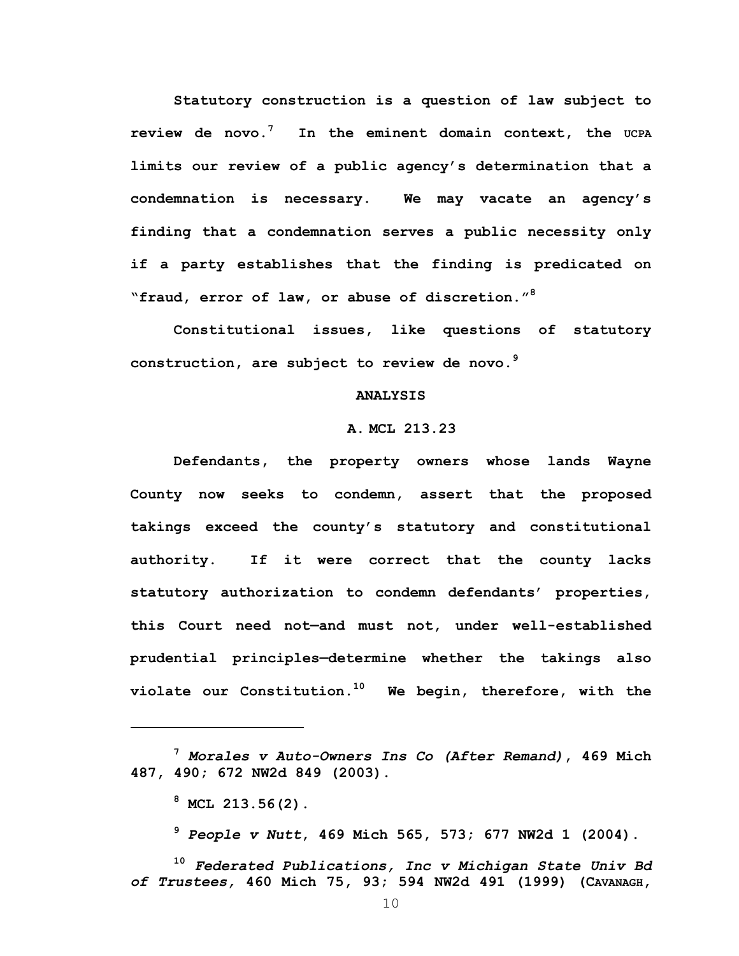**Statutory construction is a question of law subject to review de novo.<sup>7</sup> In the eminent domain context, the UCPA limits our review of a public agency's determination that a condemnation is necessary. We may vacate an agency's finding that a condemnation serves a public necessity only if a party establishes that the finding is predicated on "fraud, error of law, or abuse of discretion."<sup>8</sup>** 

 **Constitutional issues, like questions of statutory construction, are subject to review de novo.<sup>9</sup>** 

### **ANALYSIS**

### **A. MCL 213.23**

**Defendants, the property owners whose lands Wayne County now seeks to condemn, assert that the proposed takings exceed the county's statutory and constitutional authority. If it were correct that the county lacks statutory authorization to condemn defendants' properties, this Court need not—and must not, under well-established prudential principles—determine whether the takings also violate our Constitution.10 We begin, therefore, with the** 

1

**<sup>9</sup>** *People v Nutt***, 469 Mich 565, 573; 677 NW2d 1 (2004).** 

**<sup>10</sup>** *Federated Publications, Inc v Michigan State Univ Bd of Trustees,* **460 Mich 75, 93; 594 NW2d 491 (1999) (CAVANAGH,** 

**<sup>7</sup>** *Morales v Auto-Owners Ins Co (After Remand)***, 469 Mich 487, 490; 672 NW2d 849 (2003).** 

**<sup>8</sup> MCL 213.56(2).**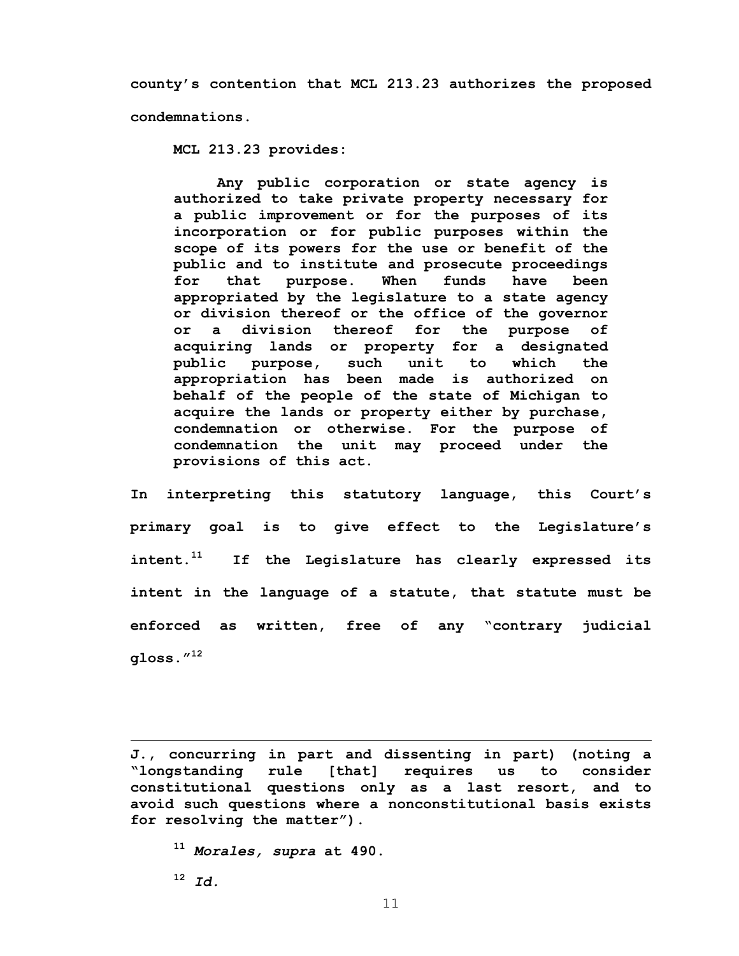**county's contention that MCL 213.23 authorizes the proposed condemnations.** 

**MCL 213.23 provides:** 

**Any public corporation or state agency is authorized to take private property necessary for a public improvement or for the purposes of its incorporation or for public purposes within the scope of its powers for the use or benefit of the public and to institute and prosecute proceedings for that purpose. When funds have been appropriated by the legislature to a state agency or division thereof or the office of the governor or a division thereof for the purpose of acquiring lands or property for a designated public purpose, such unit to which the appropriation has been made is authorized on behalf of the people of the state of Michigan to acquire the lands or property either by purchase, condemnation or otherwise. For the purpose of condemnation the unit may proceed under the provisions of this act.** 

**In interpreting this statutory language, this Court's primary goal is to give effect to the Legislature's intent.11 If the Legislature has clearly expressed its intent in the language of a statute, that statute must be enforced as written, free of any "contrary judicial gloss."12** 

**J., concurring in part and dissenting in part) (noting a "longstanding rule [that] requires us to consider constitutional questions only as a last resort, and to avoid such questions where a nonconstitutional basis exists for resolving the matter").** 

**<sup>11</sup>** *Morales, supra* **at 490.** 

**<sup>12</sup>** *Id.*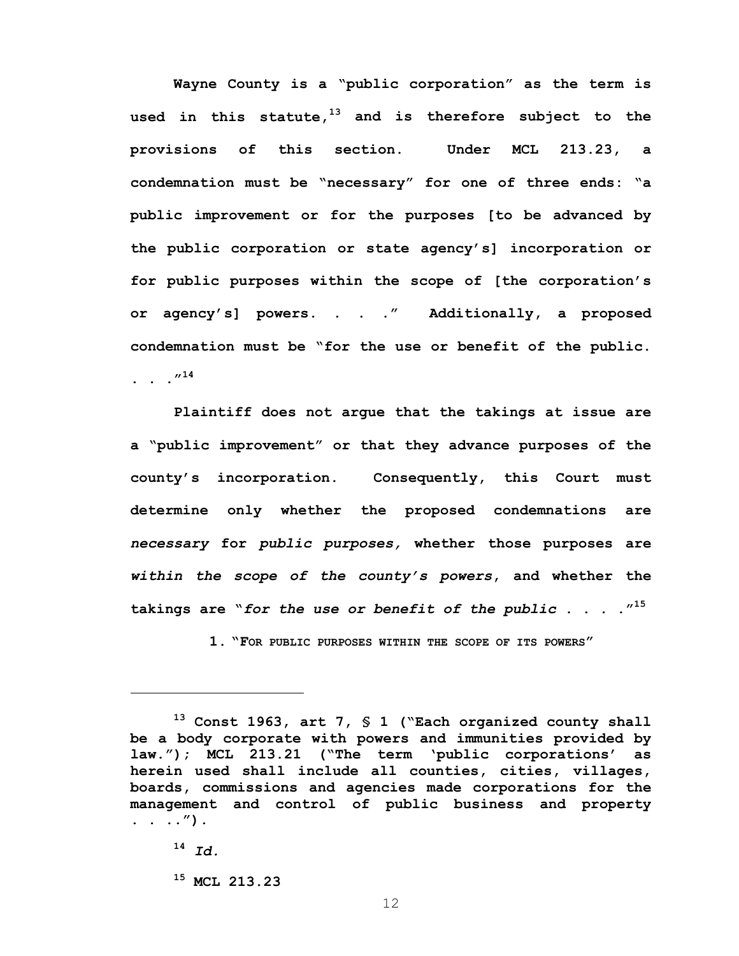**Wayne County is a "public corporation" as the term is used in this statute,13 and is therefore subject to the provisions of this section. Under MCL 213.23, a condemnation must be "necessary" for one of three ends: "a public improvement or for the purposes [to be advanced by the public corporation or state agency's] incorporation or for public purposes within the scope of [the corporation's or agency's] powers. . . ." Additionally, a proposed condemnation must be "for the use or benefit of the public. .** . .  $^{\prime\prime}$ <sup>14</sup>

 **Plaintiff does not argue that the takings at issue are a "public improvement" or that they advance purposes of the county's incorporation. Consequently, this Court must determine only whether the proposed condemnations are**  *necessary* **for** *public purposes,* **whether those purposes are**  *within the scope of the county's powers***, and whether the takings are "***for the use or benefit of the public* **. . . ."15** 

**1. "FOR PUBLIC PURPOSES WITHIN THE SCOPE OF ITS POWERS"** 

 $\overline{a}$ 

**15 MCL 213.23** 

**<sup>13</sup> Const 1963, art 7, § 1 ("Each organized county shall be a body corporate with powers and immunities provided by law."); MCL 213.21 ("The term 'public corporations' as herein used shall include all counties, cities, villages, boards, commissions and agencies made corporations for the management and control of public business and property . . ..").** 

**<sup>14</sup>** *Id.*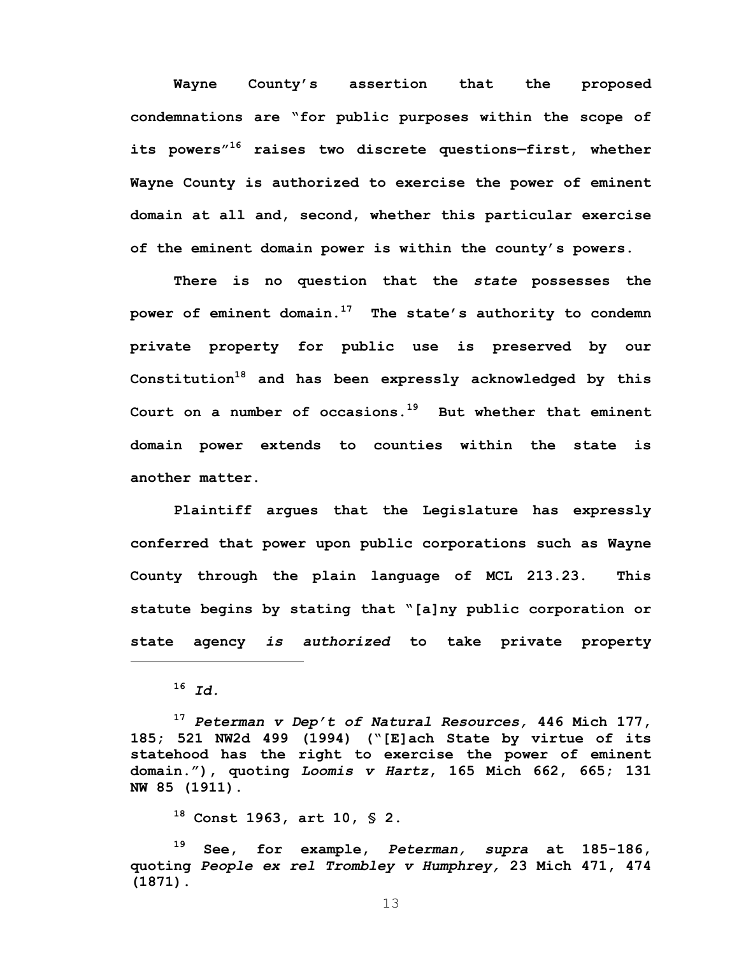**Wayne County's assertion that the proposed condemnations are "for public purposes within the scope of its powers"16 raises two discrete questions—first, whether Wayne County is authorized to exercise the power of eminent domain at all and, second, whether this particular exercise of the eminent domain power is within the county's powers.** 

**There is no question that the** *state* **possesses the power of eminent domain.17 The state's authority to condemn private property for public use is preserved by our Constitution18 and has been expressly acknowledged by this Court on a number of occasions.19 But whether that eminent domain power extends to counties within the state is another matter.** 

**Plaintiff argues that the Legislature has expressly conferred that power upon public corporations such as Wayne County through the plain language of MCL 213.23. This statute begins by stating that "[a]ny public corporation or state agency** *is authorized* **to take private property** 

 $\overline{a}$ 

**<sup>17</sup>** *Peterman v Dep't of Natural Resources,* **446 Mich 177, 185; 521 NW2d 499 (1994) ("[E]ach State by virtue of its statehood has the right to exercise the power of eminent domain."), quoting** *Loomis v Hartz***, 165 Mich 662, 665; 131 NW 85 (1911).** 

**18 Const 1963, art 10, § 2.** 

**19 See, for example,** *Peterman, supra* **at 185-186, quoting** *People ex rel Trombley v Humphrey,* **23 Mich 471, 474 (1871).** 

**<sup>16</sup>** *Id.*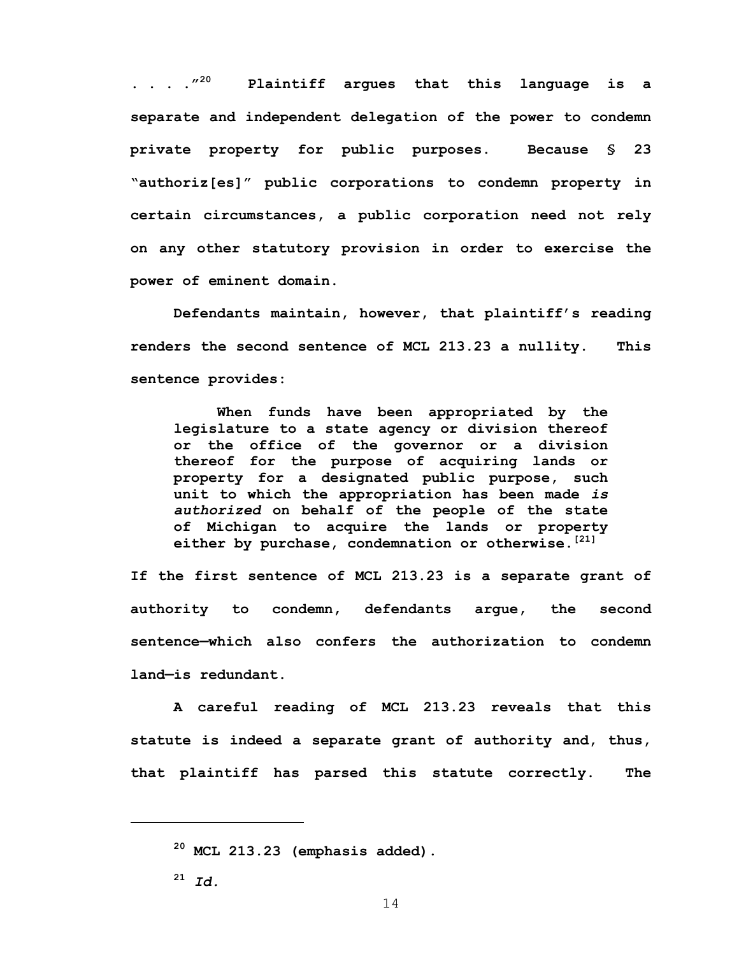**. . . ."20 Plaintiff argues that this language is a separate and independent delegation of the power to condemn private property for public purposes. Because § 23 "authoriz[es]" public corporations to condemn property in certain circumstances, a public corporation need not rely on any other statutory provision in order to exercise the power of eminent domain.** 

**Defendants maintain, however, that plaintiff's reading renders the second sentence of MCL 213.23 a nullity. This sentence provides:** 

**When funds have been appropriated by the legislature to a state agency or division thereof or the office of the governor or a division thereof for the purpose of acquiring lands or property for a designated public purpose, such unit to which the appropriation has been made** *is authorized* **on behalf of the people of the state of Michigan to acquire the lands or property either by purchase, condemnation or otherwise.[21]**

**If the first sentence of MCL 213.23 is a separate grant of authority to condemn, defendants argue, the second sentence—which also confers the authorization to condemn land—is redundant.** 

 **A careful reading of MCL 213.23 reveals that this statute is indeed a separate grant of authority and, thus, that plaintiff has parsed this statute correctly. The** 

**<sup>21</sup>** *Id.*

**<sup>20</sup> MCL 213.23 (emphasis added).**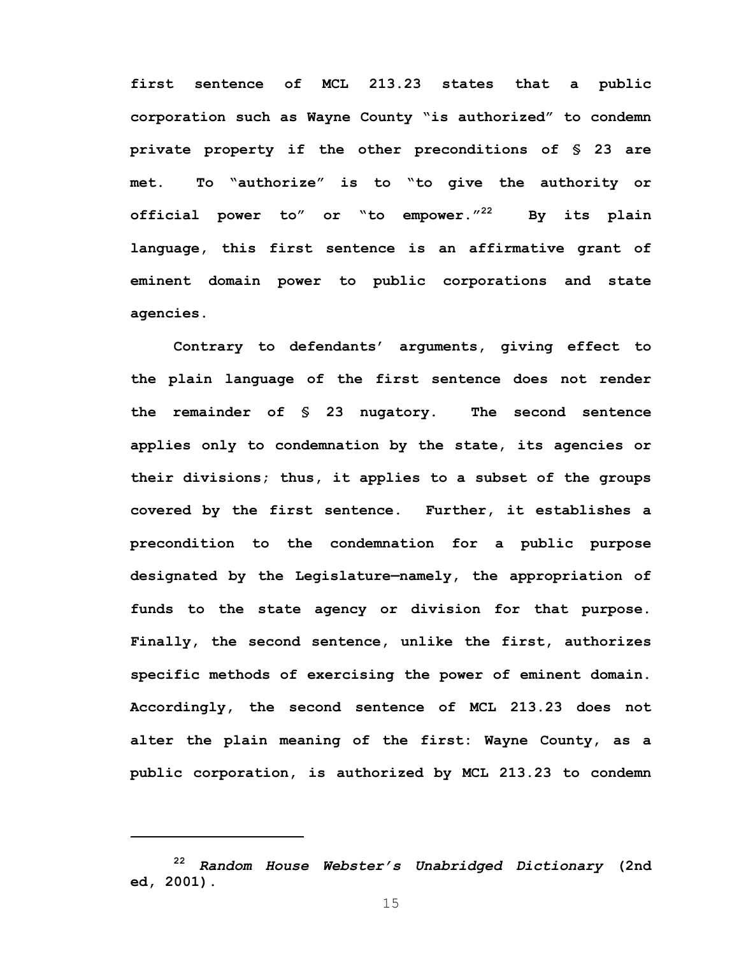**first sentence of MCL 213.23 states that a public corporation such as Wayne County "is authorized" to condemn private property if the other preconditions of § 23 are met. To "authorize" is to "to give the authority or official power to" or "to empower."22 By its plain language, this first sentence is an affirmative grant of eminent domain power to public corporations and state agencies.** 

**Contrary to defendants' arguments, giving effect to the plain language of the first sentence does not render the remainder of § 23 nugatory. The second sentence applies only to condemnation by the state, its agencies or their divisions; thus, it applies to a subset of the groups covered by the first sentence. Further, it establishes a precondition to the condemnation for a public purpose designated by the Legislature—namely, the appropriation of funds to the state agency or division for that purpose. Finally, the second sentence, unlike the first, authorizes specific methods of exercising the power of eminent domain. Accordingly, the second sentence of MCL 213.23 does not alter the plain meaning of the first: Wayne County, as a public corporation, is authorized by MCL 213.23 to condemn** 

**<sup>22</sup>** *Random House Webster's Unabridged Dictionary* **(2nd ed, 2001).**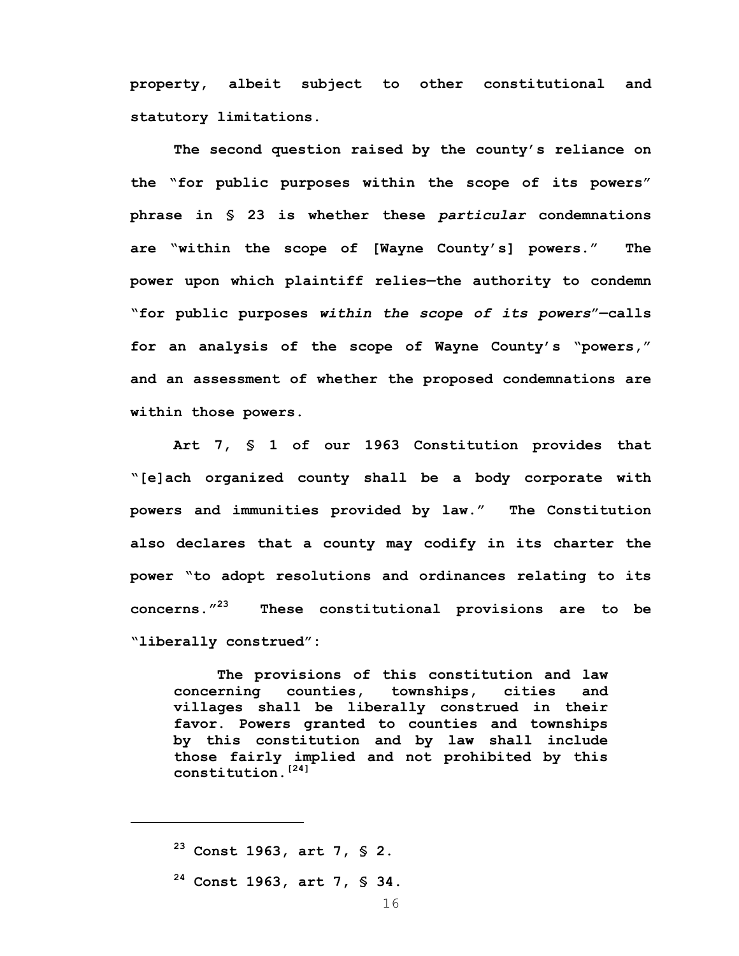**property, albeit subject to other constitutional and statutory limitations.** 

**The second question raised by the county's reliance on the "for public purposes within the scope of its powers" phrase in § 23 is whether these** *particular* **condemnations are "within the scope of [Wayne County's] powers." The power upon which plaintiff relies—the authority to condemn "for public purposes** *within the scope of its powers***"—calls for an analysis of the scope of Wayne County's "powers," and an assessment of whether the proposed condemnations are within those powers.** 

 **Art 7, § 1 of our 1963 Constitution provides that "[e]ach organized county shall be a body corporate with powers and immunities provided by law." The Constitution also declares that a county may codify in its charter the power "to adopt resolutions and ordinances relating to its concerns."23 These constitutional provisions are to be "liberally construed":** 

**The provisions of this constitution and law concerning counties, townships, cities and villages shall be liberally construed in their favor. Powers granted to counties and townships by this constitution and by law shall include those fairly implied and not prohibited by this constitution.[24]**

**<sup>23</sup> Const 1963, art 7, § 2.** 

**<sup>24</sup> Const 1963, art 7, § 34.**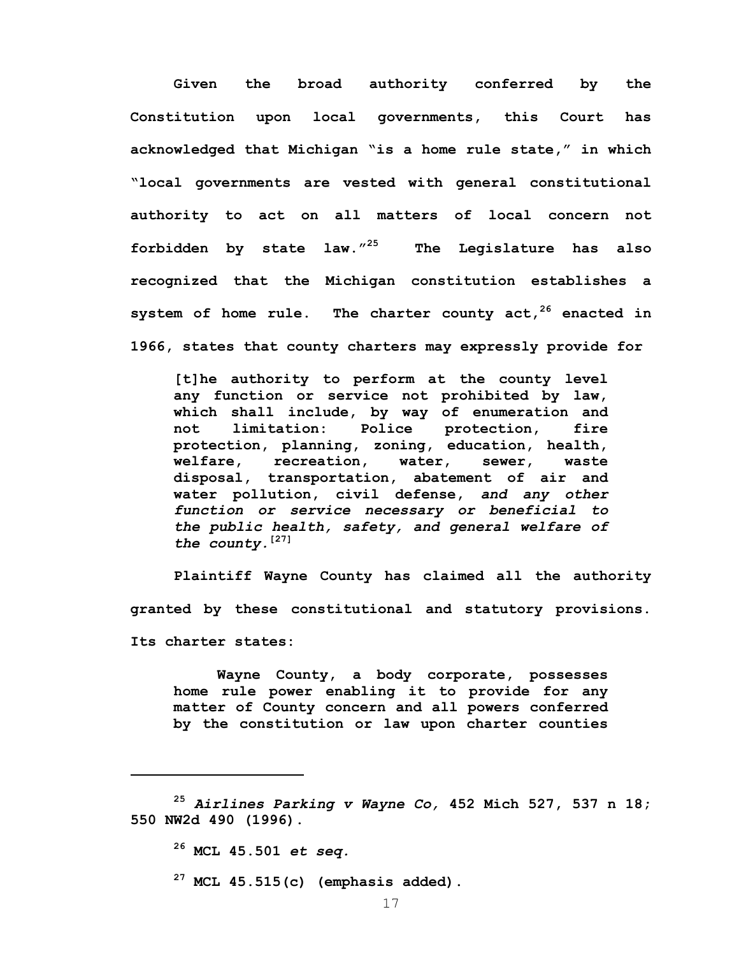**Given the broad authority conferred by the Constitution upon local governments, this Court has acknowledged that Michigan "is a home rule state," in which "local governments are vested with general constitutional authority to act on all matters of local concern not forbidden by state law."25 The Legislature has also recognized that the Michigan constitution establishes a system of home rule. The charter county act,26 enacted in 1966, states that county charters may expressly provide for** 

**[t]he authority to perform at the county level any function or service not prohibited by law, which shall include, by way of enumeration and not limitation: Police protection, fire protection, planning, zoning, education, health, welfare, recreation, water, sewer, waste disposal, transportation, abatement of air and water pollution, civil defense,** *and any other function or service necessary or beneficial to the public health, safety, and general welfare of the county.***[27]** 

**Plaintiff Wayne County has claimed all the authority granted by these constitutional and statutory provisions. Its charter states:** 

**Wayne County, a body corporate, possesses home rule power enabling it to provide for any matter of County concern and all powers conferred by the constitution or law upon charter counties** 

 $\overline{a}$ 

**27 MCL 45.515(c) (emphasis added).** 

**<sup>25</sup>** *Airlines Parking v Wayne Co,* **452 Mich 527, 537 n 18; 550 NW2d 490 (1996).** 

**<sup>26</sup> MCL 45.501** *et seq.*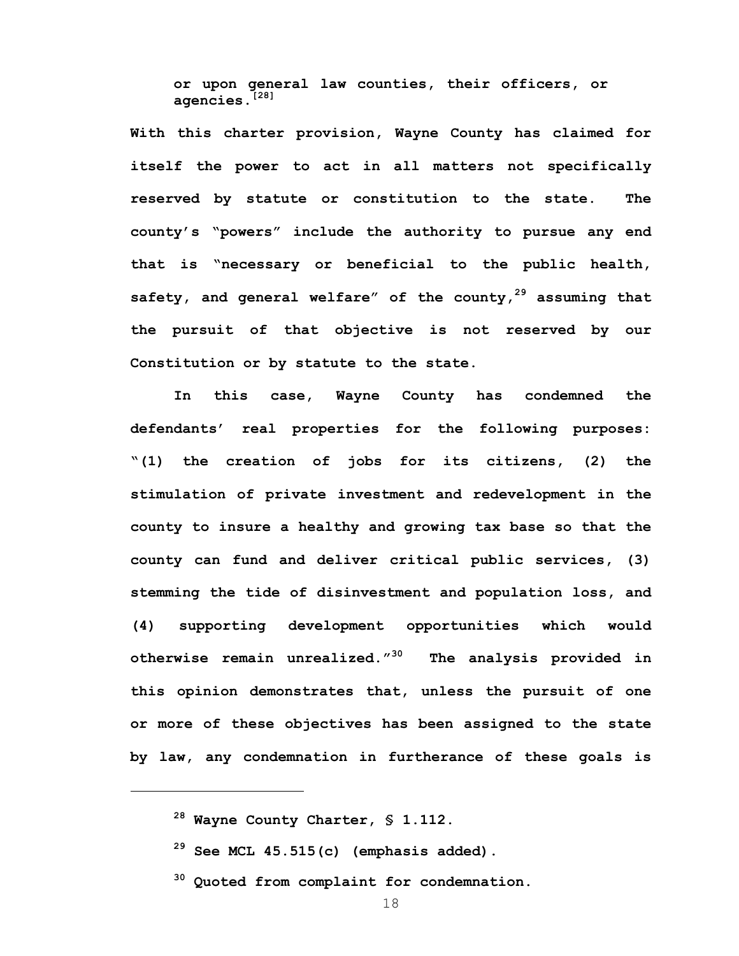**or upon general law counties, their officers, or agencies.[28]**

**With this charter provision, Wayne County has claimed for itself the power to act in all matters not specifically reserved by statute or constitution to the state. The county's "powers" include the authority to pursue any end that is "necessary or beneficial to the public health, safety, and general welfare" of the county,29 assuming that the pursuit of that objective is not reserved by our Constitution or by statute to the state.** 

 **In this case, Wayne County has condemned the defendants' real properties for the following purposes: "(1) the creation of jobs for its citizens, (2) the stimulation of private investment and redevelopment in the county to insure a healthy and growing tax base so that the county can fund and deliver critical public services, (3) stemming the tide of disinvestment and population loss, and (4) supporting development opportunities which would otherwise remain unrealized."30 The analysis provided in this opinion demonstrates that, unless the pursuit of one or more of these objectives has been assigned to the state by law, any condemnation in furtherance of these goals is** 

- **29 See MCL 45.515(c) (emphasis added).**
- **30 Quoted from complaint for condemnation.**

**<sup>28</sup> Wayne County Charter, § 1.112.**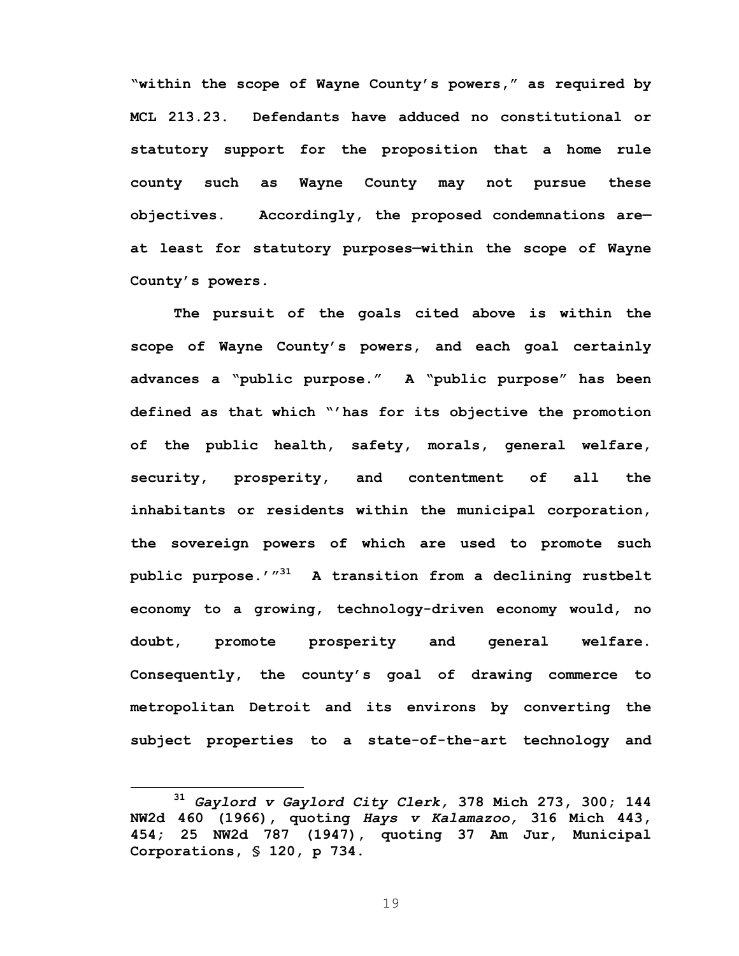**"within the scope of Wayne County's powers," as required by MCL 213.23. Defendants have adduced no constitutional or statutory support for the proposition that a home rule county such as Wayne County may not pursue these objectives. Accordingly, the proposed condemnations are at least for statutory purposes—within the scope of Wayne County's powers.** 

**The pursuit of the goals cited above is within the scope of Wayne County's powers, and each goal certainly advances a "public purpose." A "public purpose" has been defined as that which "'has for its objective the promotion of the public health, safety, morals, general welfare, security, prosperity, and contentment of all the inhabitants or residents within the municipal corporation, the sovereign powers of which are used to promote such public purpose.'"31 A transition from a declining rustbelt economy to a growing, technology-driven economy would, no doubt, promote prosperity and general welfare. Consequently, the county's goal of drawing commerce to metropolitan Detroit and its environs by converting the subject properties to a state-of-the-art technology and** 

**<sup>31</sup>** *Gaylord v Gaylord City Clerk,* **378 Mich 273, 300; 144 NW2d 460 (1966), quoting** *Hays v Kalamazoo,* **316 Mich 443, 454; 25 NW2d 787 (1947), quoting 37 Am Jur, Municipal Corporations, § 120, p 734.**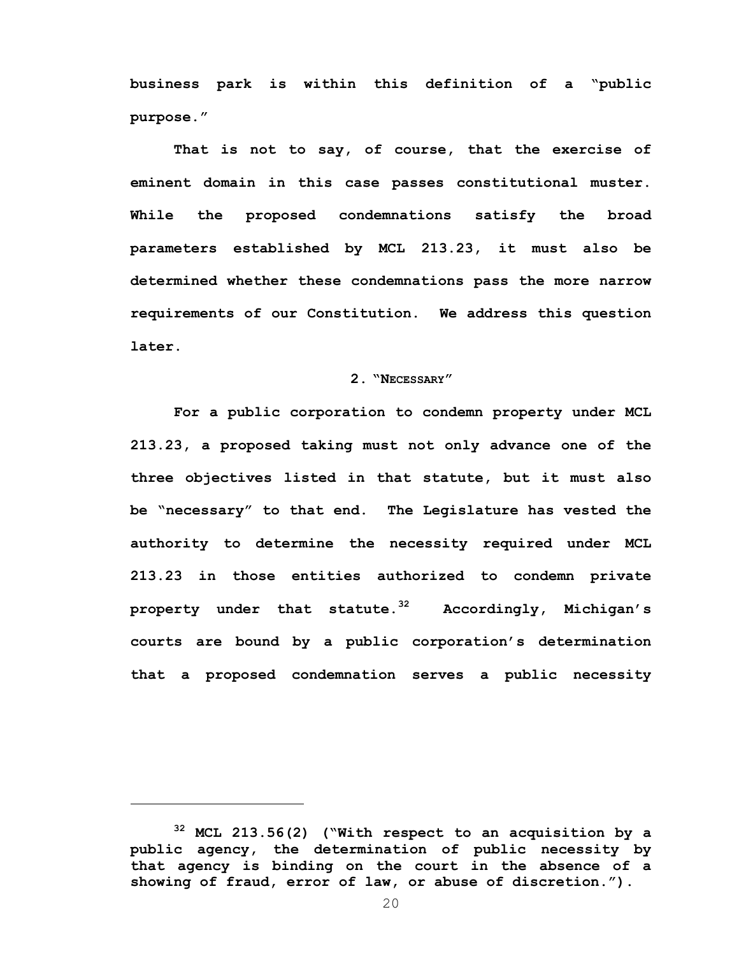**business park is within this definition of a "public purpose."** 

**That is not to say, of course, that the exercise of eminent domain in this case passes constitutional muster. While the proposed condemnations satisfy the broad parameters established by MCL 213.23, it must also be determined whether these condemnations pass the more narrow requirements of our Constitution. We address this question later.** 

### **2. "NECESSARY"**

**For a public corporation to condemn property under MCL 213.23, a proposed taking must not only advance one of the three objectives listed in that statute, but it must also be "necessary" to that end. The Legislature has vested the authority to determine the necessity required under MCL 213.23 in those entities authorized to condemn private property under that statute.32 Accordingly, Michigan's courts are bound by a public corporation's determination that a proposed condemnation serves a public necessity** 

**<sup>32</sup> MCL 213.56(2) ("With respect to an acquisition by a public agency, the determination of public necessity by that agency is binding on the court in the absence of a showing of fraud, error of law, or abuse of discretion.").**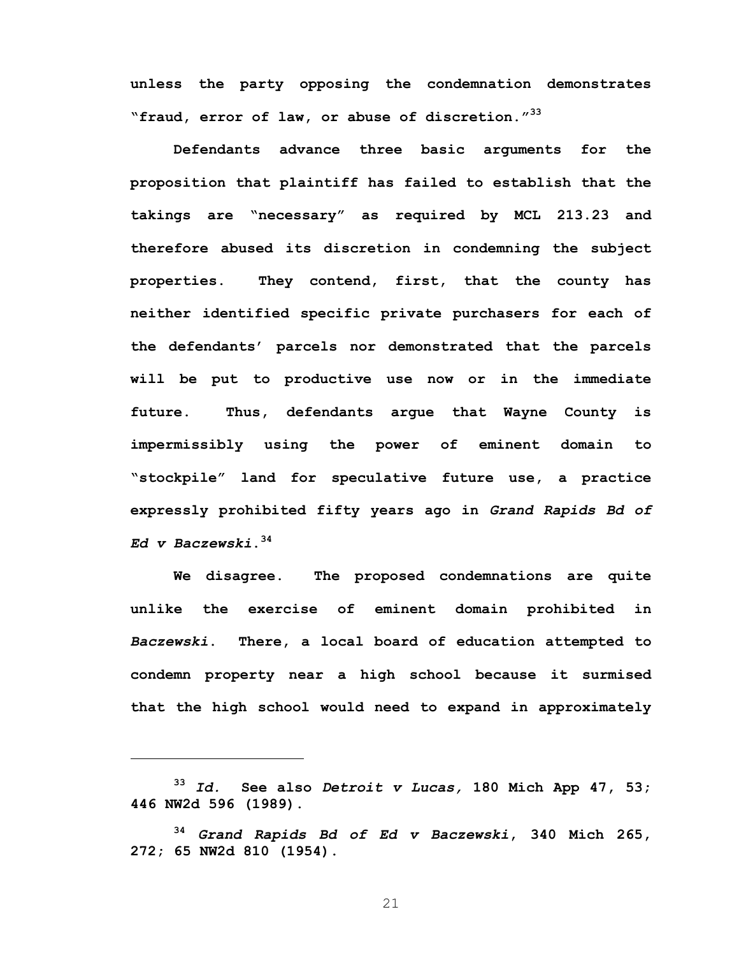**unless the party opposing the condemnation demonstrates "fraud, error of law, or abuse of discretion."33** 

**Defendants advance three basic arguments for the proposition that plaintiff has failed to establish that the takings are "necessary" as required by MCL 213.23 and therefore abused its discretion in condemning the subject properties. They contend, first, that the county has neither identified specific private purchasers for each of the defendants' parcels nor demonstrated that the parcels will be put to productive use now or in the immediate future. Thus, defendants argue that Wayne County is impermissibly using the power of eminent domain to "stockpile" land for speculative future use, a practice expressly prohibited fifty years ago in** *Grand Rapids Bd of Ed v Baczewski***.34** 

**We disagree. The proposed condemnations are quite unlike the exercise of eminent domain prohibited in**  *Baczewski***. There, a local board of education attempted to condemn property near a high school because it surmised that the high school would need to expand in approximately** 

 $\overline{a}$ 

**<sup>33</sup>** *Id.* **See also** *Detroit v Lucas,* **180 Mich App 47, 53; 446 NW2d 596 (1989).** 

**<sup>34</sup>** *Grand Rapids Bd of Ed v Baczewski***, 340 Mich 265, 272; 65 NW2d 810 (1954).**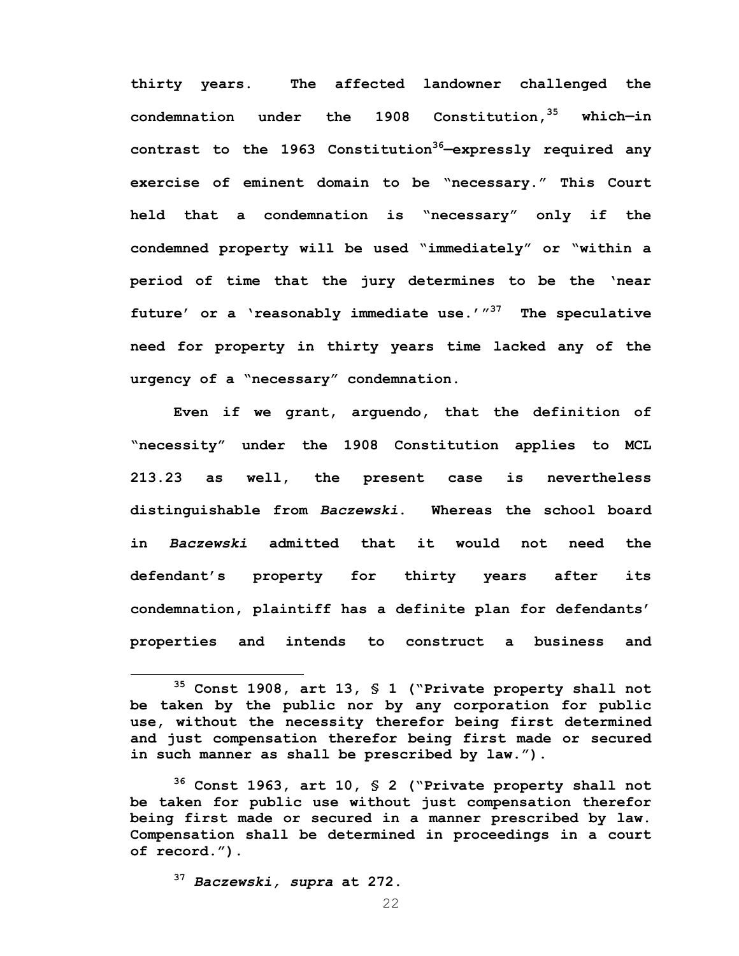**thirty years. The affected landowner challenged the condemnation under the 1908 Constitution,35 which—in contrast to the 1963 Constitution36—expressly required any exercise of eminent domain to be "necessary." This Court held that a condemnation is "necessary" only if the condemned property will be used "immediately" or "within a period of time that the jury determines to be the 'near future' or a 'reasonably immediate use.'"37 The speculative need for property in thirty years time lacked any of the urgency of a "necessary" condemnation.** 

**Even if we grant, arguendo, that the definition of "necessity" under the 1908 Constitution applies to MCL 213.23 as well, the present case is nevertheless distinguishable from** *Baczewski***. Whereas the school board in** *Baczewski* **admitted that it would not need the defendant's property for thirty years after its condemnation, plaintiff has a definite plan for defendants' properties and intends to construct a business and** 

**<sup>37</sup>** *Baczewski, supra* **at 272.** 

**35 Const 1908, art 13, § 1 ("Private property shall not be taken by the public nor by any corporation for public use, without the necessity therefor being first determined and just compensation therefor being first made or secured in such manner as shall be prescribed by law.").** 

**<sup>36</sup> Const 1963, art 10, § 2 ("Private property shall not be taken for public use without just compensation therefor being first made or secured in a manner prescribed by law. Compensation shall be determined in proceedings in a court of record.").**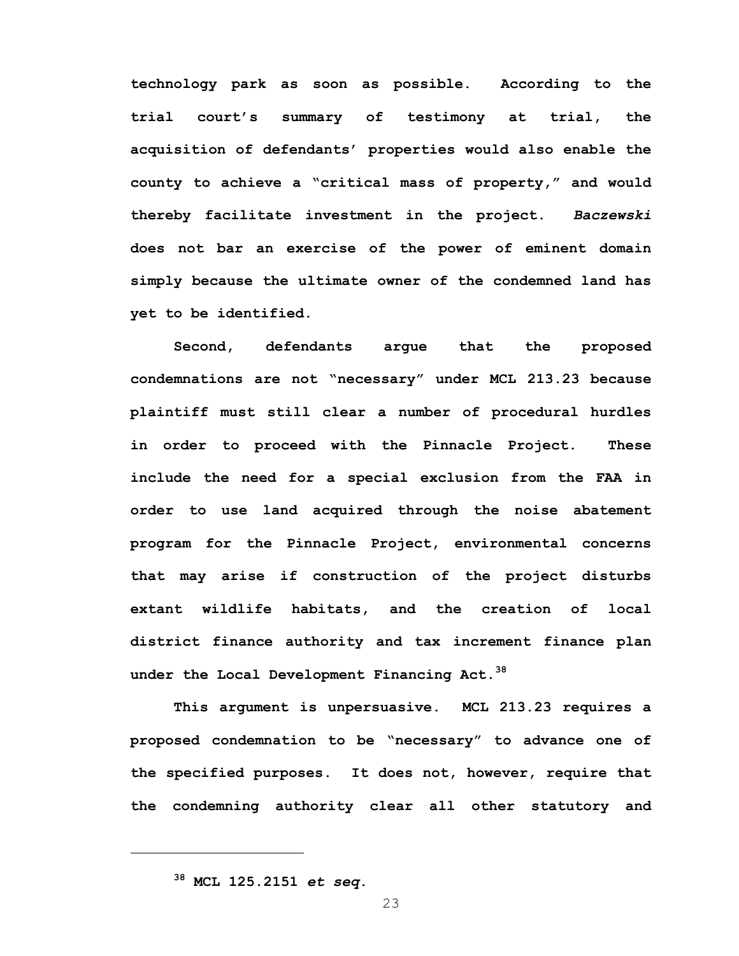**technology park as soon as possible. According to the trial court's summary of testimony at trial, the acquisition of defendants' properties would also enable the county to achieve a "critical mass of property," and would thereby facilitate investment in the project.** *Baczewski* **does not bar an exercise of the power of eminent domain simply because the ultimate owner of the condemned land has yet to be identified.** 

**Second, defendants argue that the proposed condemnations are not "necessary" under MCL 213.23 because plaintiff must still clear a number of procedural hurdles in order to proceed with the Pinnacle Project. These include the need for a special exclusion from the FAA in order to use land acquired through the noise abatement program for the Pinnacle Project, environmental concerns that may arise if construction of the project disturbs extant wildlife habitats, and the creation of local district finance authority and tax increment finance plan under the Local Development Financing Act.<sup>38</sup>**

 **This argument is unpersuasive. MCL 213.23 requires a proposed condemnation to be "necessary" to advance one of the specified purposes. It does not, however, require that the condemning authority clear all other statutory and** 

**38 MCL 125.2151** *et seq.*

 $\overline{a}$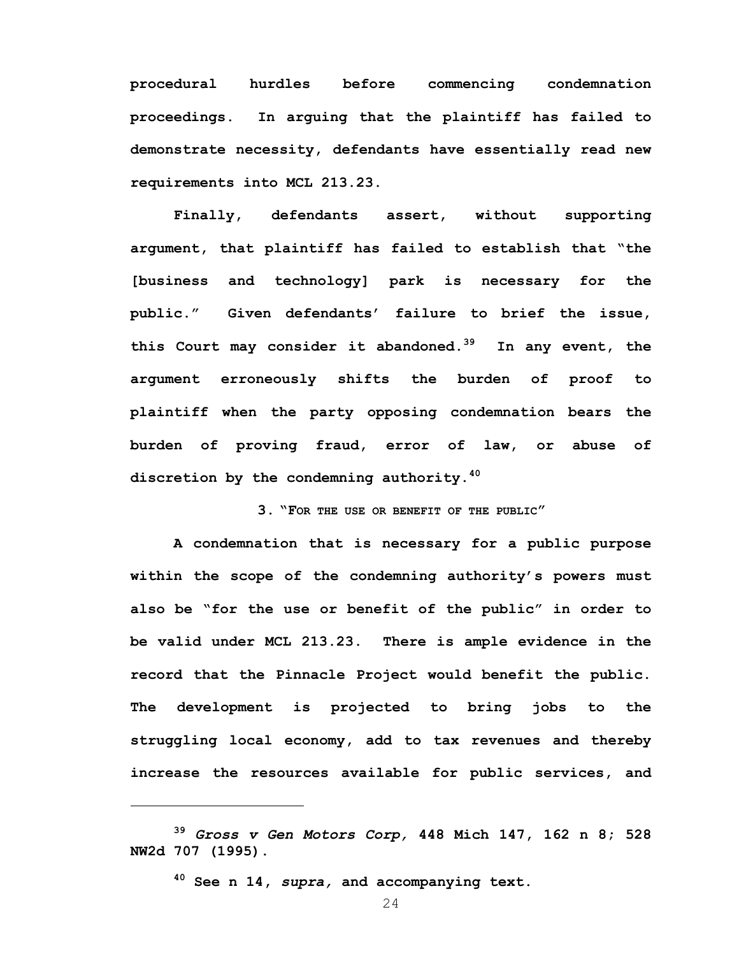**procedural hurdles before commencing condemnation proceedings. In arguing that the plaintiff has failed to demonstrate necessity, defendants have essentially read new requirements into MCL 213.23.** 

 **Finally, defendants assert, without supporting argument, that plaintiff has failed to establish that "the [business and technology] park is necessary for the public." Given defendants' failure to brief the issue, this Court may consider it abandoned.39 In any event, the argument erroneously shifts the burden of proof to plaintiff when the party opposing condemnation bears the burden of proving fraud, error of law, or abuse of discretion by the condemning authority.40** 

**3. "FOR THE USE OR BENEFIT OF THE PUBLIC"** 

**A condemnation that is necessary for a public purpose within the scope of the condemning authority's powers must also be "for the use or benefit of the public" in order to be valid under MCL 213.23. There is ample evidence in the record that the Pinnacle Project would benefit the public. The development is projected to bring jobs to the struggling local economy, add to tax revenues and thereby increase the resources available for public services, and** 

**40 See n 14,** *supra,* **and accompanying text.** 

<u>.</u>

**<sup>39</sup>** *Gross v Gen Motors Corp,* **448 Mich 147, 162 n 8; 528 NW2d 707 (1995).**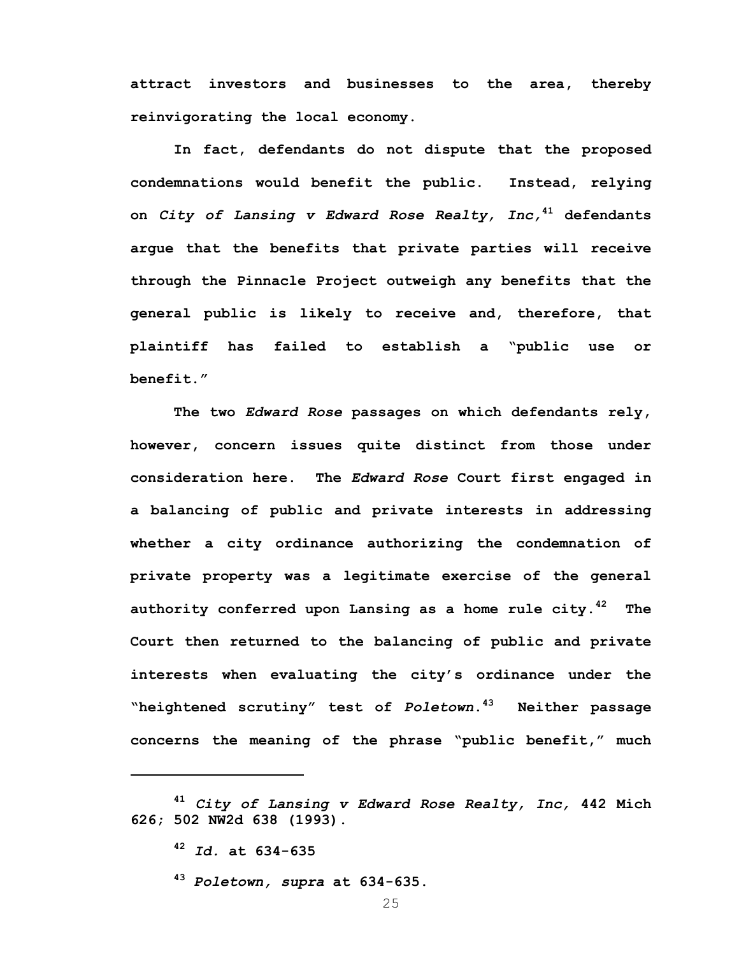**attract investors and businesses to the area, thereby reinvigorating the local economy.** 

 **In fact, defendants do not dispute that the proposed condemnations would benefit the public. Instead, relying on** *City of Lansing v Edward Rose Realty, Inc,***<sup>41</sup> defendants argue that the benefits that private parties will receive through the Pinnacle Project outweigh any benefits that the general public is likely to receive and, therefore, that plaintiff has failed to establish a "public use or benefit."** 

**The two** *Edward Rose* **passages on which defendants rely, however, concern issues quite distinct from those under consideration here. The** *Edward Rose* **Court first engaged in a balancing of public and private interests in addressing whether a city ordinance authorizing the condemnation of private property was a legitimate exercise of the general authority conferred upon Lansing as a home rule city.42 The Court then returned to the balancing of public and private interests when evaluating the city's ordinance under the "heightened scrutiny" test of** *Poletown***.43 Neither passage concerns the meaning of the phrase "public benefit," much** 

**<sup>41</sup>** *City of Lansing v Edward Rose Realty, Inc,* **442 Mich 626; 502 NW2d 638 (1993).** 

**<sup>42</sup>** *Id.* **at 634-635** 

**<sup>43</sup>** *Poletown, supra* **at 634-635.**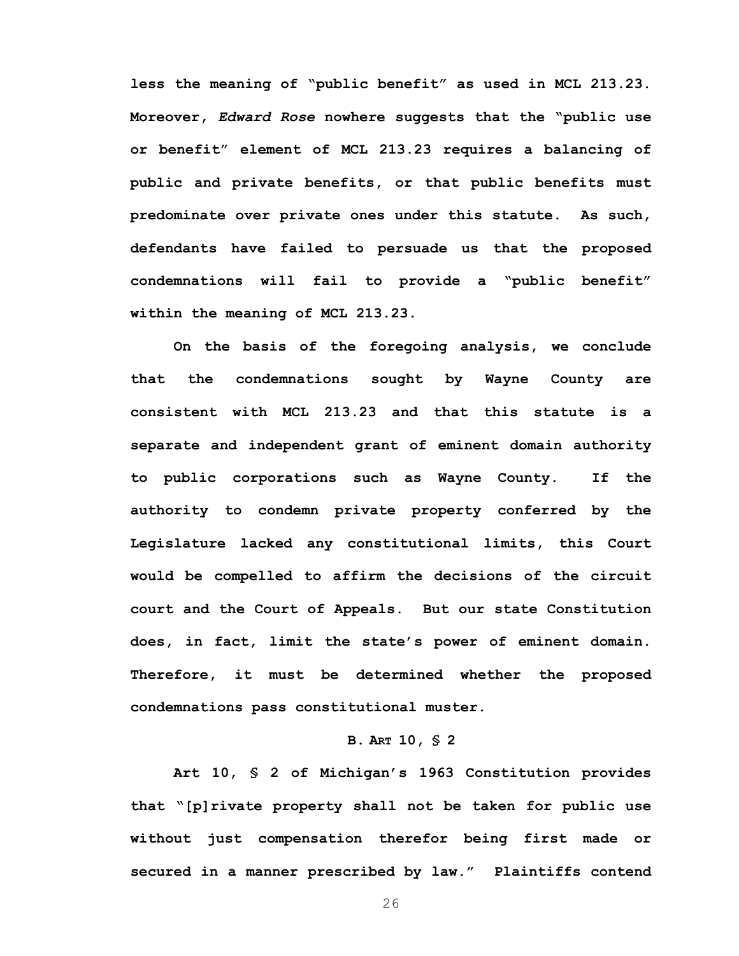**less the meaning of "public benefit" as used in MCL 213.23. Moreover,** *Edward Rose* **nowhere suggests that the "public use or benefit" element of MCL 213.23 requires a balancing of public and private benefits, or that public benefits must predominate over private ones under this statute. As such, defendants have failed to persuade us that the proposed condemnations will fail to provide a "public benefit" within the meaning of MCL 213.23.** 

**On the basis of the foregoing analysis, we conclude that the condemnations sought by Wayne County are consistent with MCL 213.23 and that this statute is a separate and independent grant of eminent domain authority to public corporations such as Wayne County. If the authority to condemn private property conferred by the Legislature lacked any constitutional limits, this Court would be compelled to affirm the decisions of the circuit court and the Court of Appeals. But our state Constitution does, in fact, limit the state's power of eminent domain. Therefore, it must be determined whether the proposed condemnations pass constitutional muster.** 

### **B. ART 10, § 2**

**Art 10, § 2 of Michigan's 1963 Constitution provides that "[p]rivate property shall not be taken for public use without just compensation therefor being first made or secured in a manner prescribed by law." Plaintiffs contend**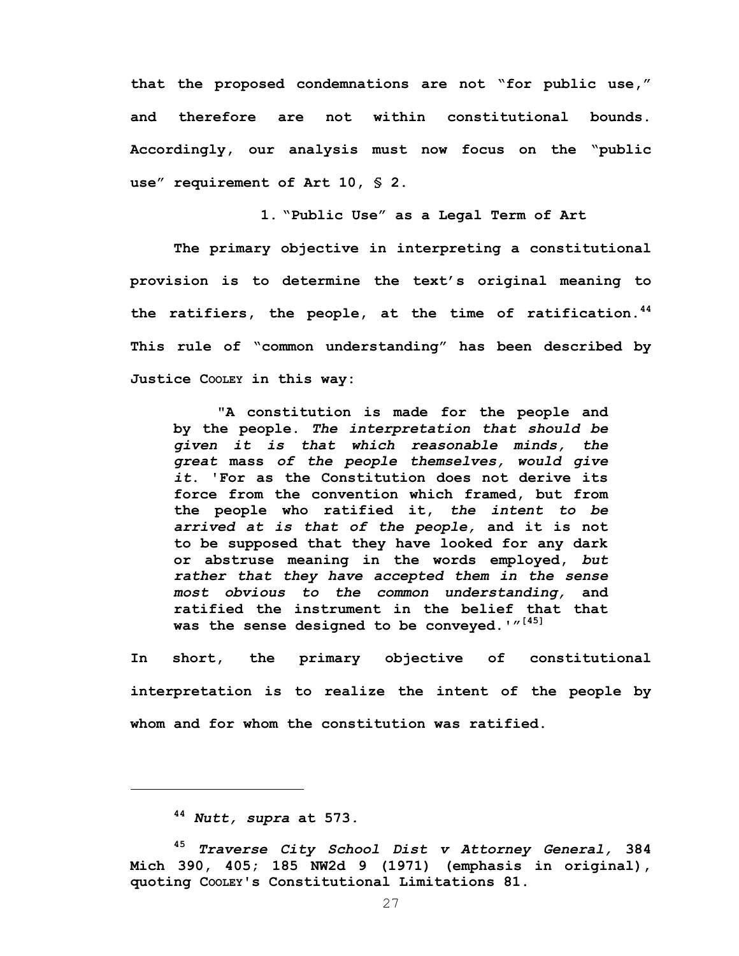**that the proposed condemnations are not "for public use," and therefore are not within constitutional bounds. Accordingly, our analysis must now focus on the "public use" requirement of Art 10, § 2.** 

**1. "Public Use" as a Legal Term of Art** 

**The primary objective in interpreting a constitutional provision is to determine the text's original meaning to the ratifiers, the people, at the time of ratification.44 This rule of "common understanding" has been described by Justice COOLEY in this way:**

**"A constitution is made for the people and by the people.** *The interpretation that should be given it is that which reasonable minds, the great* **mass** *of the people themselves, would give it***. 'For as the Constitution does not derive its force from the convention which framed, but from the people who ratified it,** *the intent to be arrived at is that of the people,* **and it is not to be supposed that they have looked for any dark or abstruse meaning in the words employed,** *but rather that they have accepted them in the sense most obvious to the common understanding,* **and ratified the instrument in the belief that that was the sense designed to be conveyed.'"[45]**

**In short, the primary objective of constitutional interpretation is to realize the intent of the people by whom and for whom the constitution was ratified.** 

**<sup>44</sup>** *Nutt, supra* **at 573***.*

**<sup>45</sup>** *Traverse City School Dist v Attorney General,* **384 Mich 390, 405; 185 NW2d 9 (1971) (emphasis in original), quoting COOLEY's Constitutional Limitations 81.**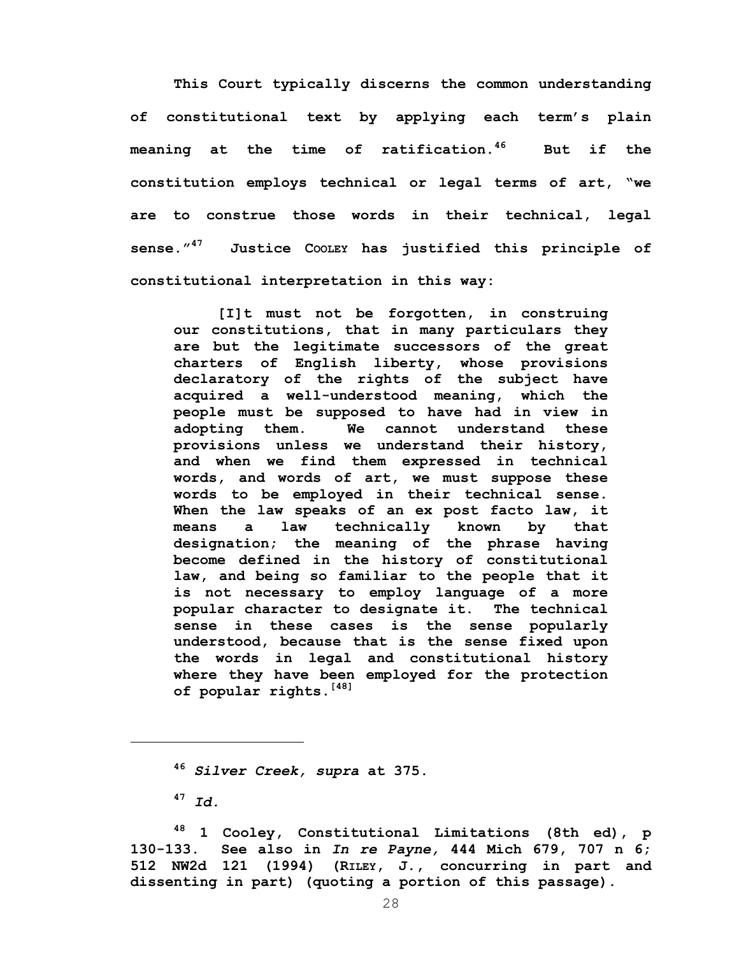**This Court typically discerns the common understanding of constitutional text by applying each term's plain meaning at the time of ratification.46 But if the constitution employs technical or legal terms of art, "we are to construe those words in their technical, legal sense."47 Justice COOLEY has justified this principle of constitutional interpretation in this way:** 

**[I]t must not be forgotten, in construing our constitutions, that in many particulars they are but the legitimate successors of the great charters of English liberty, whose provisions declaratory of the rights of the subject have acquired a well-understood meaning, which the people must be supposed to have had in view in adopting them. We cannot understand these provisions unless we understand their history, and when we find them expressed in technical words, and words of art, we must suppose these words to be employed in their technical sense. When the law speaks of an ex post facto law, it means a law technically known by that designation; the meaning of the phrase having become defined in the history of constitutional law, and being so familiar to the people that it is not necessary to employ language of a more popular character to designate it. The technical sense in these cases is the sense popularly understood, because that is the sense fixed upon the words in legal and constitutional history where they have been employed for the protection of popular rights.[48]**

**<sup>47</sup>** *Id.*

**<sup>46</sup>** *Silver Creek, supra* **at 375.** 

**<sup>48 1</sup> Cooley, Constitutional Limitations (8th ed), p 130-133. See also in** *In re Payne,* **444 Mich 679, 707 n 6; 512 NW2d 121 (1994) (RILEY, J., concurring in part and dissenting in part) (quoting a portion of this passage).**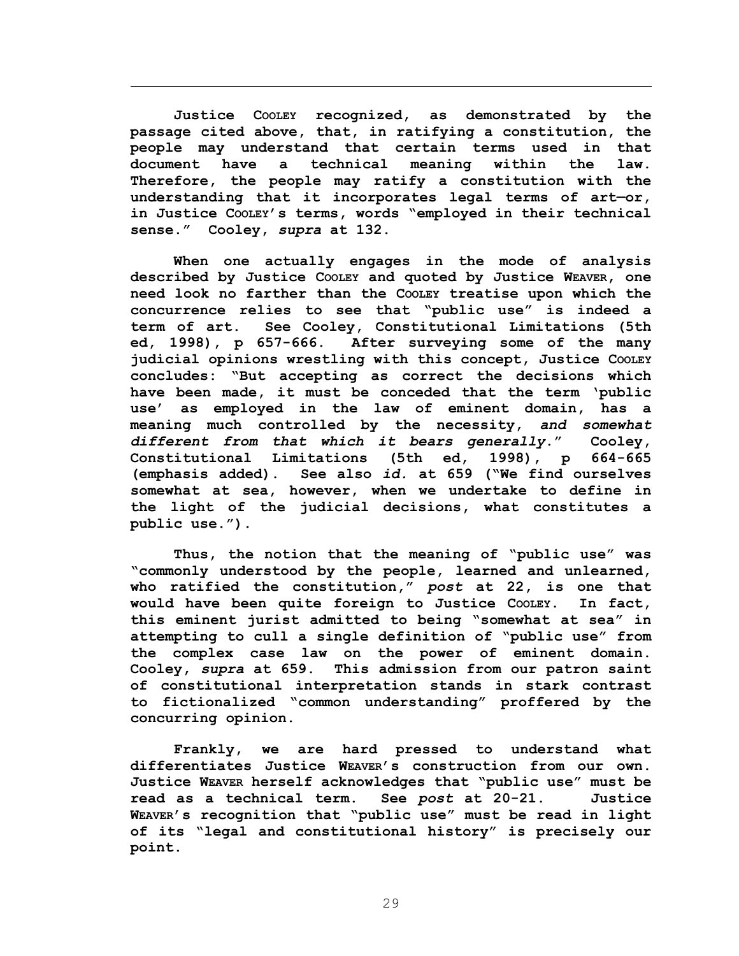**Justice COOLEY recognized, as demonstrated by the passage cited above, that, in ratifying a constitution, the people may understand that certain terms used in that document have a technical meaning within the law. Therefore, the people may ratify a constitution with the understanding that it incorporates legal terms of art—or, in Justice COOLEY's terms, words "employed in their technical sense." Cooley,** *supra* **at 132.** 

 $\overline{a}$ 

**When one actually engages in the mode of analysis described by Justice COOLEY and quoted by Justice WEAVER, one need look no farther than the COOLEY treatise upon which the concurrence relies to see that "public use" is indeed a term of art. See Cooley, Constitutional Limitations (5th ed, 1998), p 657-666. After surveying some of the many judicial opinions wrestling with this concept, Justice COOLEY concludes: "But accepting as correct the decisions which have been made, it must be conceded that the term 'public use' as employed in the law of eminent domain, has a meaning much controlled by the necessity,** *and somewhat different from that which it bears generally***." Cooley, Constitutional Limitations (5th ed, 1998), p 664-665 (emphasis added). See also** *id.* **at 659 ("We find ourselves somewhat at sea, however, when we undertake to define in the light of the judicial decisions, what constitutes a public use.").** 

**Thus, the notion that the meaning of "public use" was "commonly understood by the people, learned and unlearned, who ratified the constitution,"** *post* **at 22, is one that would have been quite foreign to Justice COOLEY. In fact, this eminent jurist admitted to being "somewhat at sea" in attempting to cull a single definition of "public use" from the complex case law on the power of eminent domain. Cooley,** *supra* **at 659. This admission from our patron saint of constitutional interpretation stands in stark contrast to fictionalized "common understanding" proffered by the concurring opinion.** 

**Frankly, we are hard pressed to understand what differentiates Justice WEAVER's construction from our own. Justice WEAVER herself acknowledges that "public use" must be read as a technical term. See** *post* **at 20-21. Justice WEAVER's recognition that "public use" must be read in light of its "legal and constitutional history" is precisely our point.**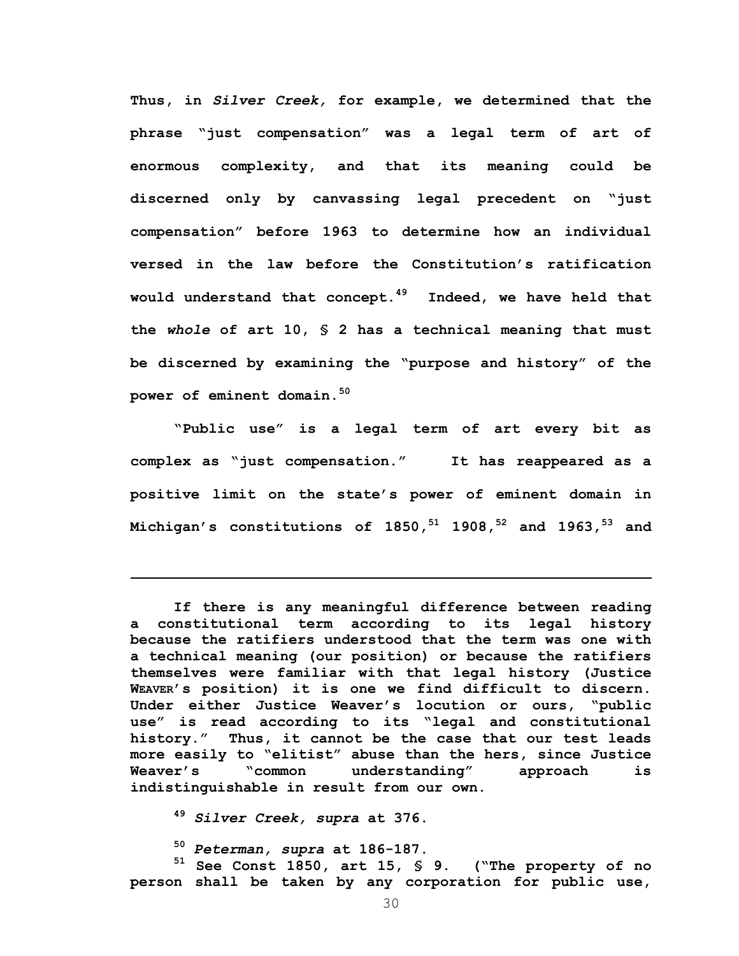**Thus, in** *Silver Creek,* **for example, we determined that the phrase "just compensation" was a legal term of art of enormous complexity, and that its meaning could be discerned only by canvassing legal precedent on "just compensation" before 1963 to determine how an individual versed in the law before the Constitution's ratification would understand that concept.49 Indeed, we have held that the** *whole* **of art 10, § 2 has a technical meaning that must be discerned by examining the "purpose and history" of the power of eminent domain.50** 

**"Public use" is a legal term of art every bit as complex as "just compensation." It has reappeared as a positive limit on the state's power of eminent domain in Michigan's constitutions of 1850,51 1908,52 and 1963,53 and** 

**If there is any meaningful difference between reading a constitutional term according to its legal history because the ratifiers understood that the term was one with a technical meaning (our position) or because the ratifiers themselves were familiar with that legal history (Justice WEAVER's position) it is one we find difficult to discern. Under either Justice Weaver's locution or ours, "public use" is read according to its "legal and constitutional history." Thus, it cannot be the case that our test leads more easily to "elitist" abuse than the hers, since Justice Weaver's "common understanding" approach is indistinguishable in result from our own.** 

**<sup>49</sup>** *Silver Creek, supra* **at 376.** 

1

**<sup>50</sup>** *Peterman, supra* **at 186-187.** 

**51 See Const 1850, art 15, § 9. ("The property of no person shall be taken by any corporation for public use,**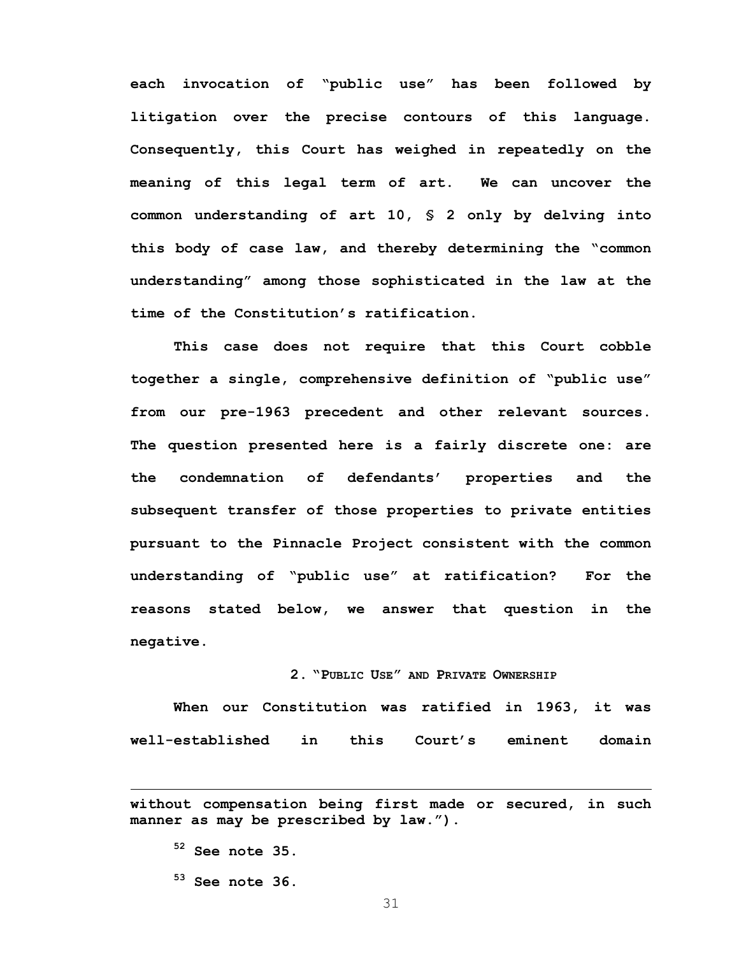**each invocation of "public use" has been followed by litigation over the precise contours of this language. Consequently, this Court has weighed in repeatedly on the meaning of this legal term of art. We can uncover the common understanding of art 10, § 2 only by delving into this body of case law, and thereby determining the "common understanding" among those sophisticated in the law at the time of the Constitution's ratification.** 

**This case does not require that this Court cobble together a single, comprehensive definition of "public use" from our pre-1963 precedent and other relevant sources. The question presented here is a fairly discrete one: are the condemnation of defendants' properties and the subsequent transfer of those properties to private entities pursuant to the Pinnacle Project consistent with the common understanding of "public use" at ratification? For the reasons stated below, we answer that question in the negative.** 

# **2. "PUBLIC USE" AND PRIVATE OWNERSHIP**

**When our Constitution was ratified in 1963, it was well-established in this Court's eminent domain** 

**52 See note 35.** 

 $\overline{a}$ 

**53 See note 36.** 

**without compensation being first made or secured, in such manner as may be prescribed by law.").**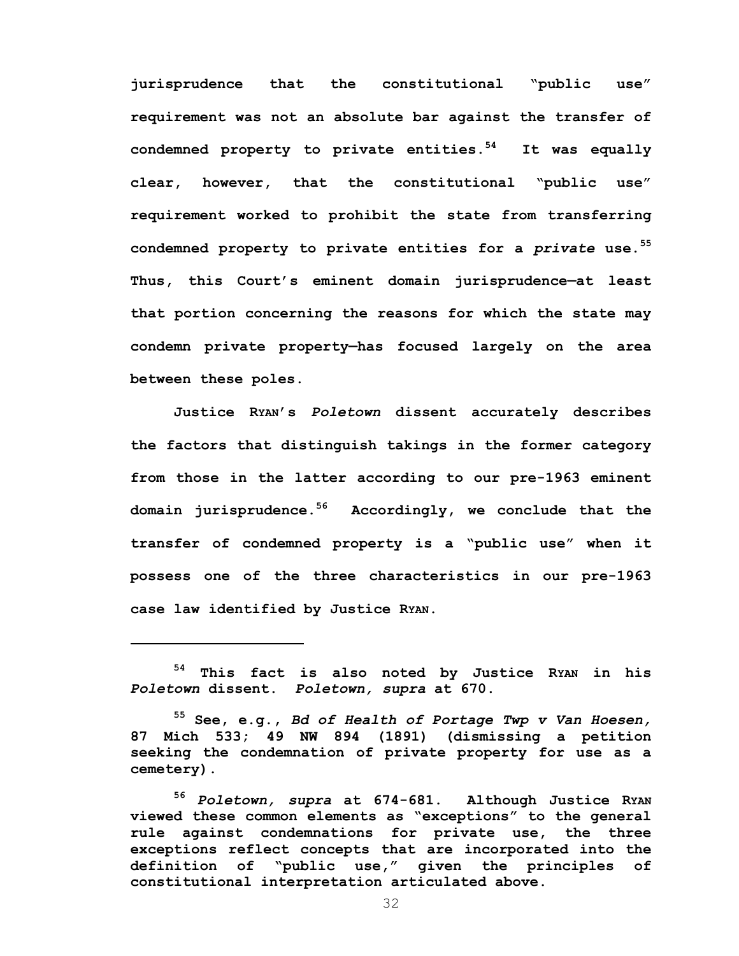**jurisprudence that the constitutional "public use" requirement was not an absolute bar against the transfer of condemned property to private entities.54 It was equally clear, however, that the constitutional "public use" requirement worked to prohibit the state from transferring condemned property to private entities for a** *private* **use.55 Thus, this Court's eminent domain jurisprudence—at least that portion concerning the reasons for which the state may condemn private property—has focused largely on the area between these poles.** 

**Justice RYAN's** *Poletown* **dissent accurately describes the factors that distinguish takings in the former category from those in the latter according to our pre-1963 eminent domain jurisprudence.56 Accordingly, we conclude that the transfer of condemned property is a "public use" when it possess one of the three characteristics in our pre-1963 case law identified by Justice RYAN.** 

**<sup>54</sup> This fact is also noted by Justice RYAN in his**  *Poletown* **dissent.** *Poletown, supra* **at 670.** 

**<sup>55</sup> See, e.g.,** *Bd of Health of Portage Twp v Van Hoesen,*  **87 Mich 533; 49 NW 894 (1891) (dismissing a petition seeking the condemnation of private property for use as a cemetery).** 

**<sup>56</sup>** *Poletown, supra* **at 674-681. Although Justice RYAN viewed these common elements as "exceptions" to the general rule against condemnations for private use, the three exceptions reflect concepts that are incorporated into the definition of "public use," given the principles of constitutional interpretation articulated above.**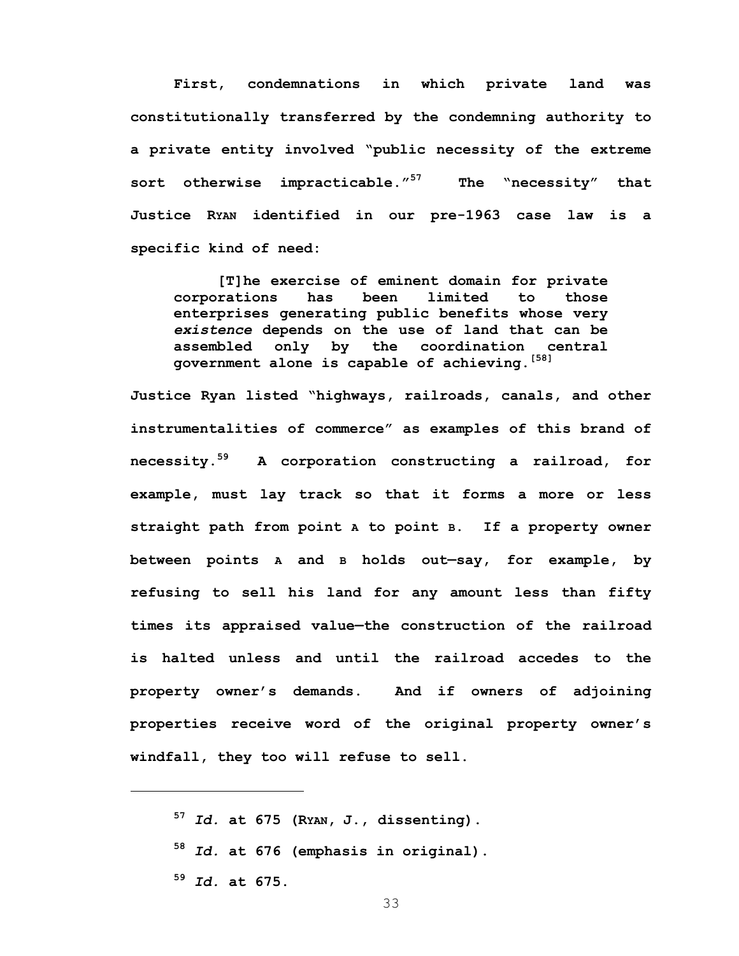**First, condemnations in which private land was constitutionally transferred by the condemning authority to a private entity involved "public necessity of the extreme sort otherwise impracticable."57 The "necessity" that Justice RYAN identified in our pre-1963 case law is a specific kind of need:** 

**[T]he exercise of eminent domain for private corporations has been limited to those enterprises generating public benefits whose very**  *existence* **depends on the use of land that can be assembled only by the coordination central government alone is capable of achieving.[58]** 

**Justice Ryan listed "highways, railroads, canals, and other instrumentalities of commerce" as examples of this brand of necessity.59 A corporation constructing a railroad, for example, must lay track so that it forms a more or less straight path from point A to point B. If a property owner between points A and B holds out—say, for example, by refusing to sell his land for any amount less than fifty times its appraised value—the construction of the railroad is halted unless and until the railroad accedes to the property owner's demands. And if owners of adjoining properties receive word of the original property owner's windfall, they too will refuse to sell.** 

**<sup>59</sup>** *Id.* **at 675.** 

**<sup>57</sup>** *Id.* **at 675 (RYAN, J., dissenting). <sup>58</sup>** *Id.* **at 676 (emphasis in original).**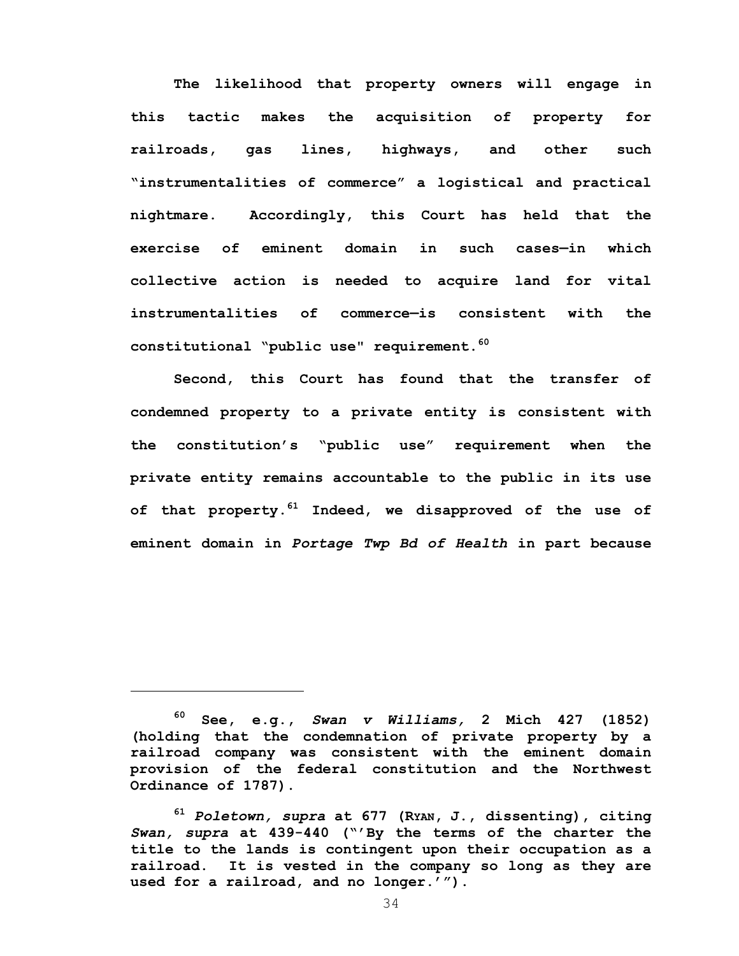**The likelihood that property owners will engage in this tactic makes the acquisition of property for railroads, gas lines, highways, and other such "instrumentalities of commerce" a logistical and practical nightmare. Accordingly, this Court has held that the exercise of eminent domain in such cases—in which collective action is needed to acquire land for vital instrumentalities of commerce—is consistent with the constitutional "public use" requirement.60** 

**Second, this Court has found that the transfer of condemned property to a private entity is consistent with the constitution's "public use" requirement when the private entity remains accountable to the public in its use of that property.61 Indeed, we disapproved of the use of eminent domain in** *Portage Twp Bd of Health* **in part because** 

**<sup>60</sup> See, e.g.,** *Swan v Williams,* **2 Mich 427 (1852) (holding that the condemnation of private property by a railroad company was consistent with the eminent domain provision of the federal constitution and the Northwest Ordinance of 1787).** 

**<sup>61</sup>** *Poletown, supra* **at 677 (RYAN, J., dissenting), citing**  *Swan, supra* **at 439-440 ("'By the terms of the charter the title to the lands is contingent upon their occupation as a railroad. It is vested in the company so long as they are used for a railroad, and no longer.'").**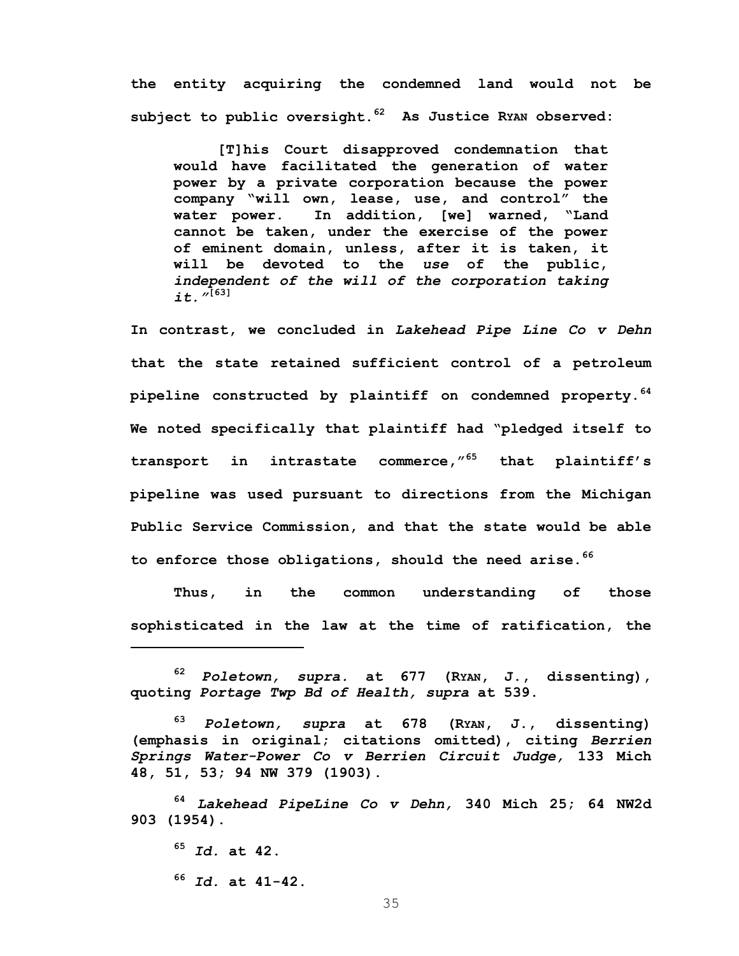**the entity acquiring the condemned land would not be subject to public oversight.62 As Justice RYAN observed:** 

**[T]his Court disapproved condemnation that would have facilitated the generation of water power by a private corporation because the power company "will own, lease, use, and control" the water power. In addition, [we] warned, "Land cannot be taken, under the exercise of the power of eminent domain, unless, after it is taken, it will be devoted to the** *use* **of the public,**  *independent of the will of the corporation taking it."***[63]**

**In contrast, we concluded in** *Lakehead Pipe Line Co v Dehn* **that the state retained sufficient control of a petroleum pipeline constructed by plaintiff on condemned property.64 We noted specifically that plaintiff had "pledged itself to transport in intrastate commerce,"65 that plaintiff's pipeline was used pursuant to directions from the Michigan Public Service Commission, and that the state would be able to enforce those obligations, should the need arise.<sup>66</sup>**

**Thus, in the common understanding of those sophisticated in the law at the time of ratification, the** 

**<sup>65</sup>** *Id.* **at 42. <sup>66</sup>** *Id.* **at 41-42.** 

**<sup>62</sup>** *Poletown, supra.* **at 677 (RYAN, J., dissenting), quoting** *Portage Twp Bd of Health, supra* **at 539.** 

**<sup>63</sup>** *Poletown, supra* **at 678 (RYAN, J., dissenting) (emphasis in original; citations omitted), citing** *Berrien Springs Water-Power Co v Berrien Circuit Judge,* **133 Mich 48, 51, 53; 94 NW 379 (1903).** 

**<sup>64</sup>** *Lakehead PipeLine Co v Dehn,* **340 Mich 25; 64 NW2d 903 (1954).**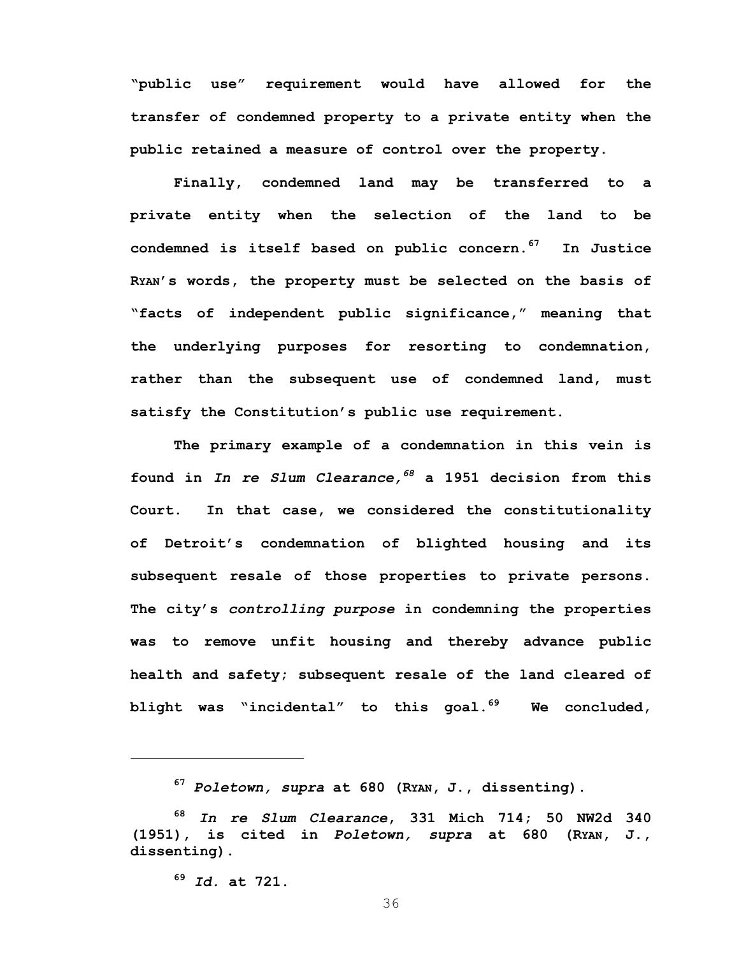**"public use" requirement would have allowed for the transfer of condemned property to a private entity when the public retained a measure of control over the property.** 

 **Finally, condemned land may be transferred to a private entity when the selection of the land to be condemned is itself based on public concern.67 In Justice RYAN's words, the property must be selected on the basis of "facts of independent public significance," meaning that the underlying purposes for resorting to condemnation, rather than the subsequent use of condemned land, must satisfy the Constitution's public use requirement.** 

**The primary example of a condemnation in this vein is found in** *In re Slum Clearance,<sup>68</sup>* **a 1951 decision from this Court. In that case, we considered the constitutionality of Detroit's condemnation of blighted housing and its subsequent resale of those properties to private persons. The city's** *controlling purpose* **in condemning the properties was to remove unfit housing and thereby advance public health and safety; subsequent resale of the land cleared of blight was "incidental" to this goal.69 We concluded,** 

**<sup>69</sup>** *Id.* **at 721.** 

 $\overline{a}$ 

**<sup>67</sup>** *Poletown, supra* **at 680 (RYAN, J., dissenting).** 

**<sup>68</sup>** *In re Slum Clearance***, 331 Mich 714; 50 NW2d 340 (1951), is cited in** *Poletown, supra* **at 680 (RYAN, J., dissenting).**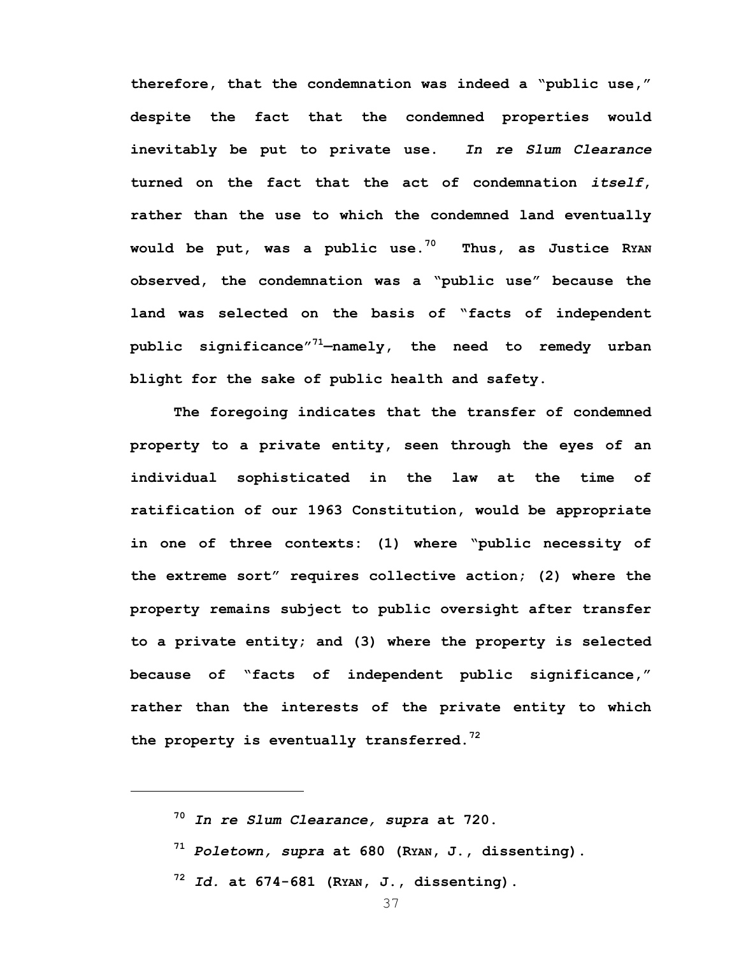**therefore, that the condemnation was indeed a "public use," despite the fact that the condemned properties would inevitably be put to private use.** *In re Slum Clearance*  **turned on the fact that the act of condemnation** *itself***, rather than the use to which the condemned land eventually would be put, was a public use.70 Thus, as Justice RYAN observed, the condemnation was a "public use" because the land was selected on the basis of "facts of independent public significance"71—namely, the need to remedy urban blight for the sake of public health and safety.** 

 **The foregoing indicates that the transfer of condemned property to a private entity, seen through the eyes of an individual sophisticated in the law at the time of ratification of our 1963 Constitution, would be appropriate in one of three contexts: (1) where "public necessity of the extreme sort" requires collective action; (2) where the property remains subject to public oversight after transfer to a private entity; and (3) where the property is selected because of "facts of independent public significance," rather than the interests of the private entity to which the property is eventually transferred.<sup>72</sup>**

**<sup>70</sup>** *In re Slum Clearance, supra* **at 720.** 

<u>.</u>

**<sup>71</sup>** *Poletown, supra* **at 680 (RYAN, J., dissenting).** 

**<sup>72</sup>** *Id.* **at 674-681 (RYAN, J., dissenting).**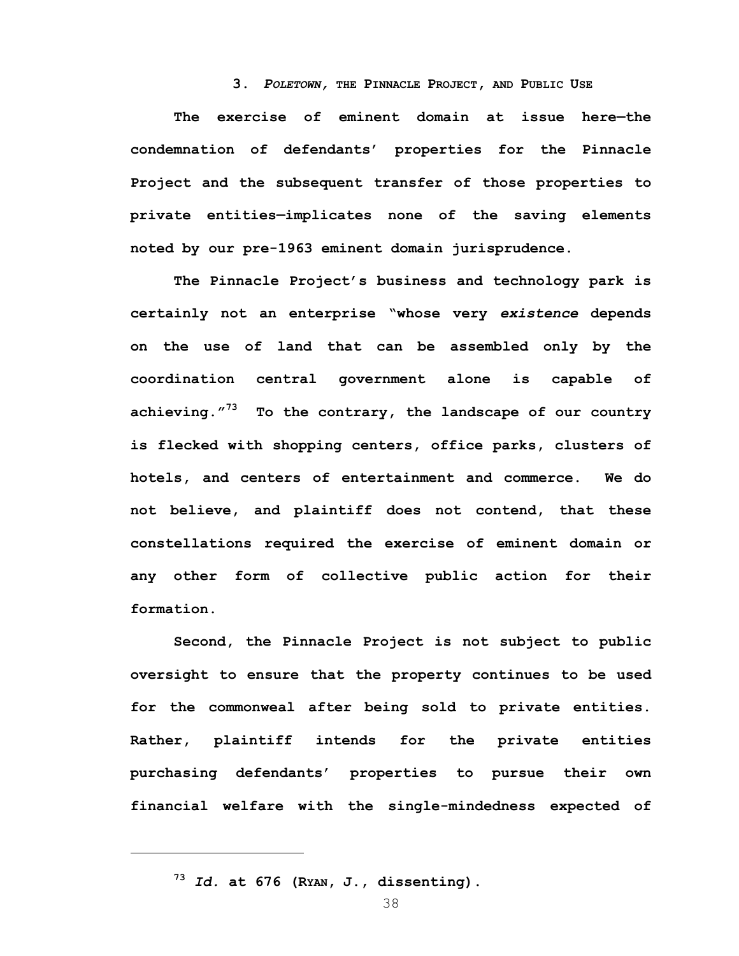# **3.** *POLETOWN,* **THE PINNACLE PROJECT, AND PUBLIC USE**

**The exercise of eminent domain at issue here—the condemnation of defendants' properties for the Pinnacle Project and the subsequent transfer of those properties to private entities—implicates none of the saving elements noted by our pre-1963 eminent domain jurisprudence.** 

**The Pinnacle Project's business and technology park is certainly not an enterprise "whose very** *existence* **depends on the use of land that can be assembled only by the coordination central government alone is capable of achieving."73 To the contrary, the landscape of our country is flecked with shopping centers, office parks, clusters of hotels, and centers of entertainment and commerce. We do not believe, and plaintiff does not contend, that these constellations required the exercise of eminent domain or any other form of collective public action for their formation.** 

**Second, the Pinnacle Project is not subject to public oversight to ensure that the property continues to be used for the commonweal after being sold to private entities. Rather, plaintiff intends for the private entities purchasing defendants' properties to pursue their own financial welfare with the single-mindedness expected of** 

 $\overline{a}$ 

**<sup>73</sup>** *Id.* **at 676 (RYAN, J., dissenting).**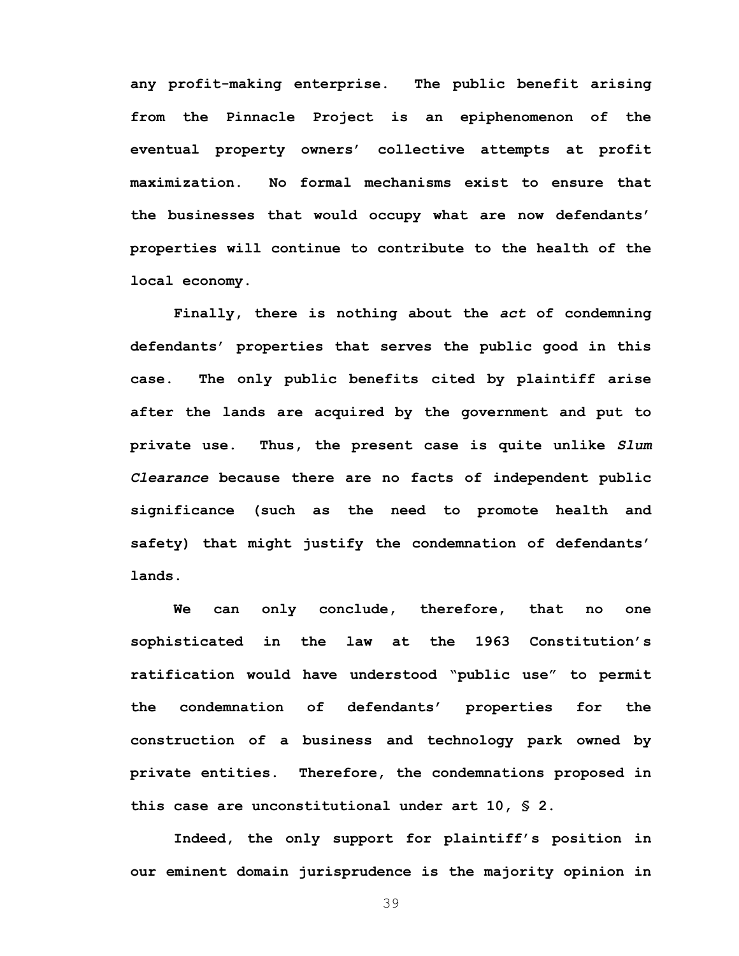**any profit-making enterprise. The public benefit arising from the Pinnacle Project is an epiphenomenon of the eventual property owners' collective attempts at profit maximization. No formal mechanisms exist to ensure that the businesses that would occupy what are now defendants' properties will continue to contribute to the health of the local economy.** 

**Finally, there is nothing about the** *act* **of condemning defendants' properties that serves the public good in this case. The only public benefits cited by plaintiff arise after the lands are acquired by the government and put to private use. Thus, the present case is quite unlike** *Slum Clearance* **because there are no facts of independent public significance (such as the need to promote health and safety) that might justify the condemnation of defendants' lands.** 

**We can only conclude, therefore, that no one sophisticated in the law at the 1963 Constitution's ratification would have understood "public use" to permit the condemnation of defendants' properties for the construction of a business and technology park owned by private entities. Therefore, the condemnations proposed in this case are unconstitutional under art 10, § 2.** 

 **Indeed, the only support for plaintiff's position in our eminent domain jurisprudence is the majority opinion in**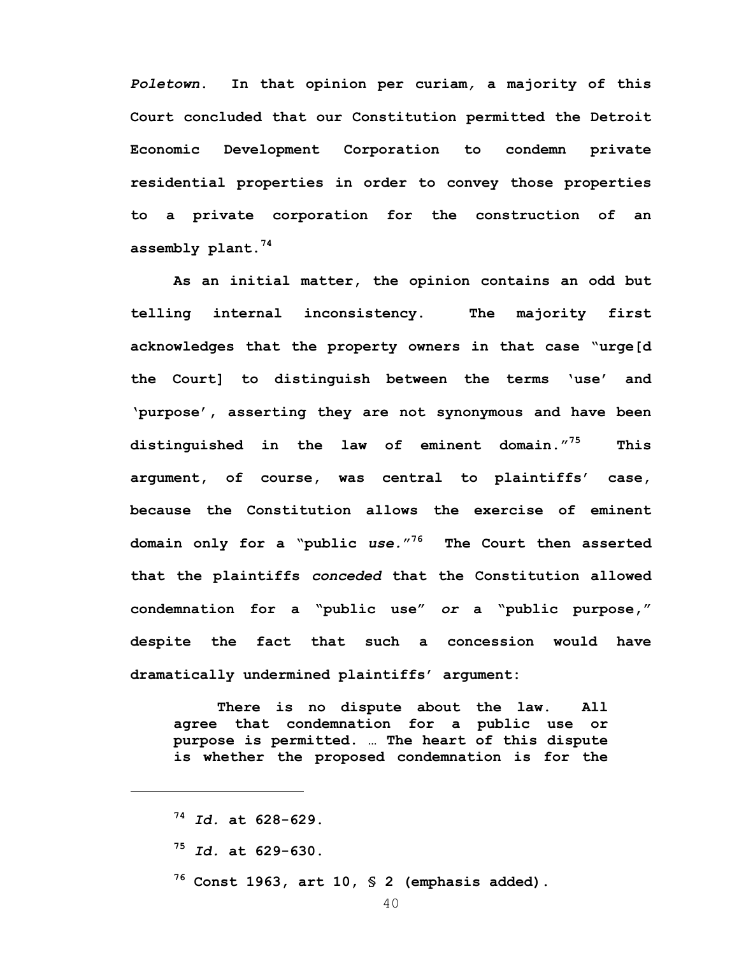*Poletown***. In that opinion per curiam***,* **a majority of this Court concluded that our Constitution permitted the Detroit Economic Development Corporation to condemn private residential properties in order to convey those properties to a private corporation for the construction of an assembly plant.74** 

**As an initial matter, the opinion contains an odd but telling internal inconsistency. The majority first acknowledges that the property owners in that case "urge[d the Court] to distinguish between the terms 'use' and 'purpose', asserting they are not synonymous and have been distinguished in the law of eminent domain."75 This argument, of course, was central to plaintiffs' case, because the Constitution allows the exercise of eminent domain only for a "public** *use.***"76 The Court then asserted that the plaintiffs** *conceded* **that the Constitution allowed condemnation for a "public use"** *or* **a "public purpose," despite the fact that such a concession would have dramatically undermined plaintiffs' argument:** 

**There is no dispute about the law. All agree that condemnation for a public use or purpose is permitted. … The heart of this dispute is whether the proposed condemnation is for the** 

<u>.</u>

**76 Const 1963, art 10, § 2 (emphasis added).** 

**<sup>74</sup>** *Id.* **at 628-629.** 

**<sup>75</sup>** *Id.* **at 629-630.**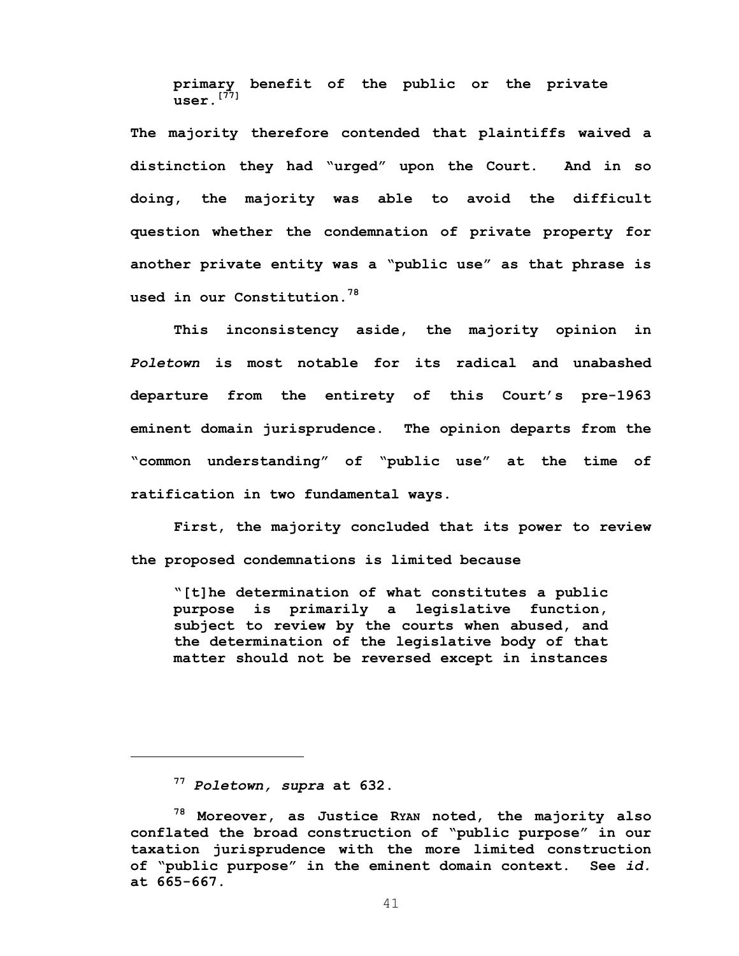**primary benefit of the public or the private user.[77]**

**The majority therefore contended that plaintiffs waived a distinction they had "urged" upon the Court. And in so doing, the majority was able to avoid the difficult question whether the condemnation of private property for another private entity was a "public use" as that phrase is used in our Constitution.78** 

**This inconsistency aside, the majority opinion in**  *Poletown* **is most notable for its radical and unabashed departure from the entirety of this Court's pre-1963 eminent domain jurisprudence. The opinion departs from the "common understanding" of "public use" at the time of ratification in two fundamental ways.** 

**First, the majority concluded that its power to review the proposed condemnations is limited because** 

**"[t]he determination of what constitutes a public purpose is primarily a legislative function, subject to review by the courts when abused, and the determination of the legislative body of that matter should not be reversed except in instances** 

 $\overline{a}$ 

**<sup>77</sup>** *Poletown, supra* **at 632.** 

**<sup>78</sup> Moreover, as Justice RYAN noted, the majority also conflated the broad construction of "public purpose" in our taxation jurisprudence with the more limited construction of "public purpose" in the eminent domain context. See** *id.* **at 665-667.**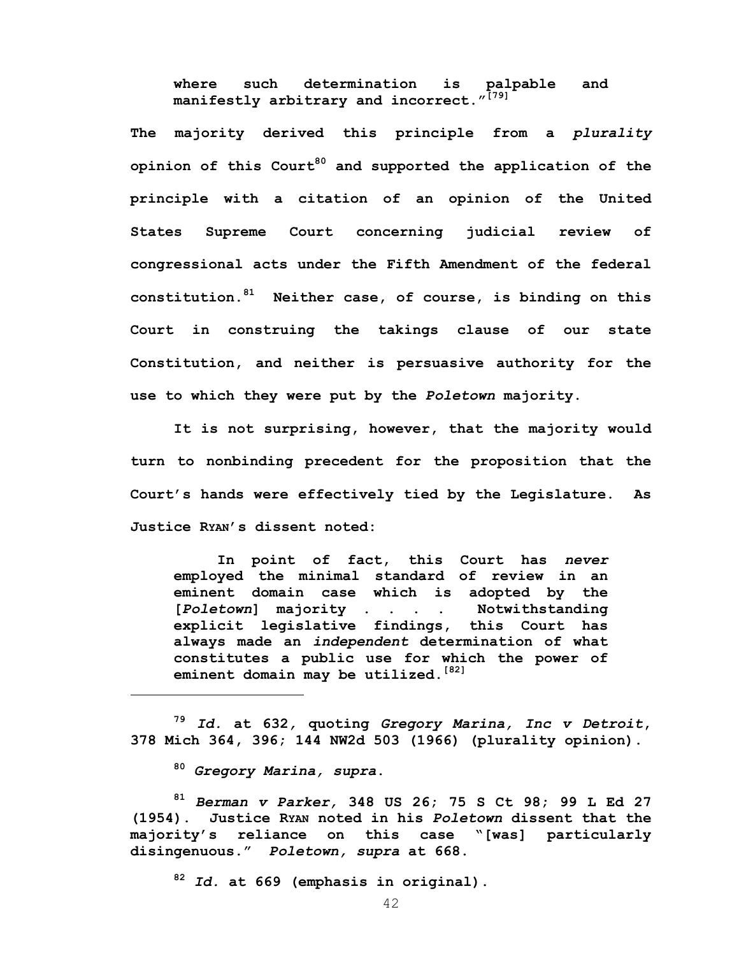**where such determination is palpable and manifestly arbitrary and incorrect."[79]** 

**The majority derived this principle from a** *plurality* **opinion of this Court80 and supported the application of the principle with a citation of an opinion of the United States Supreme Court concerning judicial review of congressional acts under the Fifth Amendment of the federal constitution.81 Neither case, of course, is binding on this Court in construing the takings clause of our state Constitution, and neither is persuasive authority for the use to which they were put by the** *Poletown* **majority.** 

 **It is not surprising, however, that the majority would turn to nonbinding precedent for the proposition that the Court's hands were effectively tied by the Legislature. As Justice RYAN's dissent noted:** 

**In point of fact, this Court has** *never* **employed the minimal standard of review in an eminent domain case which is adopted by the [***Poletown***] majority . . . . Notwithstanding explicit legislative findings, this Court has always made an** *independent* **determination of what constitutes a public use for which the power of eminent domain may be utilized.[82]**

**<sup>79</sup>** *Id.* **at 632***,* **quoting** *Gregory Marina, Inc v Detroit***, 378 Mich 364, 396; 144 NW2d 503 (1966) (plurality opinion).** 

**<sup>80</sup>** *Gregory Marina, supra***.** 

1

**<sup>81</sup>** *Berman v Parker,* **348 US 26; 75 S Ct 98; 99 L Ed 27 (1954). Justice RYAN noted in his** *Poletown* **dissent that the majority's reliance on this case "[was] particularly disingenuous."** *Poletown, supra* **at 668.** 

**<sup>82</sup>** *Id.* **at 669 (emphasis in original).**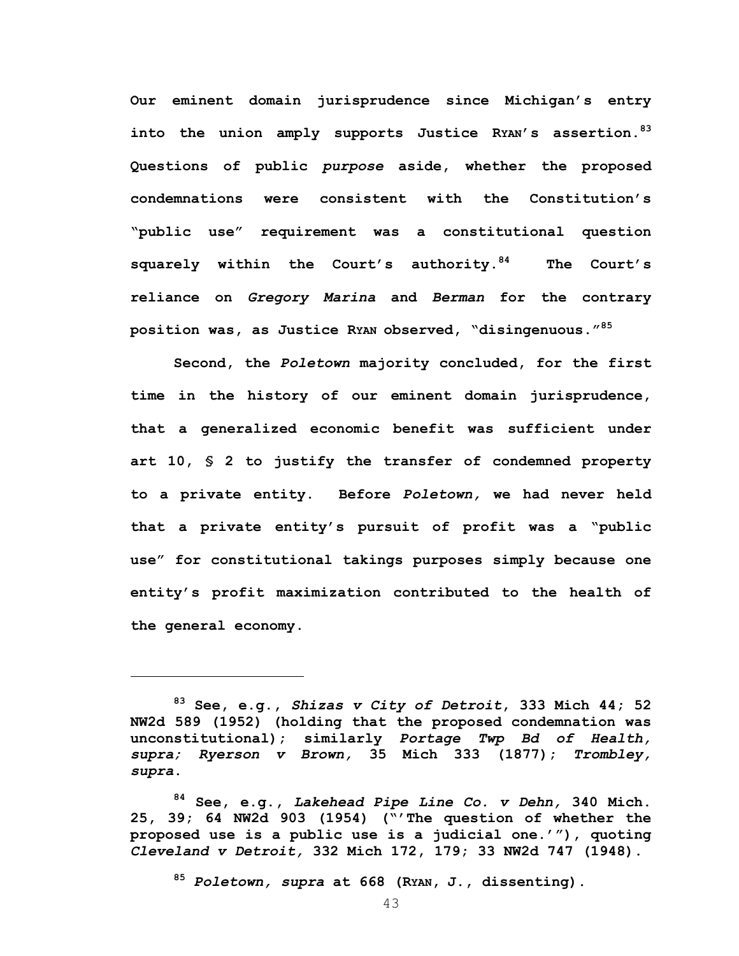**Our eminent domain jurisprudence since Michigan's entry into the union amply supports Justice RYAN's assertion.83 Questions of public** *purpose* **aside, whether the proposed condemnations were consistent with the Constitution's "public use" requirement was a constitutional question squarely within the Court's authority.84 The Court's reliance on** *Gregory Marina* **and** *Berman* **for the contrary position was, as Justice RYAN observed, "disingenuous."85** 

 **Second, the** *Poletown* **majority concluded, for the first time in the history of our eminent domain jurisprudence, that a generalized economic benefit was sufficient under art 10, § 2 to justify the transfer of condemned property to a private entity. Before** *Poletown,* **we had never held that a private entity's pursuit of profit was a "public use" for constitutional takings purposes simply because one entity's profit maximization contributed to the health of the general economy.** 

1

**<sup>85</sup>** *Poletown, supra* **at 668 (RYAN, J., dissenting).** 

**<sup>83</sup> See, e.g.,** *Shizas v City of Detroit***, 333 Mich 44; 52 NW2d 589 (1952) (holding that the proposed condemnation was unconstitutional); similarly** *Portage Twp Bd of Health, supra; Ryerson v Brown,* **35 Mich 333 (1877);** *Trombley, supra***.** 

**<sup>84</sup> See, e.g.,** *Lakehead Pipe Line Co. v Dehn,* **340 Mich. 25, 39; 64 NW2d 903 (1954) ("'The question of whether the proposed use is a public use is a judicial one.'"), quoting**  *Cleveland v Detroit,* **332 Mich 172, 179; 33 NW2d 747 (1948).**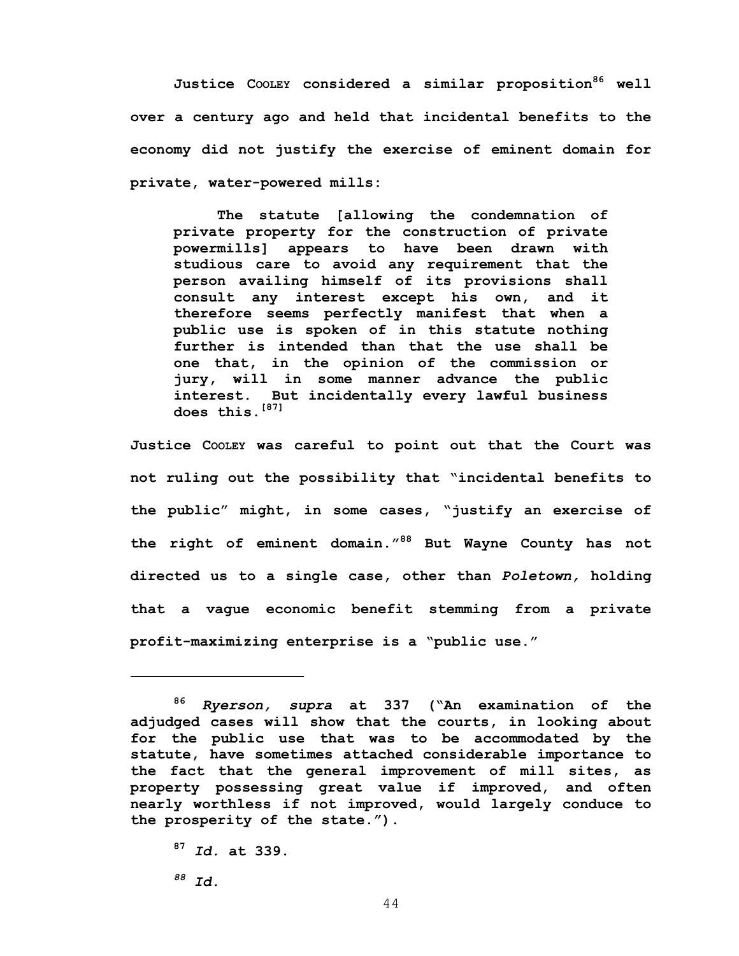**Justice COOLEY considered a similar proposition86 well over a century ago and held that incidental benefits to the economy did not justify the exercise of eminent domain for private, water-powered mills:** 

**The statute [allowing the condemnation of private property for the construction of private powermills] appears to have been drawn with studious care to avoid any requirement that the person availing himself of its provisions shall consult any interest except his own, and it therefore seems perfectly manifest that when a public use is spoken of in this statute nothing further is intended than that the use shall be one that, in the opinion of the commission or jury, will in some manner advance the public interest. But incidentally every lawful business does this.[87]**

**Justice COOLEY was careful to point out that the Court was not ruling out the possibility that "incidental benefits to the public" might, in some cases, "justify an exercise of the right of eminent domain."88 But Wayne County has not directed us to a single case, other than** *Poletown,* **holding that a vague economic benefit stemming from a private profit-maximizing enterprise is a "public use."**

**<sup>87</sup>** *Id.* **at 339.** 

*88 Id.* 

 $\overline{a}$ 

**<sup>86</sup>** *Ryerson, supra* **at 337 ("An examination of the adjudged cases will show that the courts, in looking about for the public use that was to be accommodated by the statute, have sometimes attached considerable importance to the fact that the general improvement of mill sites, as property possessing great value if improved, and often nearly worthless if not improved, would largely conduce to the prosperity of the state.").**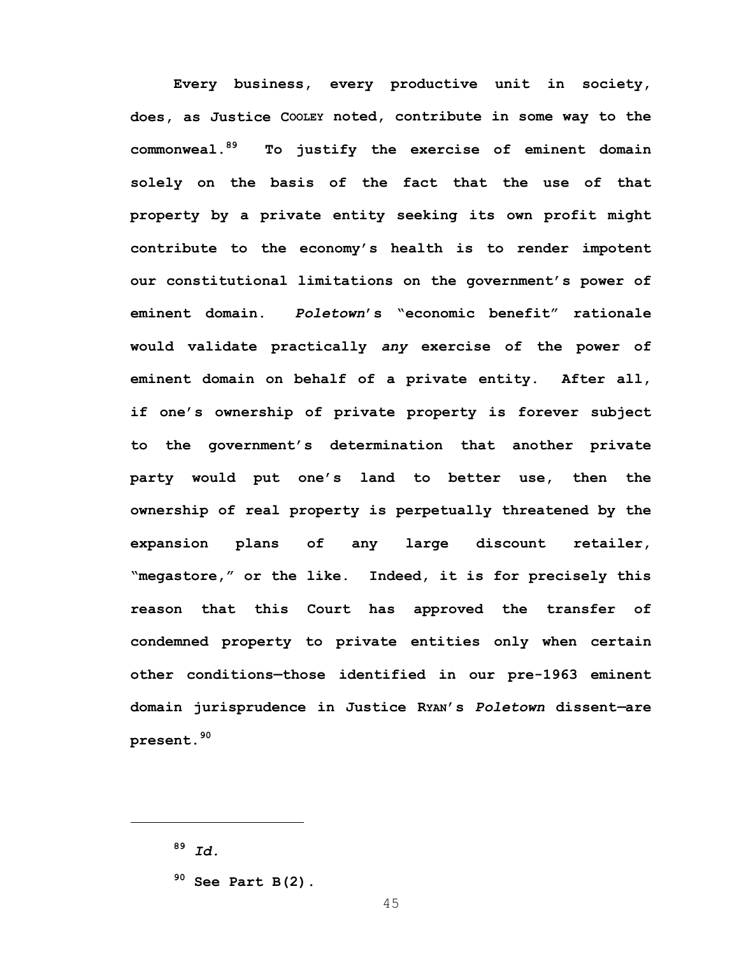**Every business, every productive unit in society, does, as Justice COOLEY noted, contribute in some way to the commonweal.89 To justify the exercise of eminent domain solely on the basis of the fact that the use of that property by a private entity seeking its own profit might contribute to the economy's health is to render impotent our constitutional limitations on the government's power of eminent domain.** *Poletown***'s "economic benefit" rationale would validate practically** *any* **exercise of the power of eminent domain on behalf of a private entity. After all, if one's ownership of private property is forever subject to the government's determination that another private party would put one's land to better use, then the ownership of real property is perpetually threatened by the expansion plans of any large discount retailer, "megastore," or the like. Indeed, it is for precisely this reason that this Court has approved the transfer of condemned property to private entities only when certain other conditions—those identified in our pre-1963 eminent domain jurisprudence in Justice RYAN's** *Poletown* **dissent***—***are present.<sup>90</sup>**

 $\overline{a}$ 

**<sup>89</sup>** *Id.*

**<sup>90</sup> See Part B(2).**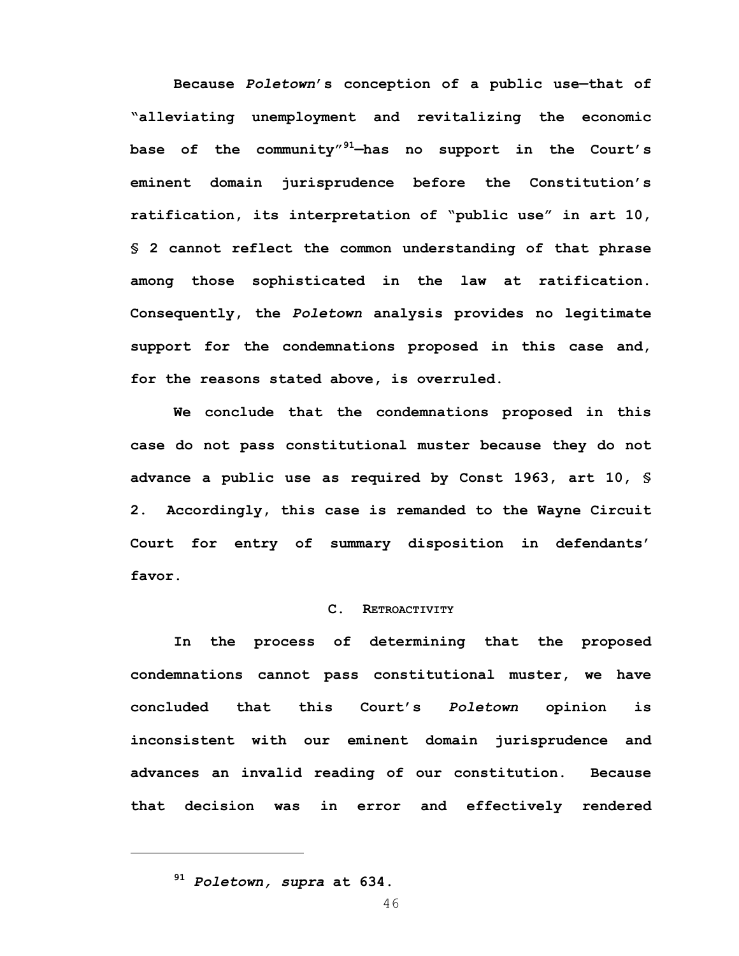**Because** *Poletown***'s conception of a public use—that of "alleviating unemployment and revitalizing the economic base of the community"91—has no support in the Court's eminent domain jurisprudence before the Constitution's ratification, its interpretation of "public use" in art 10, § 2 cannot reflect the common understanding of that phrase among those sophisticated in the law at ratification. Consequently, the** *Poletown* **analysis provides no legitimate support for the condemnations proposed in this case and, for the reasons stated above, is overruled.** 

 **We conclude that the condemnations proposed in this case do not pass constitutional muster because they do not advance a public use as required by Const 1963, art 10, § 2. Accordingly, this case is remanded to the Wayne Circuit Court for entry of summary disposition in defendants' favor.** 

### **C. RETROACTIVITY**

 **In the process of determining that the proposed condemnations cannot pass constitutional muster, we have concluded that this Court's** *Poletown* **opinion is inconsistent with our eminent domain jurisprudence and advances an invalid reading of our constitution. Because that decision was in error and effectively rendered** 

 $\overline{a}$ 

**<sup>91</sup>** *Poletown, supra* **at 634.**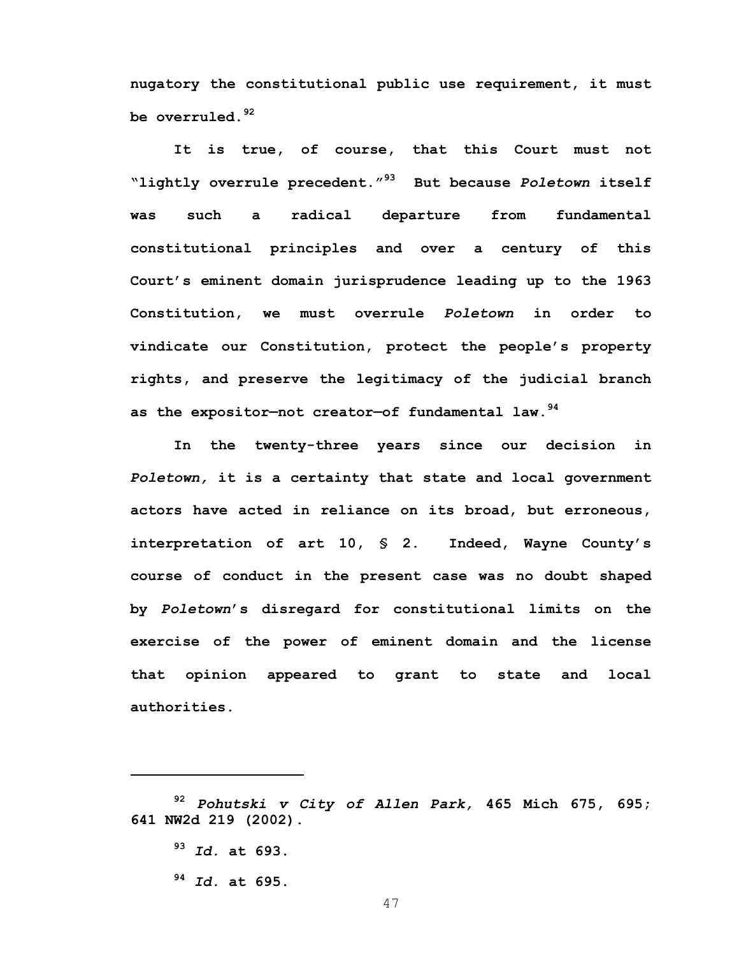**nugatory the constitutional public use requirement, it must be overruled.<sup>92</sup>**

 **It is true, of course, that this Court must not "lightly overrule precedent."93 But because** *Poletown* **itself was such a radical departure from fundamental constitutional principles and over a century of this Court's eminent domain jurisprudence leading up to the 1963 Constitution, we must overrule** *Poletown* **in order to vindicate our Constitution, protect the people's property rights, and preserve the legitimacy of the judicial branch as the expositor—not creator—of fundamental law.<sup>94</sup>**

 **In the twenty-three years since our decision in**  *Poletown,* **it is a certainty that state and local government actors have acted in reliance on its broad, but erroneous, interpretation of art 10, § 2. Indeed, Wayne County's course of conduct in the present case was no doubt shaped by** *Poletown***'s disregard for constitutional limits on the exercise of the power of eminent domain and the license that opinion appeared to grant to state and local authorities.** 

**<sup>93</sup>** *Id.* **at 693.** 

 $\overline{a}$ 

**<sup>94</sup>** *Id.* **at 695.** 

**<sup>92</sup>** *Pohutski v City of Allen Park,* **465 Mich 675, 695; 641 NW2d 219 (2002).**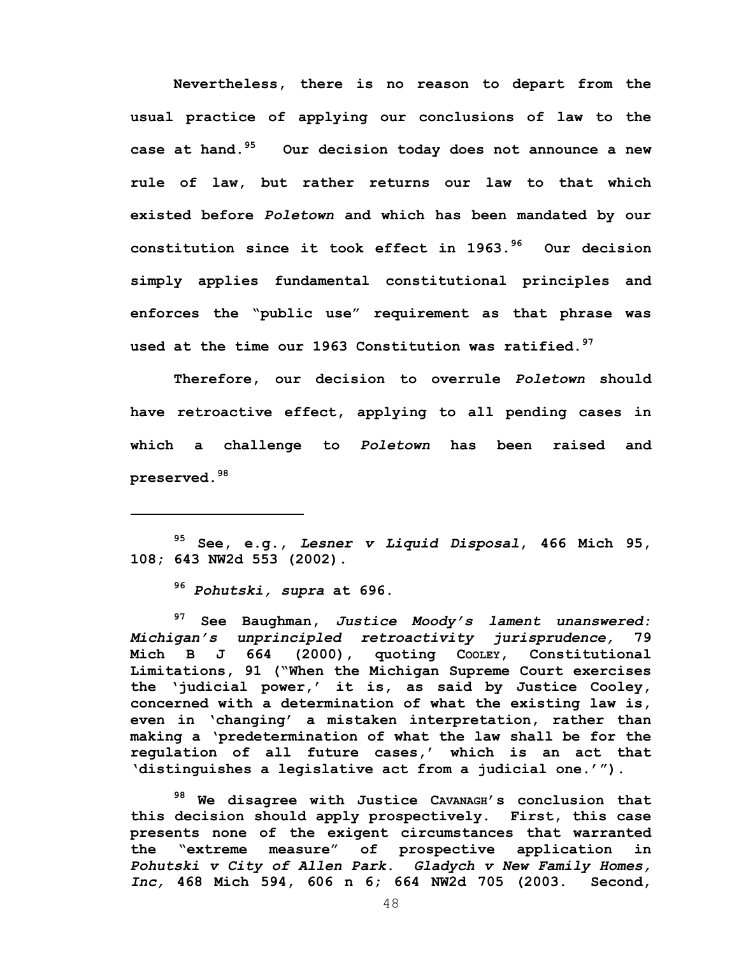**Nevertheless, there is no reason to depart from the usual practice of applying our conclusions of law to the case at hand.95 Our decision today does not announce a new rule of law, but rather returns our law to that which existed before** *Poletown* **and which has been mandated by our constitution since it took effect in 1963.96 Our decision simply applies fundamental constitutional principles and enforces the "public use" requirement as that phrase was used at the time our 1963 Constitution was ratified.97** 

**Therefore, our decision to overrule** *Poletown* **should have retroactive effect, applying to all pending cases in which a challenge to** *Poletown* **has been raised and preserved.98** 

**95 See, e.g.,** *Lesner v Liquid Disposal***, 466 Mich 95, 108; 643 NW2d 553 (2002).** 

**<sup>96</sup>** *Pohutski, supra* **at 696.** 

 $\overline{a}$ 

**97 See Baughman,** *Justice Moody's lament unanswered: Michigan's unprincipled retroactivity jurisprudence,* **79**  Mich B J 664 (2000), quoting Cooley, Constitutional **Limitations, 91 ("When the Michigan Supreme Court exercises the 'judicial power,' it is, as said by Justice Cooley, concerned with a determination of what the existing law is, even in 'changing' a mistaken interpretation, rather than making a 'predetermination of what the law shall be for the regulation of all future cases,' which is an act that 'distinguishes a legislative act from a judicial one.'").** 

**98 We disagree with Justice CAVANAGH's conclusion that this decision should apply prospectively. First, this case presents none of the exigent circumstances that warranted the "extreme measure" of prospective application in**  *Pohutski v City of Allen Park***.** *Gladych v New Family Homes, Inc,* **468 Mich 594, 606 n 6; 664 NW2d 705 (2003. Second,**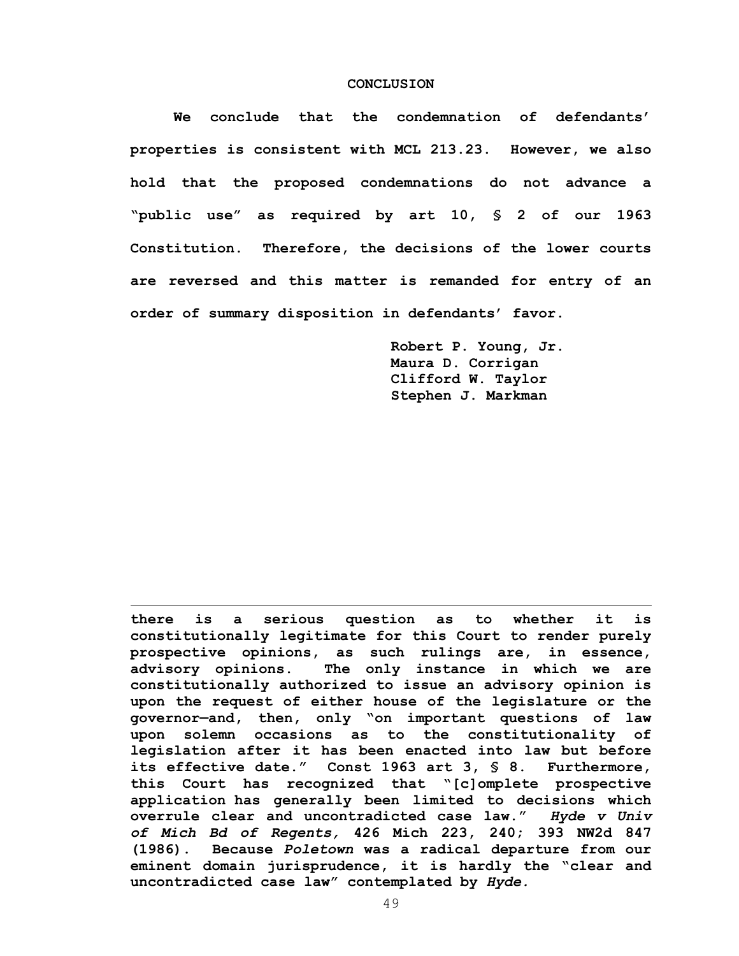#### **CONCLUSION**

 **We conclude that the condemnation of defendants' properties is consistent with MCL 213.23. However, we also hold that the proposed condemnations do not advance a "public use" as required by art 10, § 2 of our 1963 Constitution. Therefore, the decisions of the lower courts are reversed and this matter is remanded for entry of an order of summary disposition in defendants' favor.** 

> **Robert P. Young, Jr. Maura D. Corrigan Clifford W. Taylor Stephen J. Markman**

**there is a serious question as to whether it is constitutionally legitimate for this Court to render purely prospective opinions, as such rulings are, in essence, advisory opinions. The only instance in which we are constitutionally authorized to issue an advisory opinion is upon the request of either house of the legislature or the governor—and, then, only "on important questions of law upon solemn occasions as to the constitutionality of legislation after it has been enacted into law but before its effective date." Const 1963 art 3, § 8. Furthermore, this Court has recognized that "[c]omplete prospective application has generally been limited to decisions which overrule clear and uncontradicted case law."** *Hyde v Univ of Mich Bd of Regents,* **426 Mich 223, 240; 393 NW2d 847 (1986). Because** *Poletown* **was a radical departure from our eminent domain jurisprudence, it is hardly the "clear and uncontradicted case law" contemplated by** *Hyde.*

 $\overline{a}$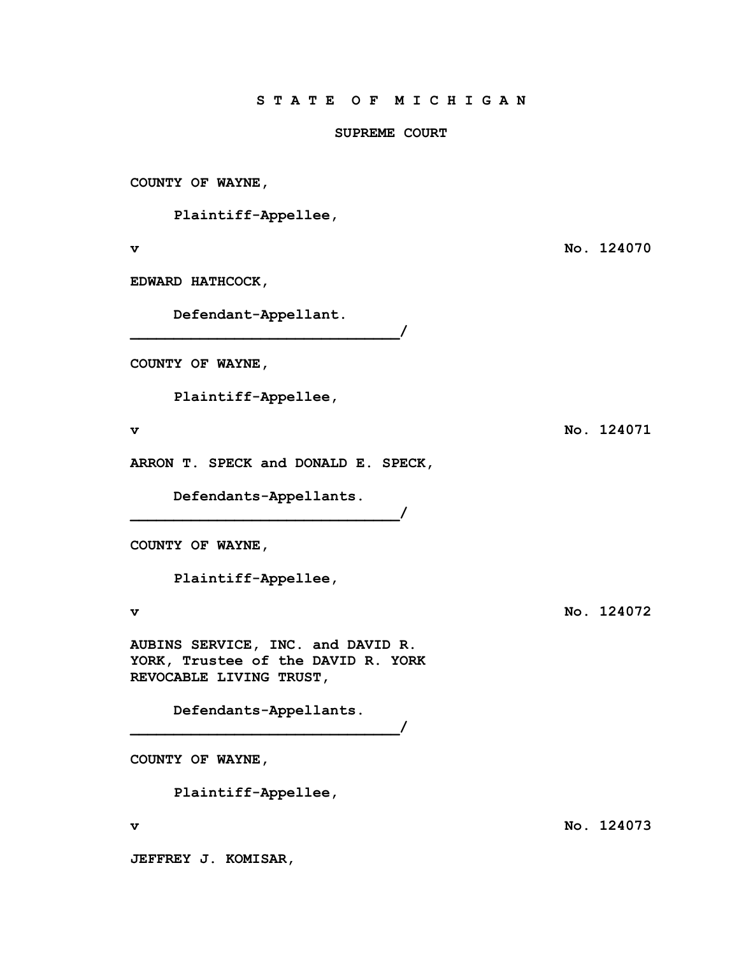# **SUPREME COURT**

**COUNTY OF WAYNE,** 

 **Plaintiff-Appellee,** 

**EDWARD HATHCOCK,** 

 **Defendant-Appellant.** 

**\_\_\_\_\_\_\_\_\_\_\_\_\_\_\_\_\_\_\_\_\_\_\_\_\_\_\_\_\_\_\_/** 

**COUNTY OF WAYNE,** 

 **Plaintiff-Appellee,** 

**ARRON T. SPECK and DONALD E. SPECK,** 

**\_\_\_\_\_\_\_\_\_\_\_\_\_\_\_\_\_\_\_\_\_\_\_\_\_\_\_\_\_\_\_/** 

 **Defendants-Appellants.** 

**COUNTY OF WAYNE,** 

 **Plaintiff-Appellee,** 

**AUBINS SERVICE, INC. and DAVID R. YORK, Trustee of the DAVID R. YORK REVOCABLE LIVING TRUST,** 

> **Defendants-Appellants. \_\_\_\_\_\_\_\_\_\_\_\_\_\_\_\_\_\_\_\_\_\_\_\_\_\_\_\_\_\_\_/**

**COUNTY OF WAYNE,** 

 **Plaintiff-Appellee,** 

**v** No. 124073

**JEFFREY J. KOMISAR,** 

**v No. 124070** 

**v** No. 124071

**v No. 124072**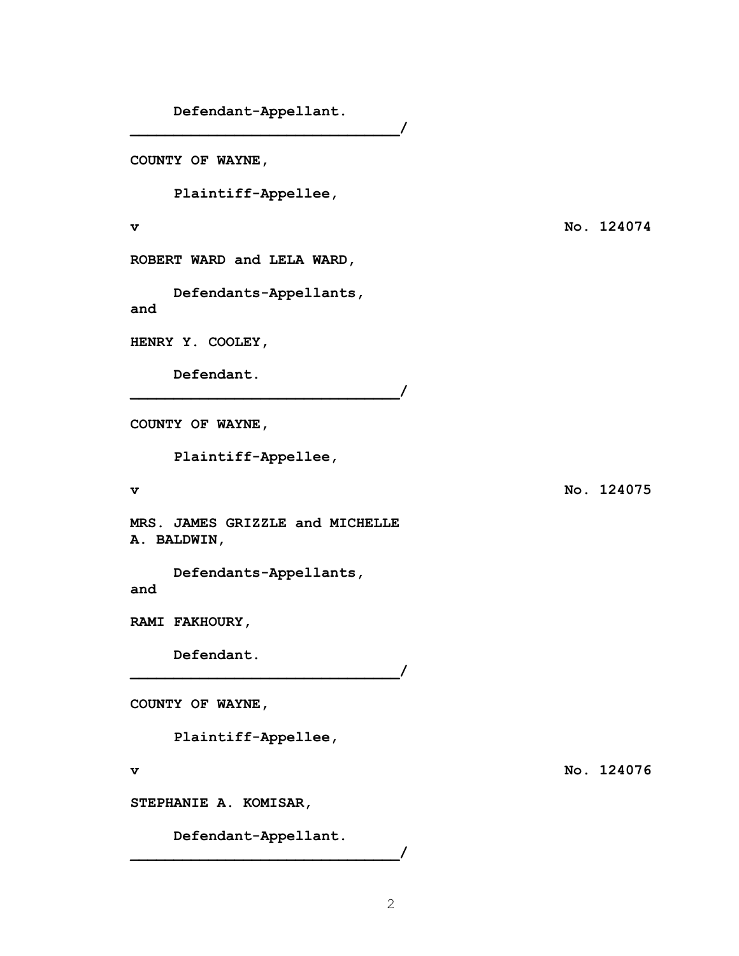**Defendant-Appellant.** 

**\_\_\_\_\_\_\_\_\_\_\_\_\_\_\_\_\_\_\_\_\_\_\_\_\_\_\_\_\_\_\_/** 

 $\overline{\phantom{a}}$ 

**\_\_\_\_\_\_\_\_\_\_\_\_\_\_\_\_\_\_\_\_\_\_\_\_\_\_\_\_\_\_\_/** 

**COUNTY OF WAYNE,** 

 **Plaintiff-Appellee,** 

**ROBERT WARD and LELA WARD,** 

 **Defendants-Appellants, and** 

**HENRY Y. COOLEY,** 

**Defendant.** 

**COUNTY OF WAYNE,** 

 **Plaintiff-Appellee,** 

**MRS. JAMES GRIZZLE and MICHELLE A. BALDWIN,** 

 **Defendants-Appellants, and** 

**RAMI FAKHOURY,** 

**Defendant.** 

**COUNTY OF WAYNE,** 

 **Plaintiff-Appellee,** 

**STEPHANIE A. KOMISAR,** 

 **Defendant-Appellant. \_\_\_\_\_\_\_\_\_\_\_\_\_\_\_\_\_\_\_\_\_\_\_\_\_\_\_\_\_\_\_/** 

**v** No. 124074

**v** No. 124075

**v** No. 124076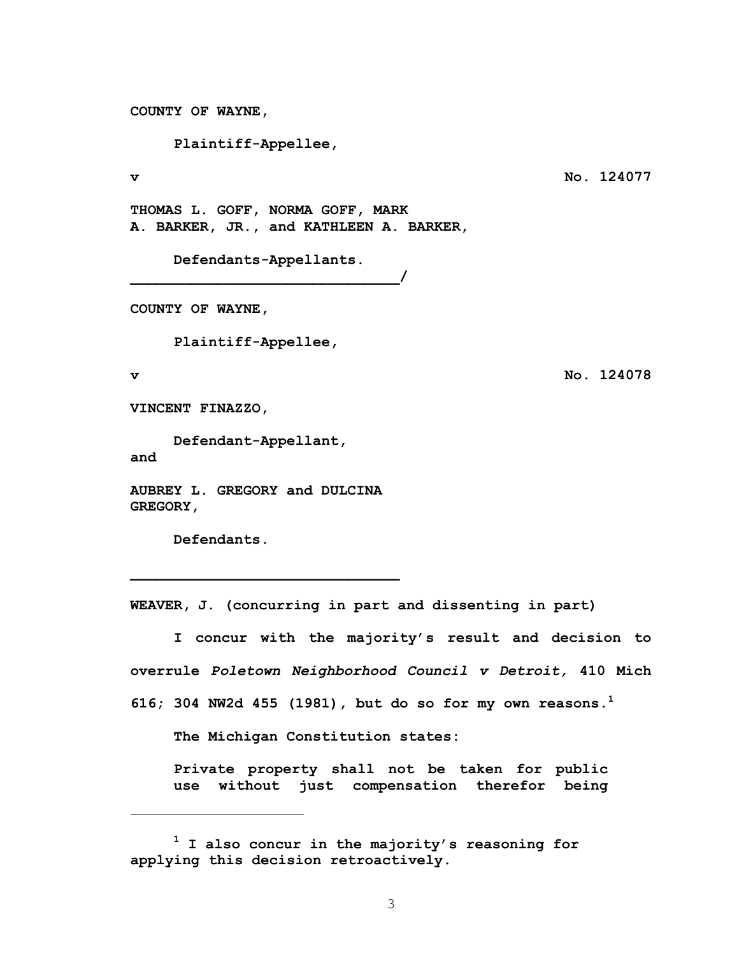**COUNTY OF WAYNE,** 

 **Plaintiff-Appellee,** 

**v No. 124077** 

**THOMAS L. GOFF, NORMA GOFF, MARK A. BARKER, JR., and KATHLEEN A. BARKER,** 

**\_\_\_\_\_\_\_\_\_\_\_\_\_\_\_\_\_\_\_\_\_\_\_\_\_\_\_\_\_\_\_/** 

 **Defendants-Appellants.** 

**COUNTY OF WAYNE,** 

 **Plaintiff-Appellee,** 

1

**v No. 124078** 

**VINCENT FINAZZO,** 

 **Defendant-Appellant, and** 

**AUBREY L. GREGORY and DULCINA GREGORY,** 

**\_\_\_\_\_\_\_\_\_\_\_\_\_\_\_\_\_\_\_\_\_\_\_\_\_\_\_\_\_\_\_** 

**Defendants.** 

**WEAVER, J. (concurring in part and dissenting in part)** 

**I concur with the majority's result and decision to overrule** *Poletown Neighborhood Council v Detroit,* **410 Mich 616; 304 NW2d 455 (1981), but do so for my own reasons.<sup>1</sup>** 

**The Michigan Constitution states:** 

**Private property shall not be taken for public use without just compensation therefor being** 

**<sup>1</sup> I also concur in the majority's reasoning for applying this decision retroactively.**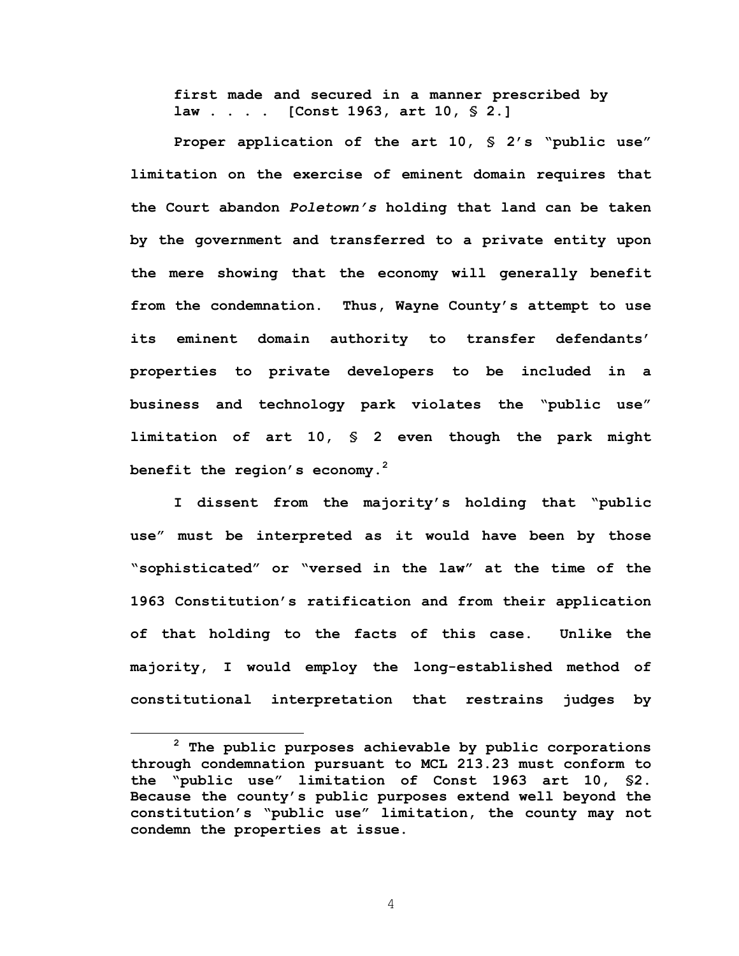**first made and secured in a manner prescribed by law . . . . [Const 1963, art 10, § 2.]** 

**Proper application of the art 10, § 2's "public use" limitation on the exercise of eminent domain requires that the Court abandon** *Poletown's* **holding that land can be taken by the government and transferred to a private entity upon the mere showing that the economy will generally benefit from the condemnation. Thus, Wayne County's attempt to use its eminent domain authority to transfer defendants' properties to private developers to be included in a business and technology park violates the "public use" limitation of art 10, § 2 even though the park might benefit the region's economy.<sup>2</sup>** 

**I dissent from the majority's holding that "public use" must be interpreted as it would have been by those "sophisticated" or "versed in the law" at the time of the 1963 Constitution's ratification and from their application of that holding to the facts of this case. Unlike the majority, I would employ the long-established method of constitutional interpretation that restrains judges by** 

**<sup>2</sup> The public purposes achievable by public corporations through condemnation pursuant to MCL 213.23 must conform to the "public use" limitation of Const 1963 art 10, §2. Because the county's public purposes extend well beyond the constitution's "public use" limitation, the county may not condemn the properties at issue.**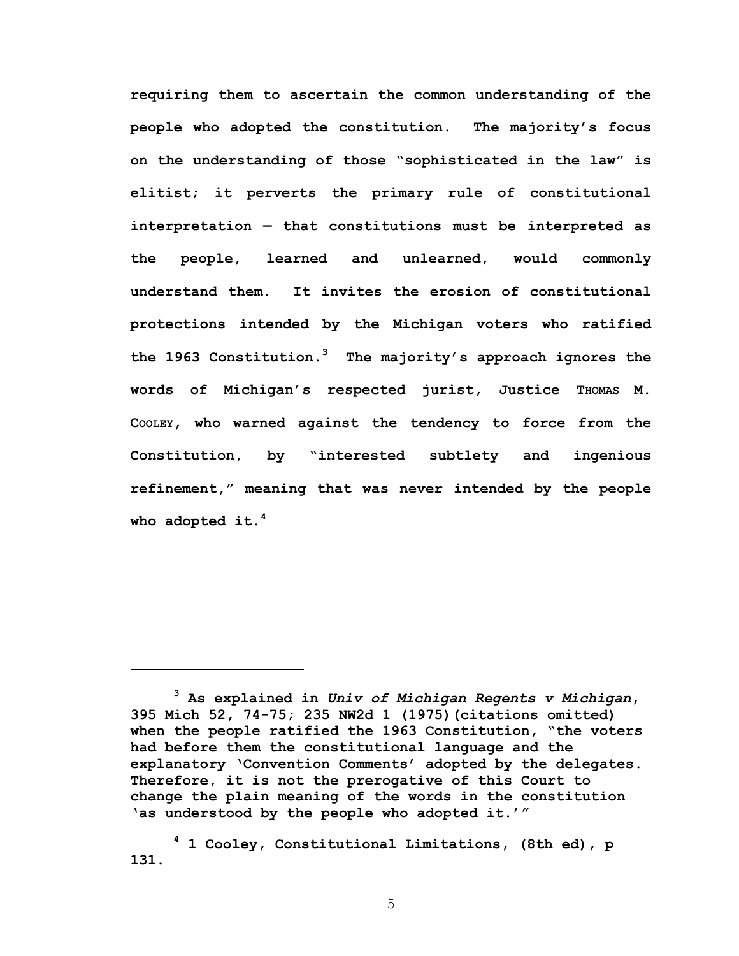**requiring them to ascertain the common understanding of the people who adopted the constitution. The majority's focus on the understanding of those "sophisticated in the law" is elitist; it perverts the primary rule of constitutional interpretation — that constitutions must be interpreted as the people, learned and unlearned, would commonly understand them. It invites the erosion of constitutional protections intended by the Michigan voters who ratified the 1963 Constitution.<sup>3</sup> The majority's approach ignores the words of Michigan's respected jurist, Justice THOMAS M. COOLEY, who warned against the tendency to force from the Constitution, by "interested subtlety and ingenious refinement," meaning that was never intended by the people who adopted it.<sup>4</sup>** 

 $\overline{a}$ 

**<sup>3</sup> As explained in** *Univ of Michigan Regents v Michigan***, 395 Mich 52, 74-75; 235 NW2d 1 (1975)(citations omitted) when the people ratified the 1963 Constitution, "the voters had before them the constitutional language and the explanatory 'Convention Comments' adopted by the delegates. Therefore, it is not the prerogative of this Court to change the plain meaning of the words in the constitution 'as understood by the people who adopted it.'"** 

**<sup>4</sup> 1 Cooley, Constitutional Limitations, (8th ed), p 131.**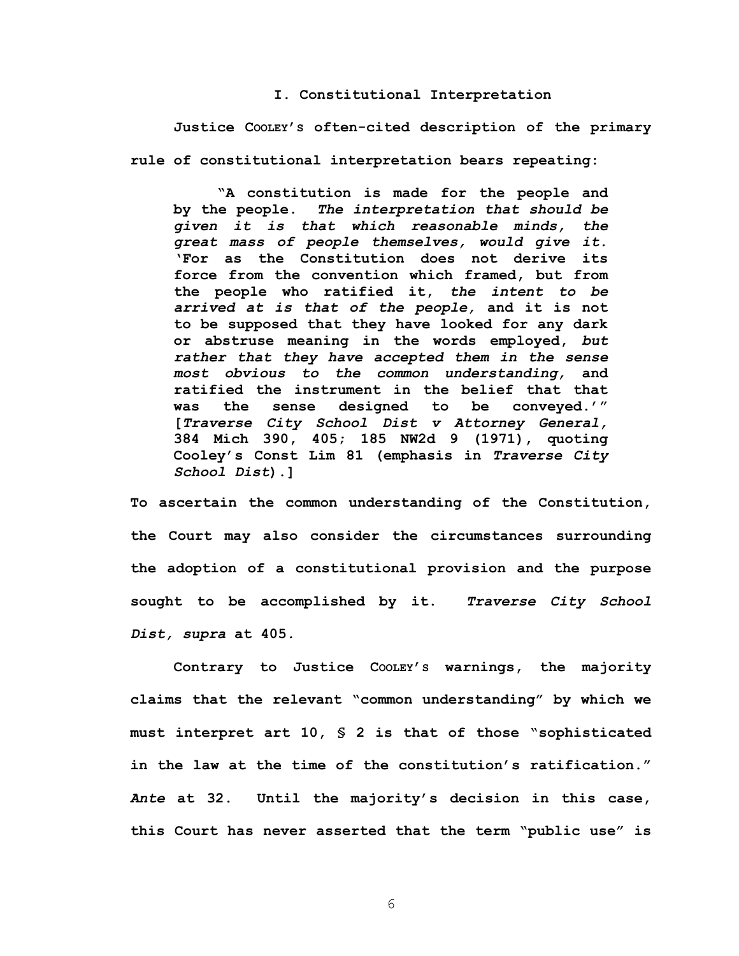# **I. Constitutional Interpretation**

**Justice COOLEY'S often-cited description of the primary rule of constitutional interpretation bears repeating:** 

**"A constitution is made for the people and by the people.** *The interpretation that should be given it is that which reasonable minds, the great mass of people themselves, would give it.* **'For as the Constitution does not derive its force from the convention which framed, but from the people who ratified it,** *the intent to be arrived at is that of the people,* **and it is not to be supposed that they have looked for any dark or abstruse meaning in the words employed,** *but rather that they have accepted them in the sense most obvious to the common understanding,* **and ratified the instrument in the belief that that was the sense designed to be conveyed.'" [***Traverse City School Dist v Attorney General,* **384 Mich 390, 405; 185 NW2d 9 (1971), quoting Cooley's Const Lim 81 (emphasis in** *Traverse City School Dist***).]** 

**To ascertain the common understanding of the Constitution, the Court may also consider the circumstances surrounding the adoption of a constitutional provision and the purpose sought to be accomplished by it.** *Traverse City School Dist, supra* **at 405***.* 

**Contrary to Justice COOLEY'S warnings, the majority claims that the relevant "common understanding" by which we must interpret art 10, § 2 is that of those "sophisticated in the law at the time of the constitution's ratification."**  *Ante* **at 32. Until the majority's decision in this case, this Court has never asserted that the term "public use" is**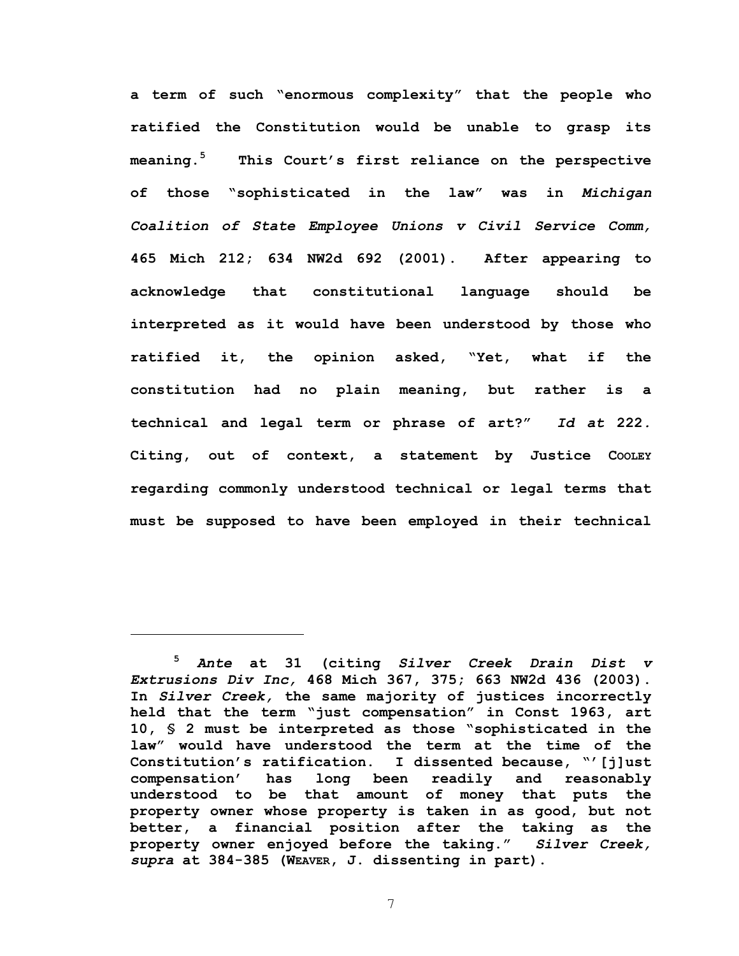**a term of such "enormous complexity" that the people who ratified the Constitution would be unable to grasp its meaning.<sup>5</sup> This Court's first reliance on the perspective of those "sophisticated in the law" was in** *Michigan Coalition of State Employee Unions v Civil Service Comm,*  **465 Mich 212; 634 NW2d 692 (2001). After appearing to acknowledge that constitutional language should be interpreted as it would have been understood by those who ratified it, the opinion asked, "Yet, what if the constitution had no plain meaning, but rather is a technical and legal term or phrase of art?"** *Id at* **222***.*  **Citing, out of context, a statement by Justice COOLEY regarding commonly understood technical or legal terms that must be supposed to have been employed in their technical** 

1

**<sup>5</sup>** *Ante* **at 31 (citing** *Silver Creek Drain Dist v Extrusions Div Inc,* **468 Mich 367, 375; 663 NW2d 436 (2003). In** *Silver Creek,* **the same majority of justices incorrectly held that the term "just compensation" in Const 1963, art 10, § 2 must be interpreted as those "sophisticated in the law" would have understood the term at the time of the Constitution's ratification. I dissented because, "'[j]ust compensation' has long been readily and reasonably understood to be that amount of money that puts the property owner whose property is taken in as good, but not better, a financial position after the taking as the property owner enjoyed before the taking."** *Silver Creek, supra* **at 384-385 (WEAVER, J. dissenting in part).**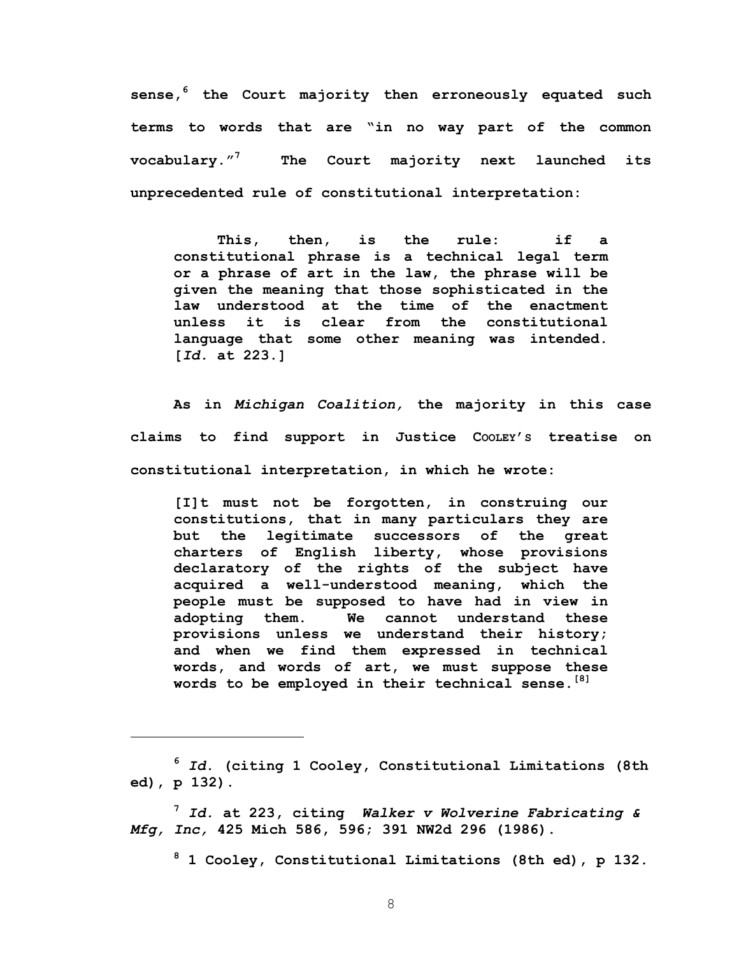**sense,<sup>6</sup> the Court majority then erroneously equated such terms to words that are "in no way part of the common vocabulary."<sup>7</sup> The Court majority next launched its unprecedented rule of constitutional interpretation:**

**This, then, is the rule: if a constitutional phrase is a technical legal term or a phrase of art in the law, the phrase will be given the meaning that those sophisticated in the law understood at the time of the enactment unless it is clear from the constitutional language that some other meaning was intended. [***Id.* **at 223.]** 

**As in** *Michigan Coalition,* **the majority in this case claims to find support in Justice COOLEY'S treatise on constitutional interpretation, in which he wrote:** 

**[I]t must not be forgotten, in construing our constitutions, that in many particulars they are but the legitimate successors of the great charters of English liberty, whose provisions declaratory of the rights of the subject have acquired a well-understood meaning, which the people must be supposed to have had in view in adopting them. We cannot understand these provisions unless we understand their history; and when we find them expressed in technical words, and words of art, we must suppose these words to be employed in their technical sense.[8]**

 $\overline{a}$ 

**<sup>7</sup>** *Id.* **at 223, citing** *Walker v Wolverine Fabricating & Mfg, Inc,* **425 Mich 586, 596; 391 NW2d 296 (1986).** 

**8 1 Cooley, Constitutional Limitations (8th ed), p 132.** 

**<sup>6</sup>** *Id.* **(citing 1 Cooley, Constitutional Limitations (8th ed), p 132).**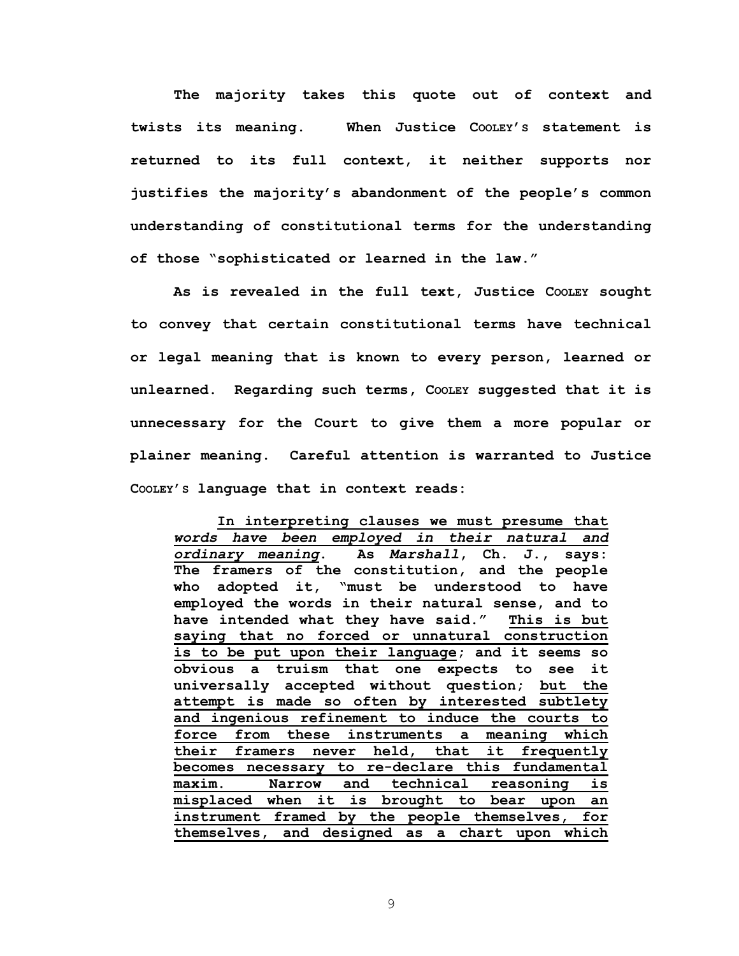**The majority takes this quote out of context and twists its meaning. When Justice COOLEY'S statement is returned to its full context, it neither supports nor justifies the majority's abandonment of the people's common understanding of constitutional terms for the understanding of those "sophisticated or learned in the law."** 

**As is revealed in the full text, Justice COOLEY sought to convey that certain constitutional terms have technical or legal meaning that is known to every person, learned or unlearned. Regarding such terms, COOLEY suggested that it is unnecessary for the Court to give them a more popular or plainer meaning. Careful attention is warranted to Justice COOLEY'S language that in context reads:** 

**In interpreting clauses we must presume that**  *words have been employed in their natural and ordinary meaning***. As** *Marshall***, Ch. J., says: The framers of the constitution, and the people who adopted it, "must be understood to have employed the words in their natural sense, and to have intended what they have said." This is but saying that no forced or unnatural construction is to be put upon their language; and it seems so obvious a truism that one expects to see it universally accepted without question; but the attempt is made so often by interested subtlety and ingenious refinement to induce the courts to force from these instruments a meaning which their framers never held, that it frequently becomes necessary to re-declare this fundamental maxim. Narrow and technical reasoning is misplaced when it is brought to bear upon an instrument framed by the people themselves, for themselves, and designed as a chart upon which**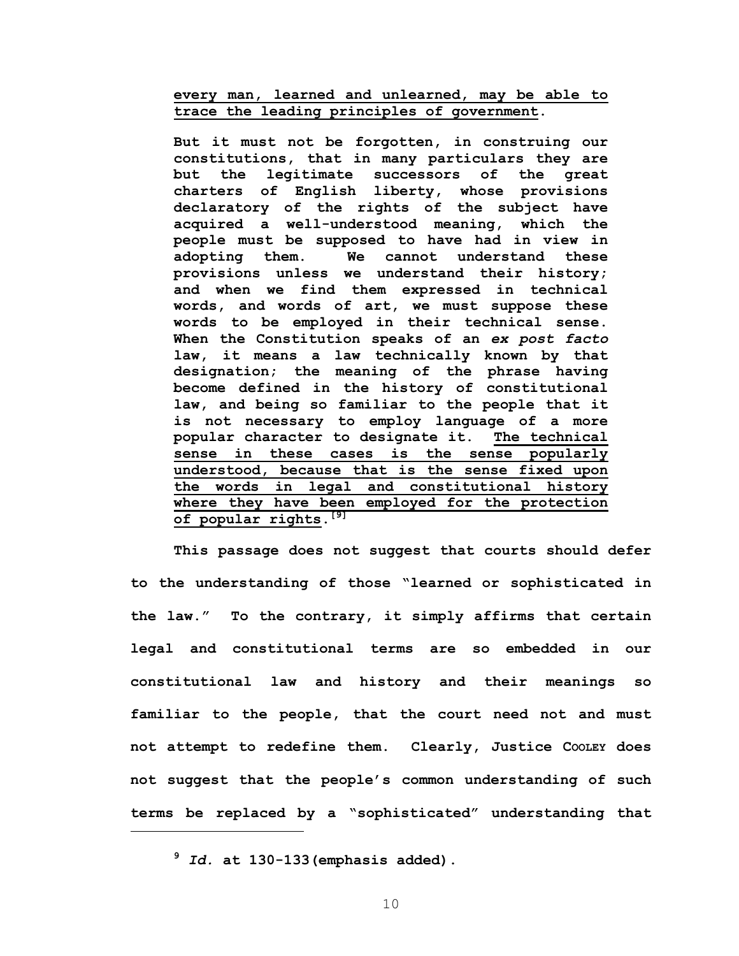**every man, learned and unlearned, may be able to trace the leading principles of government.** 

**But it must not be forgotten, in construing our constitutions, that in many particulars they are but the legitimate successors of the great charters of English liberty, whose provisions declaratory of the rights of the subject have acquired a well-understood meaning, which the people must be supposed to have had in view in adopting them. We cannot understand these provisions unless we understand their history; and when we find them expressed in technical words, and words of art, we must suppose these words to be employed in their technical sense. When the Constitution speaks of an** *ex post facto* **law, it means a law technically known by that designation; the meaning of the phrase having become defined in the history of constitutional law, and being so familiar to the people that it is not necessary to employ language of a more popular character to designate it. The technical sense in these cases is the sense popularly understood, because that is the sense fixed upon the words in legal and constitutional history where they have been employed for the protection of popular rights.[9]**

**This passage does not suggest that courts should defer to the understanding of those "learned or sophisticated in the law." To the contrary, it simply affirms that certain legal and constitutional terms are so embedded in our constitutional law and history and their meanings so familiar to the people, that the court need not and must not attempt to redefine them. Clearly, Justice COOLEY does not suggest that the people's common understanding of such terms be replaced by a "sophisticated" understanding that** 

**<sup>9</sup>** *Id.* **at 130-133(emphasis added).**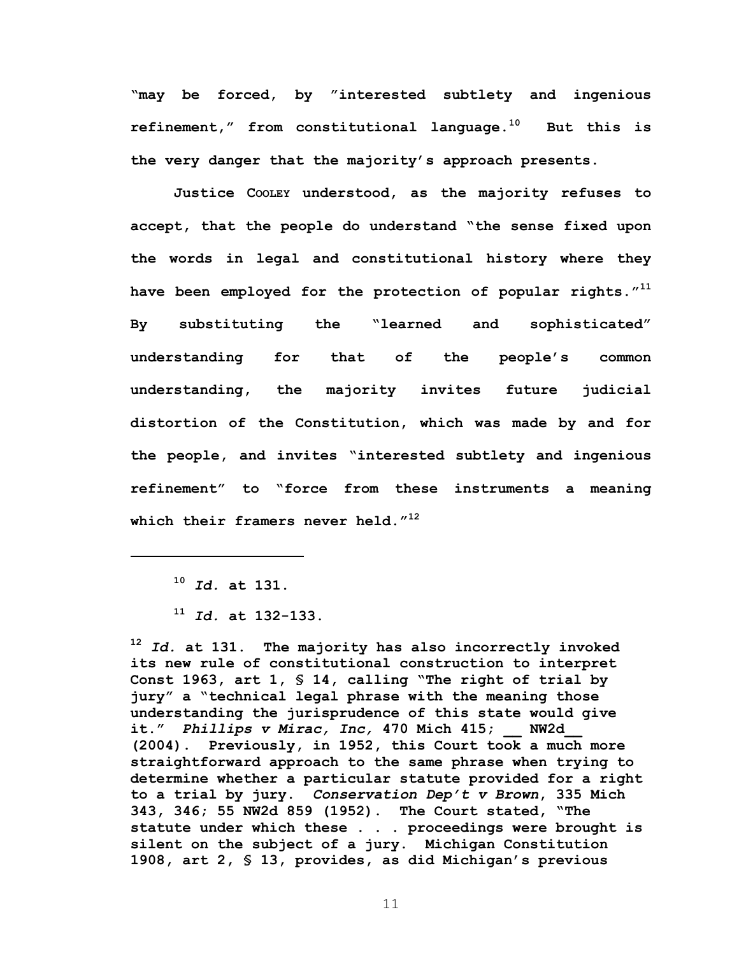**"may be forced, by "interested subtlety and ingenious refinement," from constitutional language.10 But this is the very danger that the majority's approach presents.** 

**Justice COOLEY understood, as the majority refuses to accept, that the people do understand "the sense fixed upon the words in legal and constitutional history where they have been employed for the protection of popular rights."11 By substituting the "learned and sophisticated" understanding for that of the people's common understanding, the majority invites future judicial distortion of the Constitution, which was made by and for the people, and invites "interested subtlety and ingenious refinement" to "force from these instruments a meaning which their framers never held."12** 

 $\overline{a}$ 

**<sup>12</sup>** *Id.* **at 131. The majority has also incorrectly invoked its new rule of constitutional construction to interpret Const 1963, art 1, § 14, calling "The right of trial by jury" a "technical legal phrase with the meaning those understanding the jurisprudence of this state would give it."** *Phillips v Mirac, Inc,* **470 Mich 415; \_\_ NW2d\_\_ (2004). Previously, in 1952, this Court took a much more straightforward approach to the same phrase when trying to determine whether a particular statute provided for a right to a trial by jury.** *Conservation Dep't v Brown***, 335 Mich 343, 346; 55 NW2d 859 (1952). The Court stated, "The statute under which these . . . proceedings were brought is silent on the subject of a jury. Michigan Constitution 1908, art 2, § 13, provides, as did Michigan's previous** 

**<sup>10</sup>** *Id.* **at 131.** 

**<sup>11</sup>** *Id.* **at 132-133.**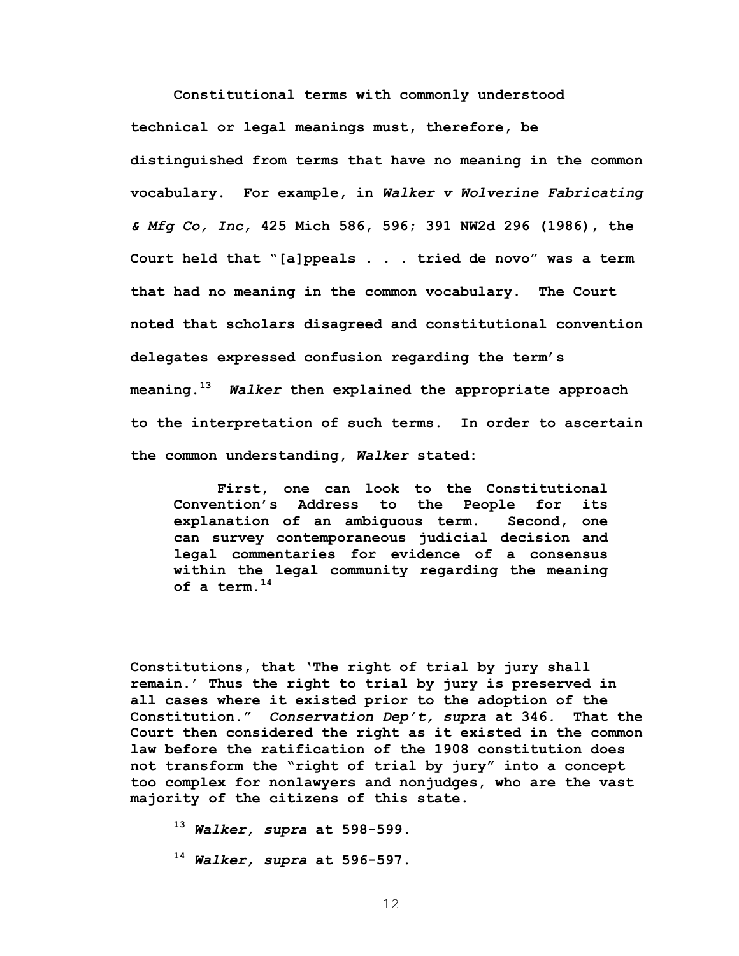**Constitutional terms with commonly understood technical or legal meanings must, therefore, be distinguished from terms that have no meaning in the common vocabulary. For example, in** *Walker v Wolverine Fabricating & Mfg Co, Inc,* **425 Mich 586, 596; 391 NW2d 296 (1986), the Court held that "[a]ppeals . . . tried de novo" was a term that had no meaning in the common vocabulary. The Court noted that scholars disagreed and constitutional convention delegates expressed confusion regarding the term's meaning.13** *Walker* **then explained the appropriate approach to the interpretation of such terms. In order to ascertain the common understanding,** *Walker* **stated:** 

**First, one can look to the Constitutional Convention's Address to the People for its explanation of an ambiguous term. Second, one can survey contemporaneous judicial decision and legal commentaries for evidence of a consensus within the legal community regarding the meaning of a term.14** 

**Constitutions, that 'The right of trial by jury shall remain.' Thus the right to trial by jury is preserved in all cases where it existed prior to the adoption of the Constitution."** *Conservation Dep't, supra* **at 346***.* **That the Court then considered the right as it existed in the common law before the ratification of the 1908 constitution does not transform the "right of trial by jury" into a concept too complex for nonlawyers and nonjudges, who are the vast majority of the citizens of this state.** 

**<sup>13</sup>** *Walker, supra* **at 598-599.** 

 $\overline{a}$ 

**<sup>14</sup>** *Walker, supra* **at 596-597.**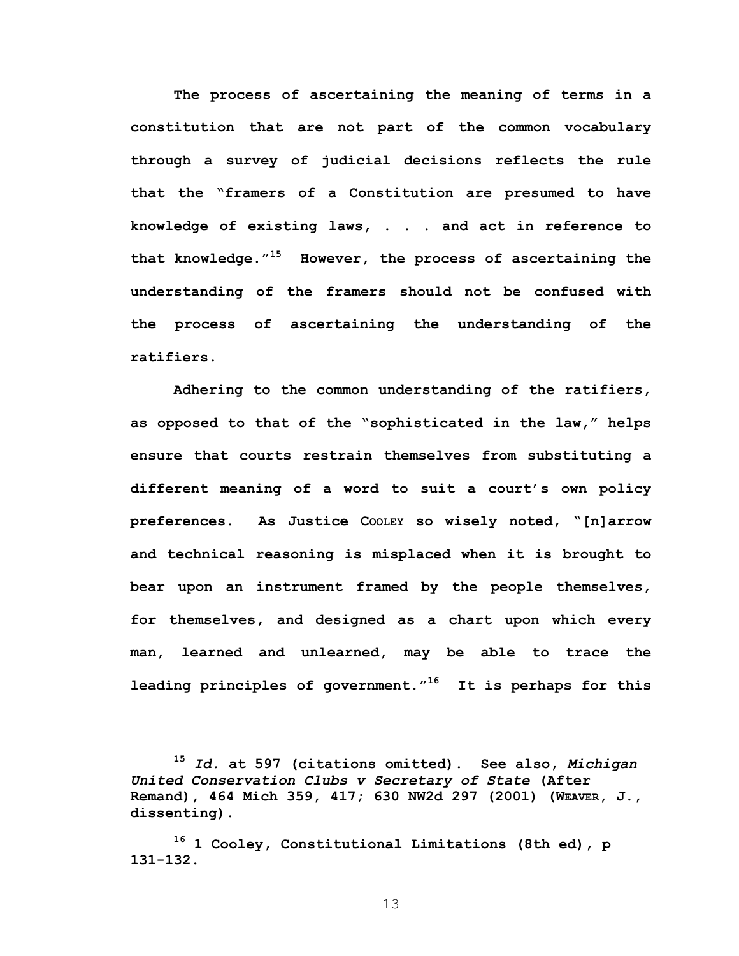**The process of ascertaining the meaning of terms in a constitution that are not part of the common vocabulary through a survey of judicial decisions reflects the rule that the "framers of a Constitution are presumed to have knowledge of existing laws, . . . and act in reference to that knowledge."15 However, the process of ascertaining the understanding of the framers should not be confused with the process of ascertaining the understanding of the ratifiers.** 

**Adhering to the common understanding of the ratifiers, as opposed to that of the "sophisticated in the law," helps ensure that courts restrain themselves from substituting a different meaning of a word to suit a court's own policy preferences. As Justice COOLEY so wisely noted, "[n]arrow and technical reasoning is misplaced when it is brought to bear upon an instrument framed by the people themselves, for themselves, and designed as a chart upon which every man, learned and unlearned, may be able to trace the leading principles of government."16 It is perhaps for this** 

 $\overline{a}$ 

**<sup>15</sup>** *Id.* **at 597 (citations omitted). See also,** *Michigan United Conservation Clubs v Secretary of State* **(After Remand), 464 Mich 359, 417; 630 NW2d 297 (2001) (WEAVER, J., dissenting).** 

**<sup>16 1</sup> Cooley, Constitutional Limitations (8th ed), p 131-132.**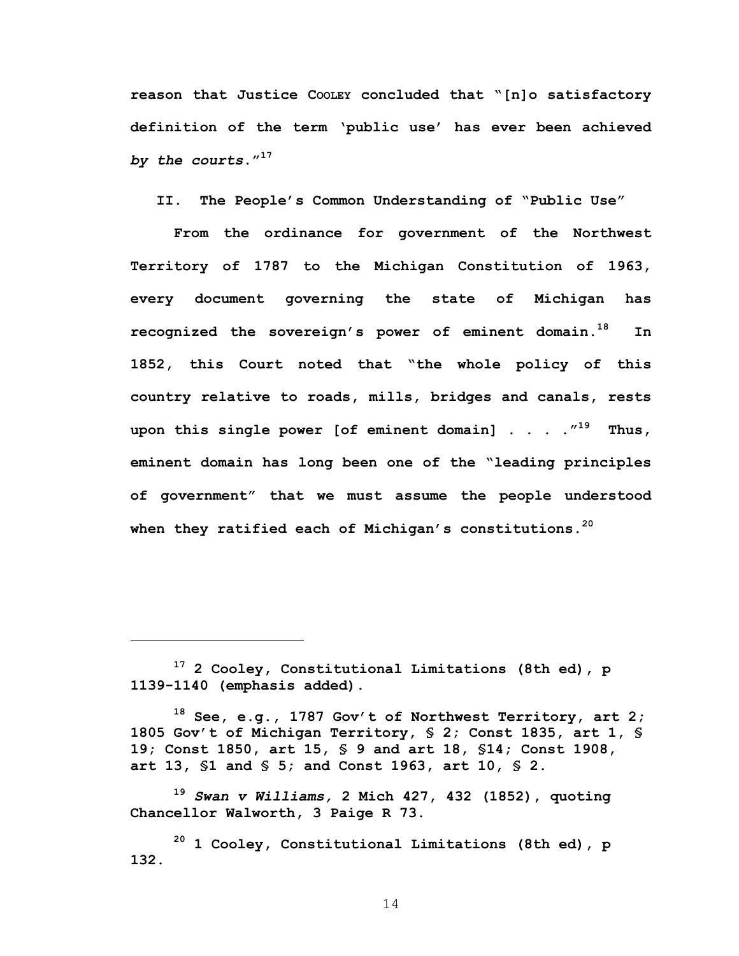**reason that Justice COOLEY concluded that "[n]o satisfactory definition of the term 'public use' has ever been achieved**  *by the courts***."17** 

**II. The People's Common Understanding of "Public Use"** 

**From the ordinance for government of the Northwest Territory of 1787 to the Michigan Constitution of 1963, every document governing the state of Michigan has recognized the sovereign's power of eminent domain.18 In 1852, this Court noted that "the whole policy of this country relative to roads, mills, bridges and canals, rests upon this single power [of eminent domain] . . . ."19 Thus, eminent domain has long been one of the "leading principles of government" that we must assume the people understood when they ratified each of Michigan's constitutions.20** 

1

**<sup>19</sup>** *Swan v Williams,* **2 Mich 427, 432 (1852), quoting Chancellor Walworth, 3 Paige R 73.** 

**<sup>17 2</sup> Cooley, Constitutional Limitations (8th ed), p 1139-1140 (emphasis added).** 

**<sup>18</sup> See, e.g., 1787 Gov't of Northwest Territory, art 2; 1805 Gov't of Michigan Territory, § 2; Const 1835, art 1, § 19; Const 1850, art 15, § 9 and art 18, §14; Const 1908, art 13, §1 and § 5; and Const 1963, art 10, § 2.** 

**<sup>20 1</sup> Cooley, Constitutional Limitations (8th ed), p 132.**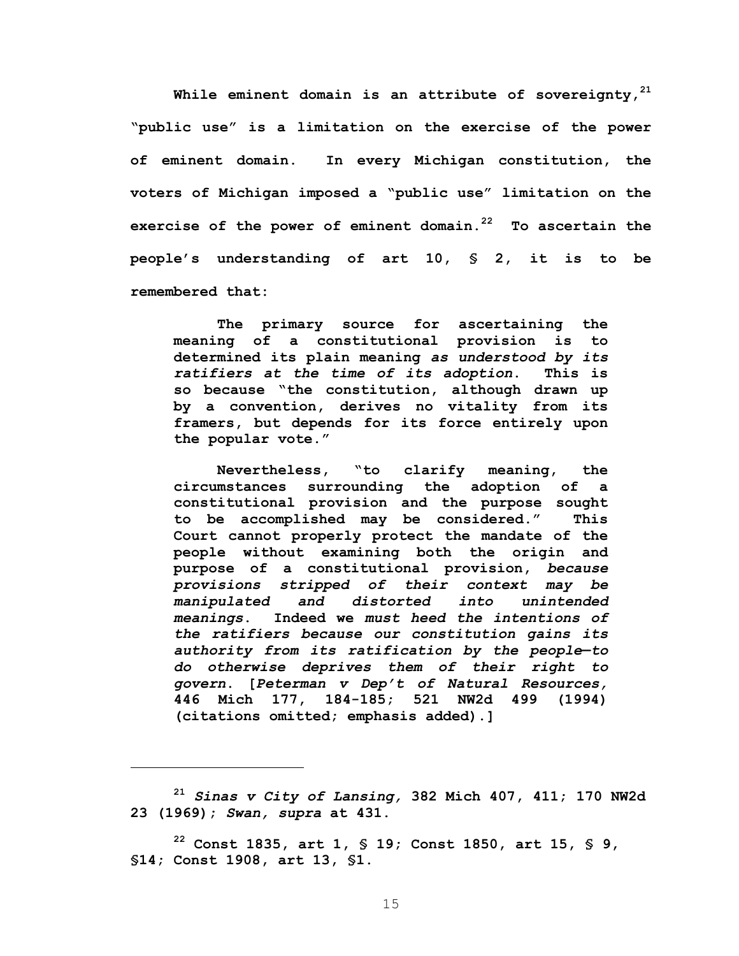While eminent domain is an attribute of sovereignty,<sup>21</sup> **"public use" is a limitation on the exercise of the power of eminent domain. In every Michigan constitution, the voters of Michigan imposed a "public use" limitation on the exercise of the power of eminent domain.22 To ascertain the people's understanding of art 10, § 2, it is to be remembered that:** 

**The primary source for ascertaining the meaning of a constitutional provision is to determined its plain meaning** *as understood by its ratifiers at the time of its adoption***. This is so because "the constitution, although drawn up by a convention, derives no vitality from its framers, but depends for its force entirely upon the popular vote."** 

**Nevertheless, "to clarify meaning, the circumstances surrounding the adoption of a constitutional provision and the purpose sought to be accomplished may be considered." This Court cannot properly protect the mandate of the people without examining both the origin and purpose of a constitutional provision,** *because provisions stripped of their context may be manipulated and distorted into unintended meanings***. Indeed we** *must heed the intentions of the ratifiers because our constitution gains its authority from its ratification by the people***—***to do otherwise deprives them of their right to govern***. [***Peterman v Dep't of Natural Resources,*  **446 Mich 177, 184-185; 521 NW2d 499 (1994) (citations omitted; emphasis added).]** 

**<sup>21</sup>** *Sinas v City of Lansing,* **382 Mich 407, 411; 170 NW2d 23 (1969);** *Swan, supra* **at 431.** 

**22 Const 1835, art 1, § 19; Const 1850, art 15, § 9, §14; Const 1908, art 13, §1.** 

 $\overline{a}$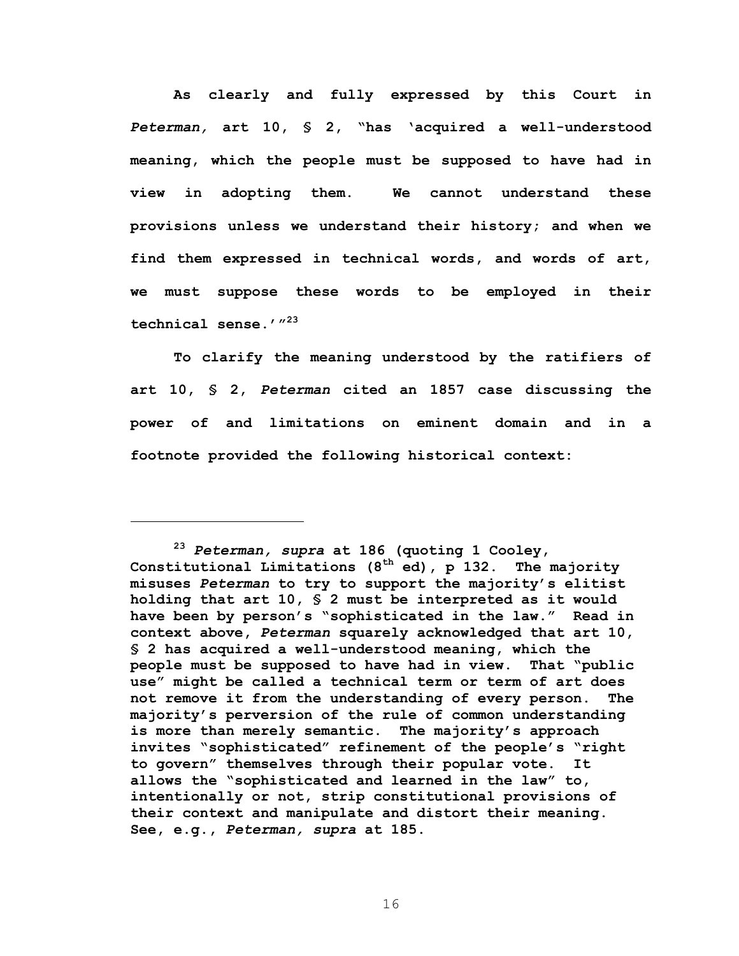**As clearly and fully expressed by this Court in**  *Peterman,* **art 10, § 2, "has 'acquired a well-understood meaning, which the people must be supposed to have had in view in adopting them. We cannot understand these provisions unless we understand their history; and when we find them expressed in technical words, and words of art, we must suppose these words to be employed in their technical sense.'"23** 

**To clarify the meaning understood by the ratifiers of art 10, § 2,** *Peterman* **cited an 1857 case discussing the power of and limitations on eminent domain and in a footnote provided the following historical context:** 

<u>.</u>

**<sup>23</sup>** *Peterman, supra* **at 186 (quoting 1 Cooley, Constitutional Limitations (8th ed), p 132. The majority misuses** *Peterman* **to try to support the majority's elitist holding that art 10, § 2 must be interpreted as it would have been by person's "sophisticated in the law." Read in context above,** *Peterman* **squarely acknowledged that art 10, § 2 has acquired a well-understood meaning, which the people must be supposed to have had in view. That "public use" might be called a technical term or term of art does not remove it from the understanding of every person. The majority's perversion of the rule of common understanding is more than merely semantic. The majority's approach invites "sophisticated" refinement of the people's "right to govern" themselves through their popular vote. It allows the "sophisticated and learned in the law" to, intentionally or not, strip constitutional provisions of their context and manipulate and distort their meaning. See, e.g.,** *Peterman, supra* **at 185.**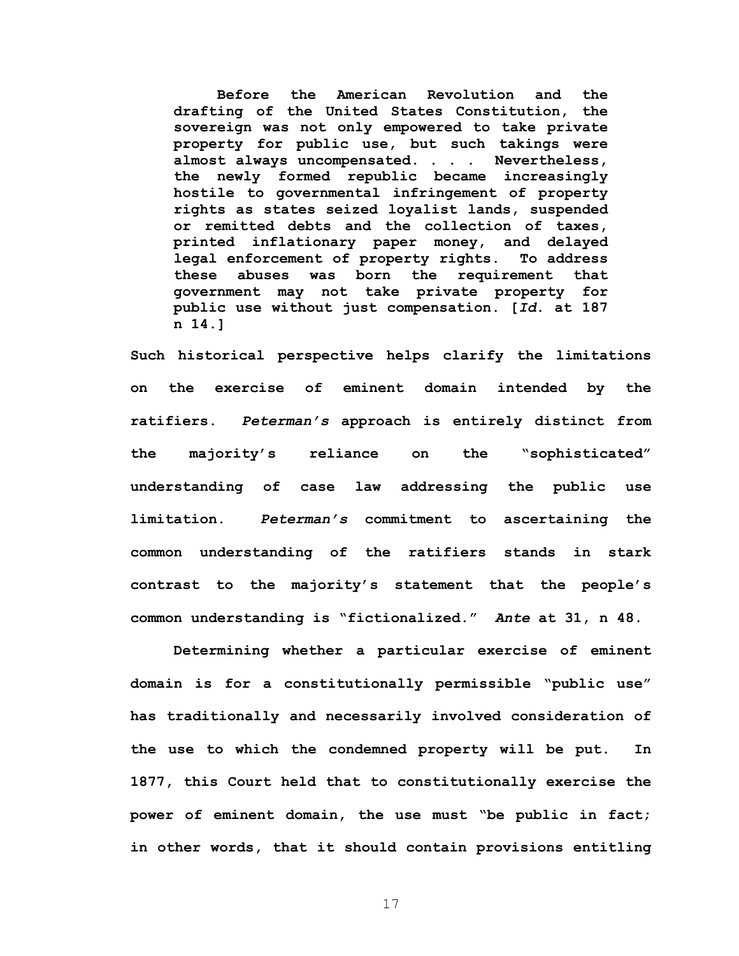**Before the American Revolution and the drafting of the United States Constitution, the sovereign was not only empowered to take private property for public use, but such takings were almost always uncompensated. . . . Nevertheless, the newly formed republic became increasingly hostile to governmental infringement of property rights as states seized loyalist lands, suspended or remitted debts and the collection of taxes, printed inflationary paper money, and delayed legal enforcement of property rights. To address these abuses was born the requirement that government may not take private property for public use without just compensation. [***Id***. at 187 n 14.]** 

**Such historical perspective helps clarify the limitations on the exercise of eminent domain intended by the ratifiers.** *Peterman's* **approach is entirely distinct from the majority's reliance on the "sophisticated" understanding of case law addressing the public use limitation.** *Peterman's* **commitment to ascertaining the common understanding of the ratifiers stands in stark contrast to the majority's statement that the people's common understanding is "fictionalized."** *Ante* **at 31, n 48.** 

**Determining whether a particular exercise of eminent domain is for a constitutionally permissible "public use" has traditionally and necessarily involved consideration of the use to which the condemned property will be put. In 1877, this Court held that to constitutionally exercise the power of eminent domain, the use must "be public in fact; in other words, that it should contain provisions entitling**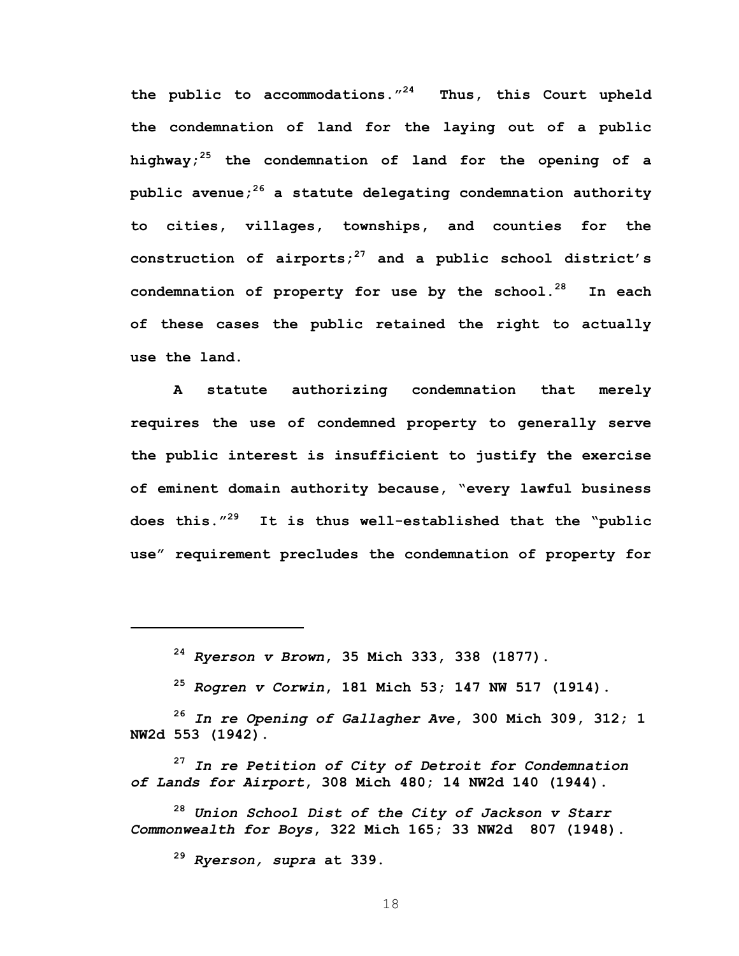**the public to accommodations."24 Thus, this Court upheld the condemnation of land for the laying out of a public highway;25 the condemnation of land for the opening of a public avenue;26 a statute delegating condemnation authority to cities, villages, townships, and counties for the construction of airports;27 and a public school district's condemnation of property for use by the school.28 In each of these cases the public retained the right to actually use the land.** 

**A statute authorizing condemnation that merely requires the use of condemned property to generally serve the public interest is insufficient to justify the exercise of eminent domain authority because, "every lawful business does this."29 It is thus well-established that the "public use" requirement precludes the condemnation of property for** 

**<sup>24</sup>** *Ryerson v Brown***, 35 Mich 333, 338 (1877).** 

**<sup>25</sup>** *Rogren v Corwin***, 181 Mich 53; 147 NW 517 (1914).** 

**<sup>26</sup>** *In re Opening of Gallagher Ave***, 300 Mich 309, 312; 1 NW2d 553 (1942).** 

**<sup>27</sup>** *In re Petition of City of Detroit for Condemnation of Lands for Airport***, 308 Mich 480; 14 NW2d 140 (1944).** 

**<sup>28</sup>** *Union School Dist of the City of Jackson v Starr Commonwealth for Boys***, 322 Mich 165; 33 NW2d 807 (1948).** 

**<sup>29</sup>** *Ryerson, supra* **at 339.** 

 $\overline{a}$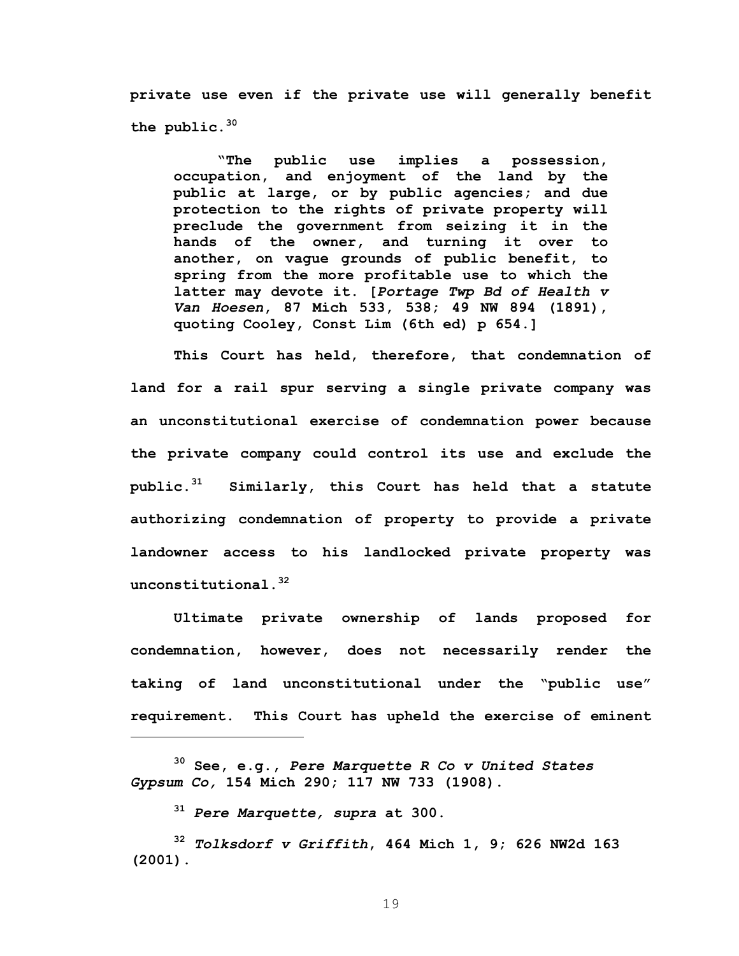**private use even if the private use will generally benefit the public.30** 

**"The public use implies a possession, occupation, and enjoyment of the land by the public at large, or by public agencies; and due protection to the rights of private property will preclude the government from seizing it in the hands of the owner, and turning it over to another, on vague grounds of public benefit, to spring from the more profitable use to which the latter may devote it. [***Portage Twp Bd of Health v Van Hoesen***, 87 Mich 533, 538; 49 NW 894 (1891), quoting Cooley, Const Lim (6th ed) p 654.]** 

**This Court has held, therefore, that condemnation of land for a rail spur serving a single private company was an unconstitutional exercise of condemnation power because the private company could control its use and exclude the public.31 Similarly, this Court has held that a statute authorizing condemnation of property to provide a private landowner access to his landlocked private property was unconstitutional.32** 

**Ultimate private ownership of lands proposed for condemnation, however, does not necessarily render the taking of land unconstitutional under the "public use" requirement. This Court has upheld the exercise of eminent** 

 $\overline{a}$ 

**<sup>30</sup> See, e.g.,** *Pere Marquette R Co v United States Gypsum Co,* **154 Mich 290; 117 NW 733 (1908).** 

**<sup>31</sup>** *Pere Marquette, supra* **at 300.** 

**<sup>32</sup>** *Tolksdorf v Griffith***, 464 Mich 1, 9; 626 NW2d 163 (2001).**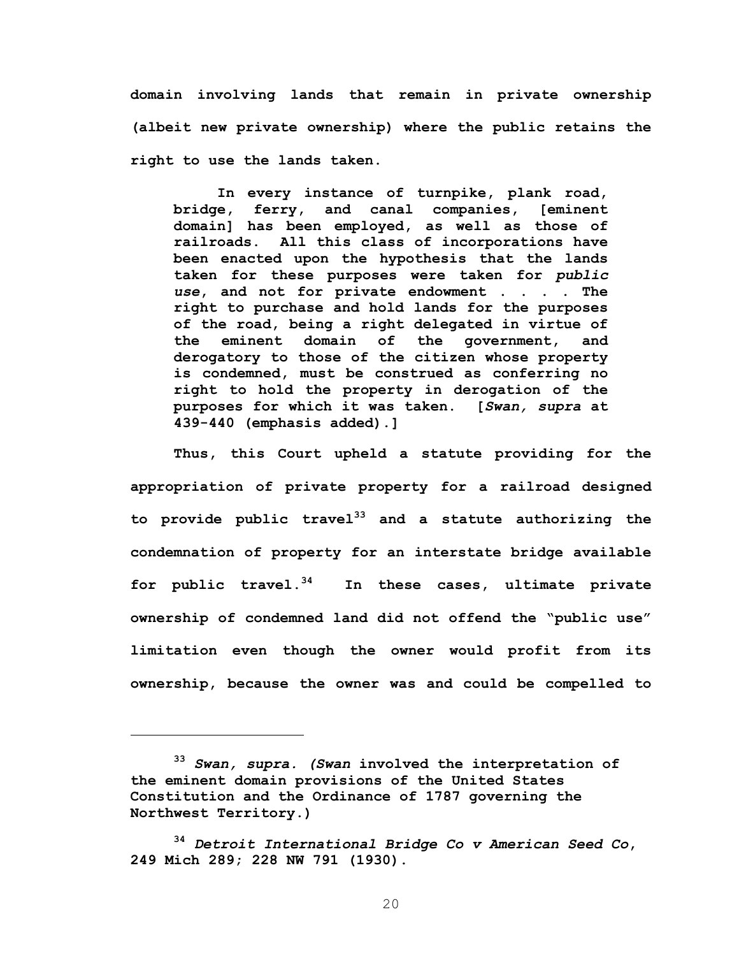**domain involving lands that remain in private ownership (albeit new private ownership) where the public retains the right to use the lands taken.** 

**In every instance of turnpike, plank road, bridge, ferry, and canal companies, [eminent domain] has been employed, as well as those of railroads. All this class of incorporations have been enacted upon the hypothesis that the lands taken for these purposes were taken for** *public use***, and not for private endowment . . . . The right to purchase and hold lands for the purposes of the road, being a right delegated in virtue of the eminent domain of the government, and derogatory to those of the citizen whose property is condemned, must be construed as conferring no right to hold the property in derogation of the purposes for which it was taken. [***Swan, supra* **at 439-440 (emphasis added).]** 

**Thus, this Court upheld a statute providing for the appropriation of private property for a railroad designed to provide public travel33 and a statute authorizing the condemnation of property for an interstate bridge available for public travel.34 In these cases, ultimate private ownership of condemned land did not offend the "public use" limitation even though the owner would profit from its ownership, because the owner was and could be compelled to** 

 $\overline{a}$ 

**<sup>33</sup>** *Swan, supra. (Swan* **involved the interpretation of the eminent domain provisions of the United States Constitution and the Ordinance of 1787 governing the Northwest Territory.)**

**<sup>34</sup>** *Detroit International Bridge Co v American Seed Co***, 249 Mich 289; 228 NW 791 (1930).**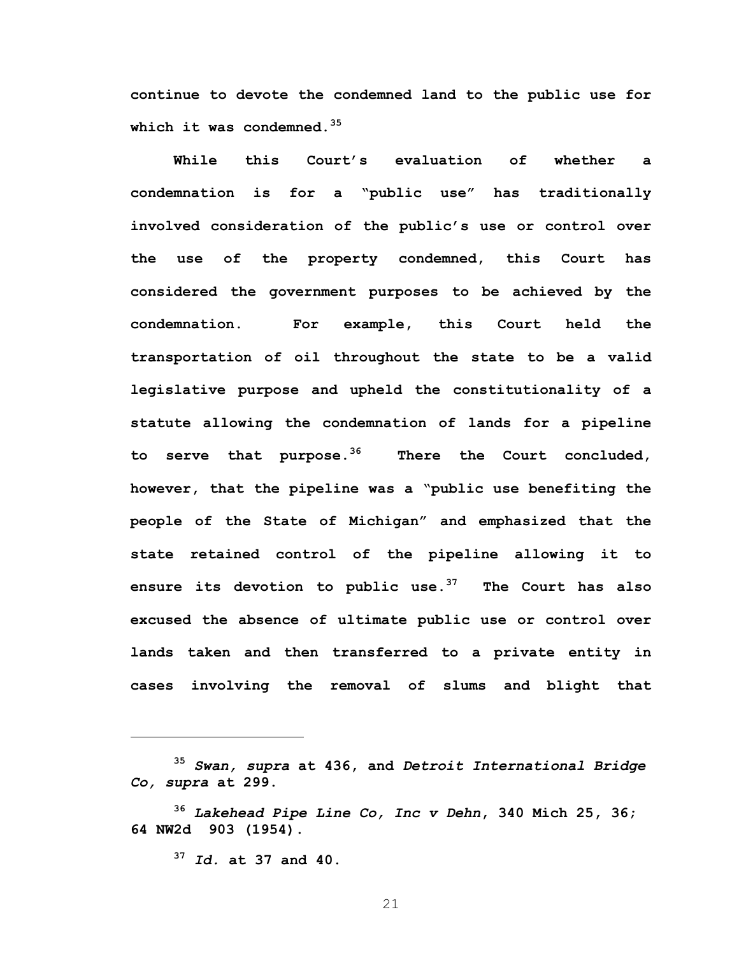**continue to devote the condemned land to the public use for which it was condemned.<sup>35</sup>**

**While this Court's evaluation of whether a condemnation is for a "public use" has traditionally involved consideration of the public's use or control over the use of the property condemned, this Court has considered the government purposes to be achieved by the condemnation. For example, this Court held the transportation of oil throughout the state to be a valid legislative purpose and upheld the constitutionality of a statute allowing the condemnation of lands for a pipeline to serve that purpose.36 There the Court concluded, however, that the pipeline was a "public use benefiting the people of the State of Michigan" and emphasized that the state retained control of the pipeline allowing it to ensure its devotion to public use.37 The Court has also excused the absence of ultimate public use or control over lands taken and then transferred to a private entity in cases involving the removal of slums and blight that** 

**<sup>37</sup>** *Id.* **at 37 and 40.** 

 $\overline{a}$ 

**<sup>35</sup>** *Swan, supra* **at 436, and** *Detroit International Bridge Co, supra* **at 299.** 

**<sup>36</sup>** *Lakehead Pipe Line Co, Inc v Dehn***, 340 Mich 25, 36; 64 NW2d 903 (1954).**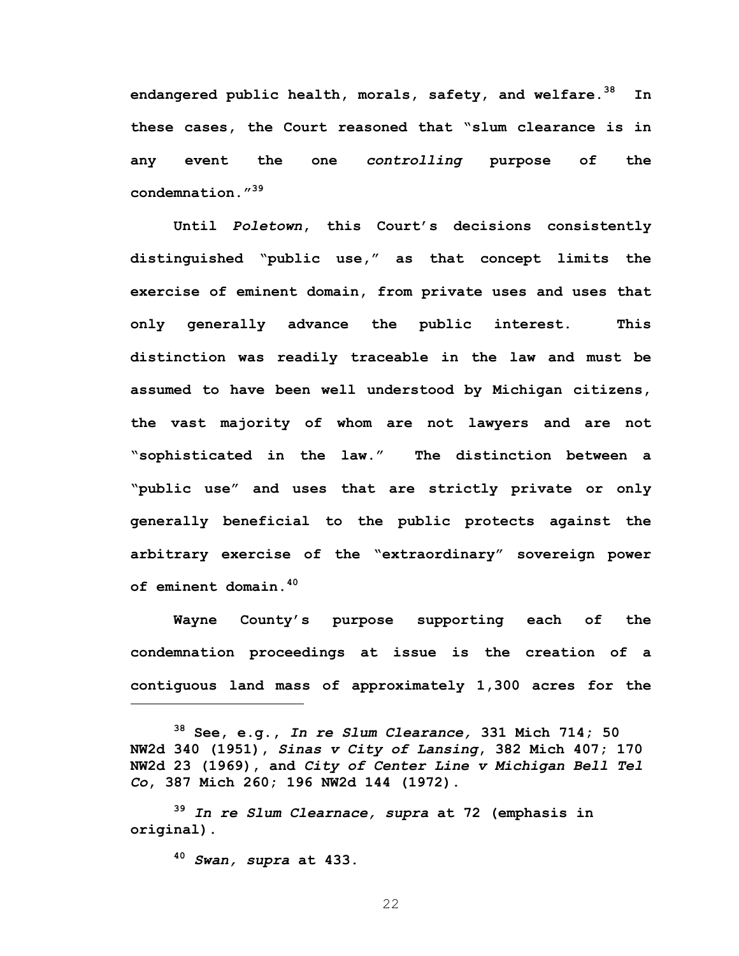**endangered public health, morals, safety, and welfare.38 In these cases, the Court reasoned that "slum clearance is in any event the one** *controlling* **purpose of the condemnation."39** 

**Until** *Poletown***, this Court's decisions consistently distinguished "public use," as that concept limits the exercise of eminent domain, from private uses and uses that only generally advance the public interest. This distinction was readily traceable in the law and must be assumed to have been well understood by Michigan citizens, the vast majority of whom are not lawyers and are not "sophisticated in the law." The distinction between a "public use" and uses that are strictly private or only generally beneficial to the public protects against the arbitrary exercise of the "extraordinary" sovereign power of eminent domain.40** 

**Wayne County's purpose supporting each of the condemnation proceedings at issue is the creation of a contiguous land mass of approximately 1,300 acres for the** 

**38 See, e.g.,** *In re Slum Clearance,* **331 Mich 714; 50 NW2d 340 (1951),** *Sinas v City of Lansing***, 382 Mich 407; 170 NW2d 23 (1969), and** *City of Center Line v Michigan Bell Tel Co***, 387 Mich 260; 196 NW2d 144 (1972).** 

**<sup>39</sup>** *In re Slum Clearnace, supra* **at 72 (emphasis in original).** 

**<sup>40</sup>** *Swan, supra* **at 433.** 

<u>.</u>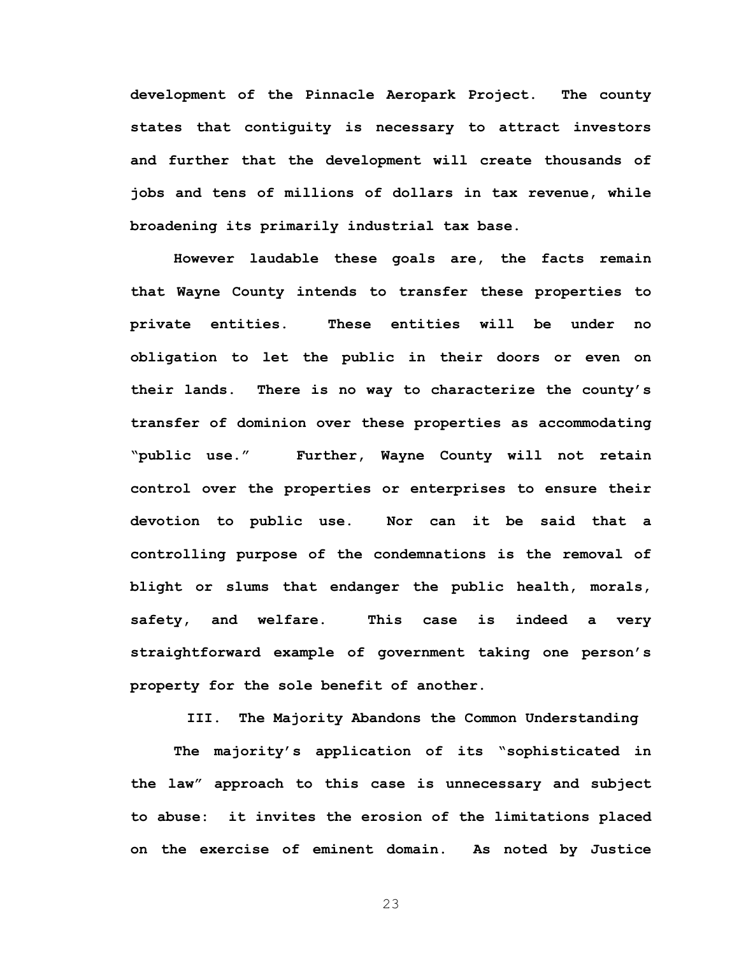**development of the Pinnacle Aeropark Project. The county states that contiguity is necessary to attract investors and further that the development will create thousands of jobs and tens of millions of dollars in tax revenue, while broadening its primarily industrial tax base.** 

**However laudable these goals are, the facts remain that Wayne County intends to transfer these properties to private entities. These entities will be under no obligation to let the public in their doors or even on their lands. There is no way to characterize the county's transfer of dominion over these properties as accommodating "public use." Further, Wayne County will not retain control over the properties or enterprises to ensure their devotion to public use. Nor can it be said that a controlling purpose of the condemnations is the removal of blight or slums that endanger the public health, morals, safety, and welfare. This case is indeed a very straightforward example of government taking one person's property for the sole benefit of another.** 

**III. The Majority Abandons the Common Understanding** 

**The majority's application of its "sophisticated in the law" approach to this case is unnecessary and subject to abuse: it invites the erosion of the limitations placed on the exercise of eminent domain. As noted by Justice**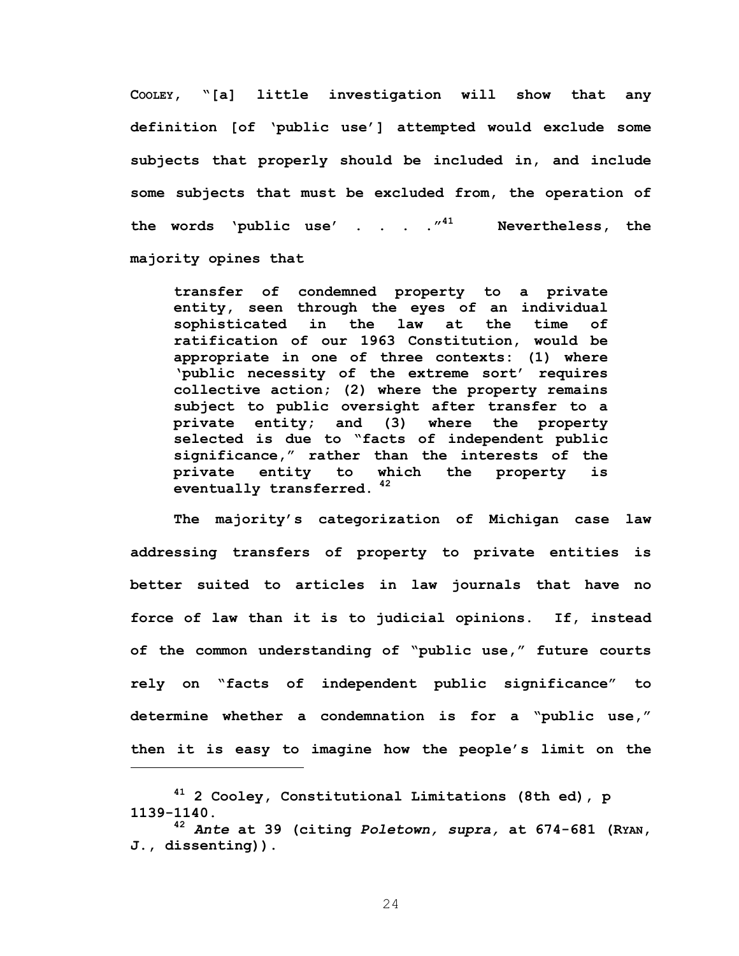**COOLEY, "[a] little investigation will show that any definition [of 'public use'] attempted would exclude some subjects that properly should be included in, and include some subjects that must be excluded from, the operation of the words 'public use' . . . ."41 Nevertheless, the majority opines that** 

**transfer of condemned property to a private entity, seen through the eyes of an individual sophisticated in the law at the time of ratification of our 1963 Constitution, would be appropriate in one of three contexts: (1) where 'public necessity of the extreme sort' requires collective action; (2) where the property remains subject to public oversight after transfer to a private entity; and (3) where the property selected is due to "facts of independent public significance," rather than the interests of the private entity to which the property is eventually transferred.<sup>42</sup>**

**The majority's categorization of Michigan case law addressing transfers of property to private entities is better suited to articles in law journals that have no force of law than it is to judicial opinions. If, instead of the common understanding of "public use," future courts rely on "facts of independent public significance" to determine whether a condemnation is for a "public use," then it is easy to imagine how the people's limit on the** 

 $\overline{a}$ 

**<sup>41 2</sup> Cooley, Constitutional Limitations (8th ed), p 1139-1140.** 

**<sup>42</sup>** *Ante* **at 39 (citing** *Poletown, supra,* **at 674-681 (RYAN, J., dissenting)).**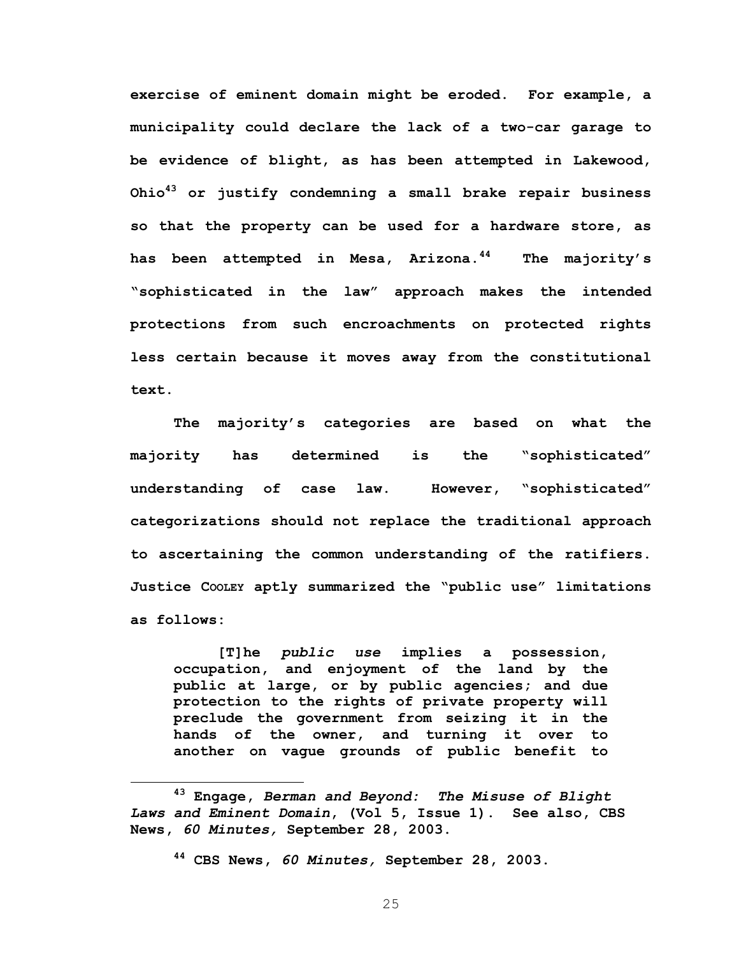**exercise of eminent domain might be eroded. For example, a municipality could declare the lack of a two-car garage to be evidence of blight, as has been attempted in Lakewood, Ohio43 or justify condemning a small brake repair business so that the property can be used for a hardware store, as has been attempted in Mesa, Arizona.44 The majority's "sophisticated in the law" approach makes the intended protections from such encroachments on protected rights less certain because it moves away from the constitutional text.** 

**The majority's categories are based on what the majority has determined is the "sophisticated" understanding of case law. However, "sophisticated" categorizations should not replace the traditional approach to ascertaining the common understanding of the ratifiers. Justice COOLEY aptly summarized the "public use" limitations as follows:** 

**[T]he** *public use* **implies a possession, occupation, and enjoyment of the land by the public at large, or by public agencies; and due protection to the rights of private property will preclude the government from seizing it in the hands of the owner, and turning it over to another on vague grounds of public benefit to** 

**43 Engage,** *Berman and Beyond: The Misuse of Blight Laws and Eminent Domain***, (Vol 5, Issue 1). See also, CBS News,** *60 Minutes,* **September 28, 2003.** 

**<sup>44</sup> CBS News,** *60 Minutes,* **September 28, 2003.**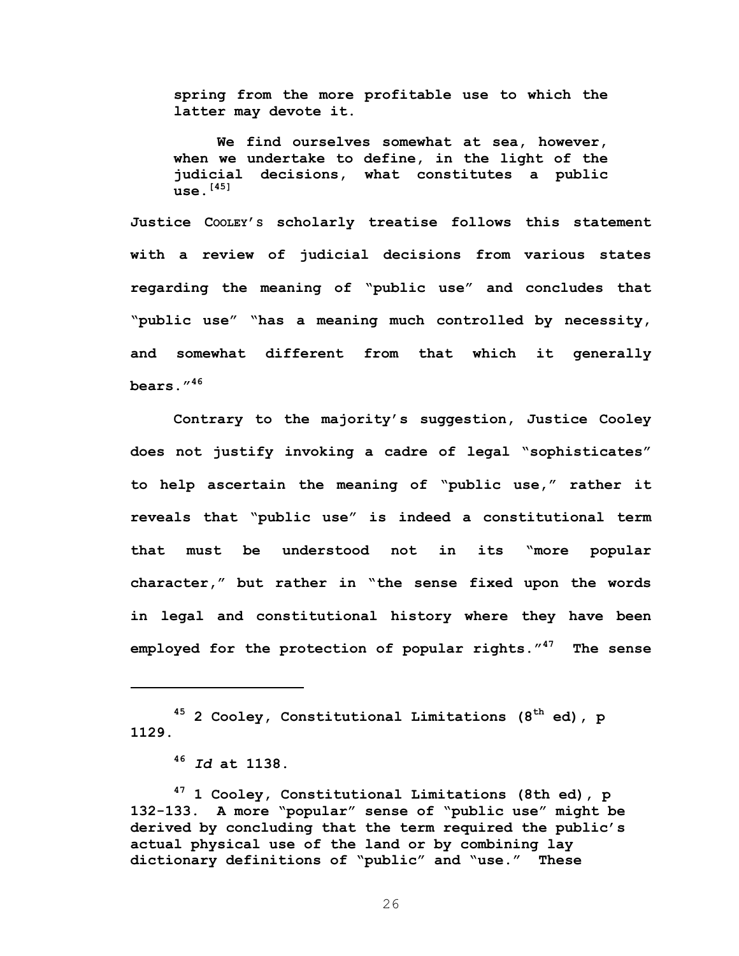**spring from the more profitable use to which the latter may devote it.** 

**We find ourselves somewhat at sea, however, when we undertake to define, in the light of the judicial decisions, what constitutes a public use.[45]**

**Justice COOLEY'S scholarly treatise follows this statement with a review of judicial decisions from various states regarding the meaning of "public use" and concludes that "public use" "has a meaning much controlled by necessity, and somewhat different from that which it generally bears."46** 

**Contrary to the majority's suggestion, Justice Cooley does not justify invoking a cadre of legal "sophisticates" to help ascertain the meaning of "public use," rather it reveals that "public use" is indeed a constitutional term that must be understood not in its "more popular character," but rather in "the sense fixed upon the words in legal and constitutional history where they have been employed for the protection of popular rights."47 The sense** 

<sup>45</sup> 2 Cooley, Constitutional Limitations (8<sup>th</sup> ed), p **1129.** 

 $\overline{a}$ 

**47 1 Cooley, Constitutional Limitations (8th ed), p 132-133. A more "popular" sense of "public use" might be derived by concluding that the term required the public's actual physical use of the land or by combining lay dictionary definitions of "public" and "use." These** 

**<sup>46</sup>** *Id* **at 1138.**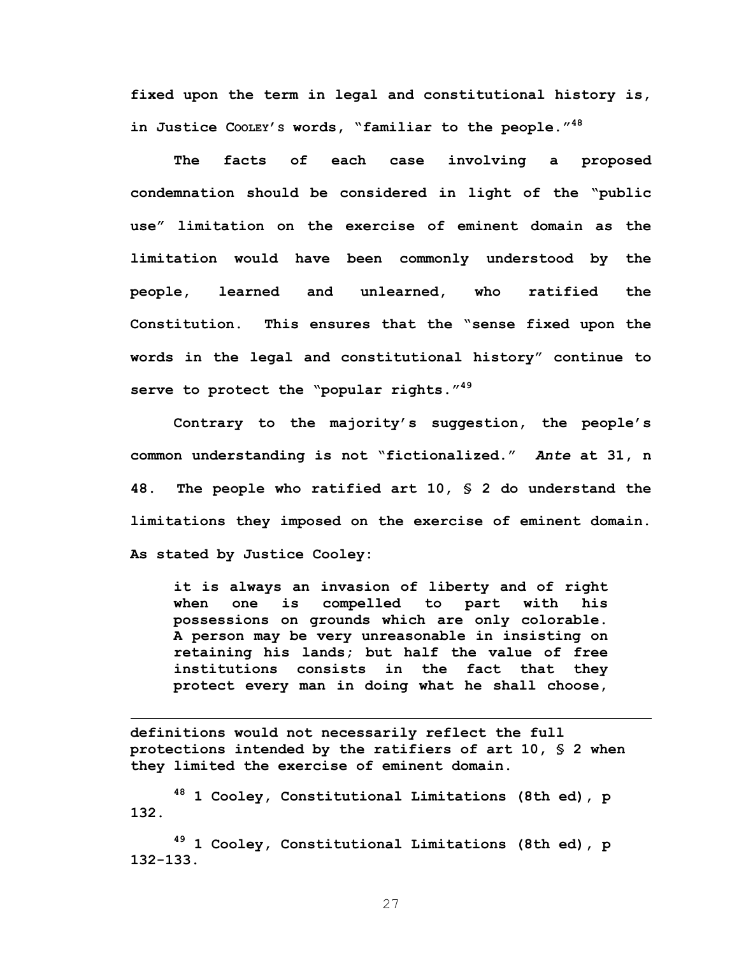**fixed upon the term in legal and constitutional history is, in Justice COOLEY'S words, "familiar to the people."48** 

**The facts of each case involving a proposed condemnation should be considered in light of the "public use" limitation on the exercise of eminent domain as the limitation would have been commonly understood by the people, learned and unlearned, who ratified the Constitution. This ensures that the "sense fixed upon the words in the legal and constitutional history" continue to serve to protect the "popular rights."49** 

**Contrary to the majority's suggestion, the people's common understanding is not "fictionalized."** *Ante* **at 31, n 48. The people who ratified art 10, § 2 do understand the limitations they imposed on the exercise of eminent domain. As stated by Justice Cooley:** 

**it is always an invasion of liberty and of right when one is compelled to part with his possessions on grounds which are only colorable. A person may be very unreasonable in insisting on retaining his lands; but half the value of free institutions consists in the fact that they protect every man in doing what he shall choose,** 

**definitions would not necessarily reflect the full protections intended by the ratifiers of art 10, § 2 when they limited the exercise of eminent domain.** 

 $\overline{a}$ 

**48 1 Cooley, Constitutional Limitations (8th ed), p 132.** 

**49 1 Cooley, Constitutional Limitations (8th ed), p 132-133.**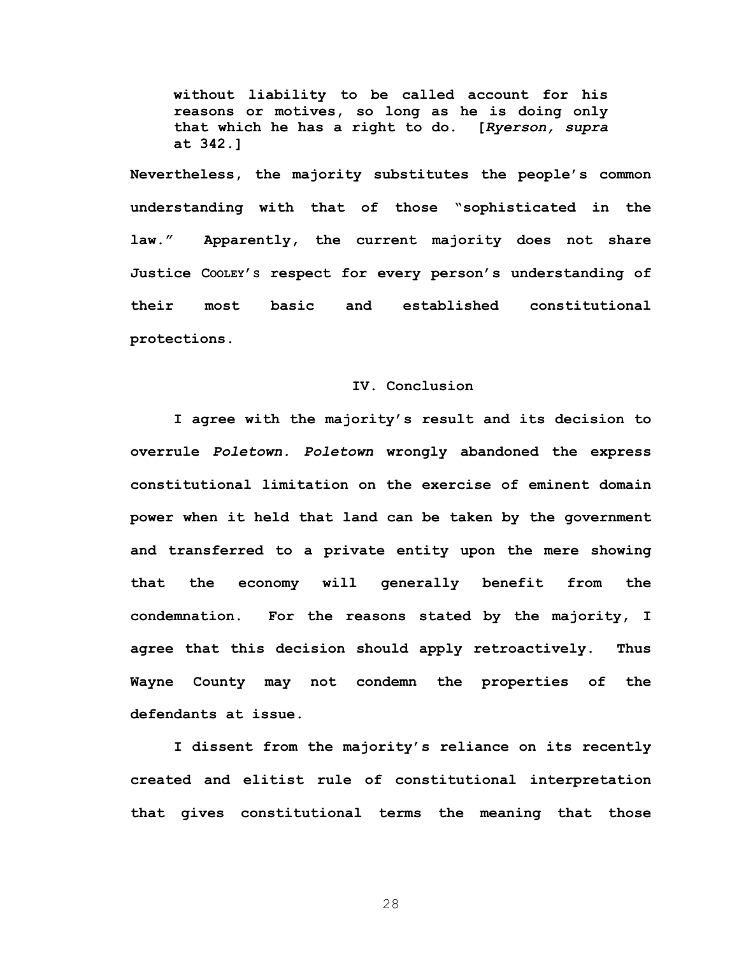**without liability to be called account for his reasons or motives, so long as he is doing only that which he has a right to do. [***Ryerson, supra*  **at 342.]** 

**Nevertheless, the majority substitutes the people's common understanding with that of those "sophisticated in the law." Apparently, the current majority does not share Justice COOLEY'S respect for every person's understanding of their most basic and established constitutional protections.** 

## **IV. Conclusion**

**I agree with the majority's result and its decision to overrule** *Poletown. Poletown* **wrongly abandoned the express constitutional limitation on the exercise of eminent domain power when it held that land can be taken by the government and transferred to a private entity upon the mere showing that the economy will generally benefit from the condemnation. For the reasons stated by the majority, I agree that this decision should apply retroactively. Thus Wayne County may not condemn the properties of the defendants at issue.** 

**I dissent from the majority's reliance on its recently created and elitist rule of constitutional interpretation that gives constitutional terms the meaning that those**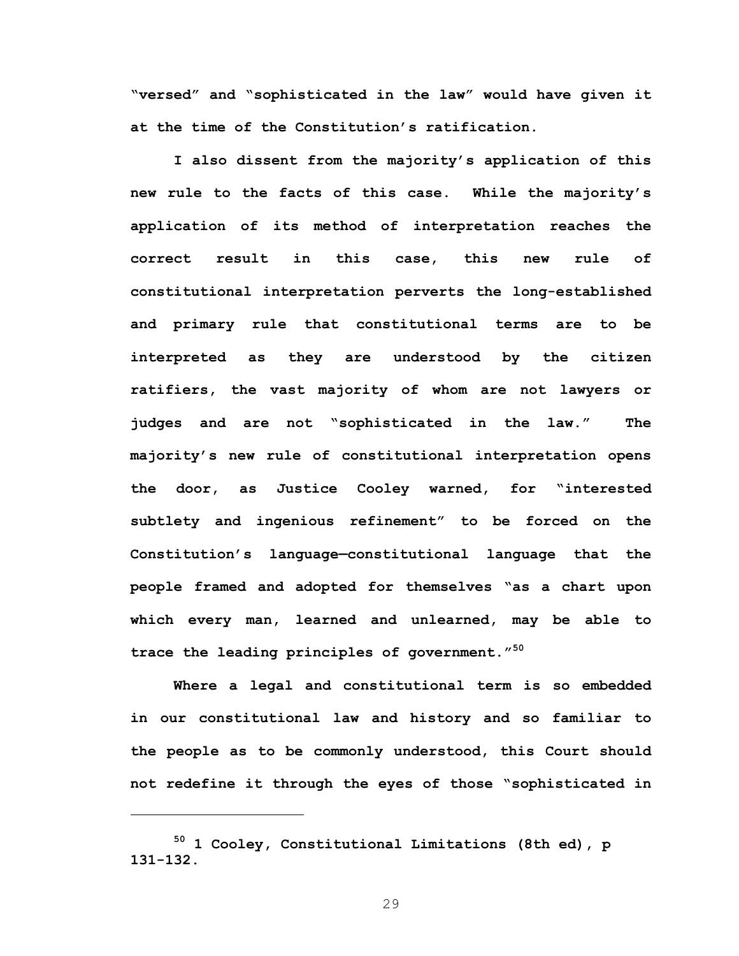**"versed" and "sophisticated in the law" would have given it at the time of the Constitution's ratification.** 

**I also dissent from the majority's application of this new rule to the facts of this case. While the majority's application of its method of interpretation reaches the correct result in this case, this new rule of constitutional interpretation perverts the long-established and primary rule that constitutional terms are to be interpreted as they are understood by the citizen ratifiers, the vast majority of whom are not lawyers or judges and are not "sophisticated in the law." The majority's new rule of constitutional interpretation opens the door, as Justice Cooley warned, for "interested subtlety and ingenious refinement" to be forced on the Constitution's language—constitutional language that the people framed and adopted for themselves "as a chart upon which every man, learned and unlearned, may be able to trace the leading principles of government."<sup>50</sup>**

**Where a legal and constitutional term is so embedded in our constitutional law and history and so familiar to the people as to be commonly understood, this Court should not redefine it through the eyes of those "sophisticated in** 

**<sup>50 1</sup> Cooley, Constitutional Limitations (8th ed), p 131-132.**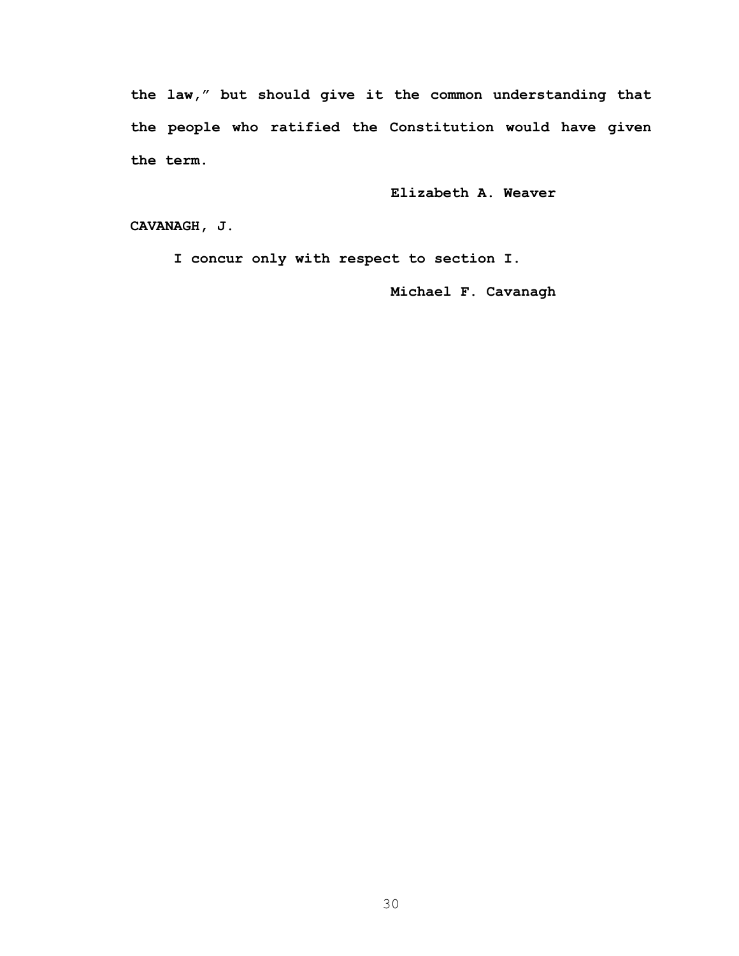**the law," but should give it the common understanding that the people who ratified the Constitution would have given the term.** 

**Elizabeth A. Weaver** 

**CAVANAGH, J.** 

 **I concur only with respect to section I.** 

**Michael F. Cavanagh**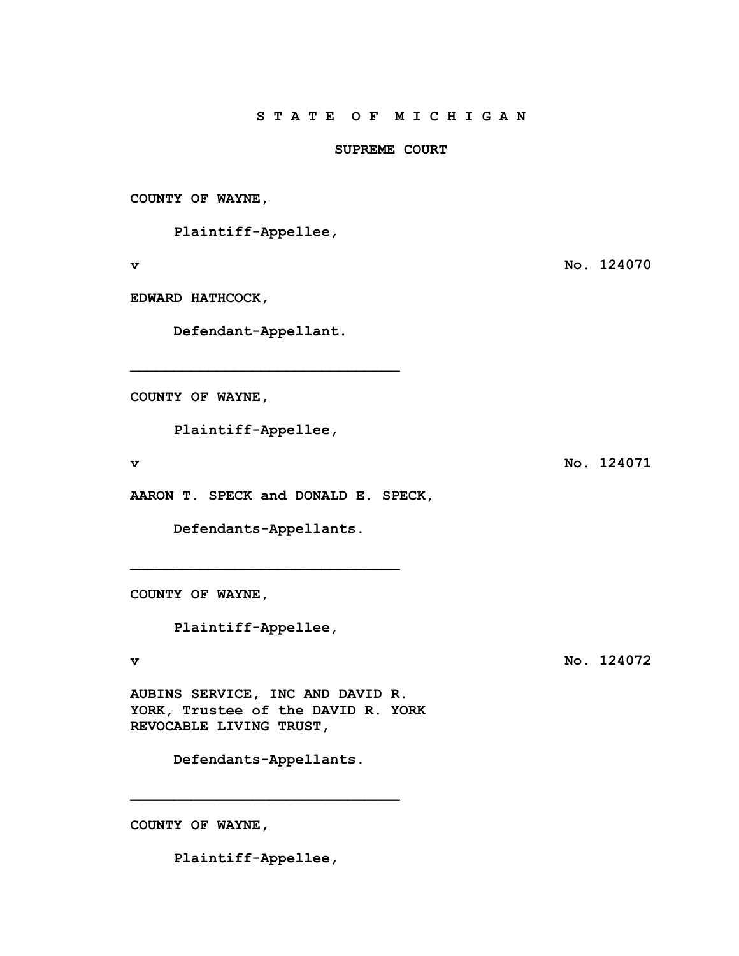## **SUPREME COURT**

**COUNTY OF WAYNE,** 

 **Plaintiff-Appellee,** 

**v No. 124070** 

**EDWARD HATHCOCK,** 

 **Defendant-Appellant.** 

**\_\_\_\_\_\_\_\_\_\_\_\_\_\_\_\_\_\_\_\_\_\_\_\_\_\_\_\_\_\_\_** 

**COUNTY OF WAYNE,** 

 **Plaintiff-Appellee,** 

**v** No. 124071

**AARON T. SPECK and DONALD E. SPECK,** 

 **Defendants-Appellants.** 

**\_\_\_\_\_\_\_\_\_\_\_\_\_\_\_\_\_\_\_\_\_\_\_\_\_\_\_\_\_\_\_** 

**COUNTY OF WAYNE,** 

 **Plaintiff-Appellee,** 

**v** No. 124072

**AUBINS SERVICE, INC AND DAVID R. YORK, Trustee of the DAVID R. YORK REVOCABLE LIVING TRUST,** 

 **Defendants-Appellants.** 

**\_\_\_\_\_\_\_\_\_\_\_\_\_\_\_\_\_\_\_\_\_\_\_\_\_\_\_\_\_\_\_** 

**COUNTY OF WAYNE,** 

 **Plaintiff-Appellee,**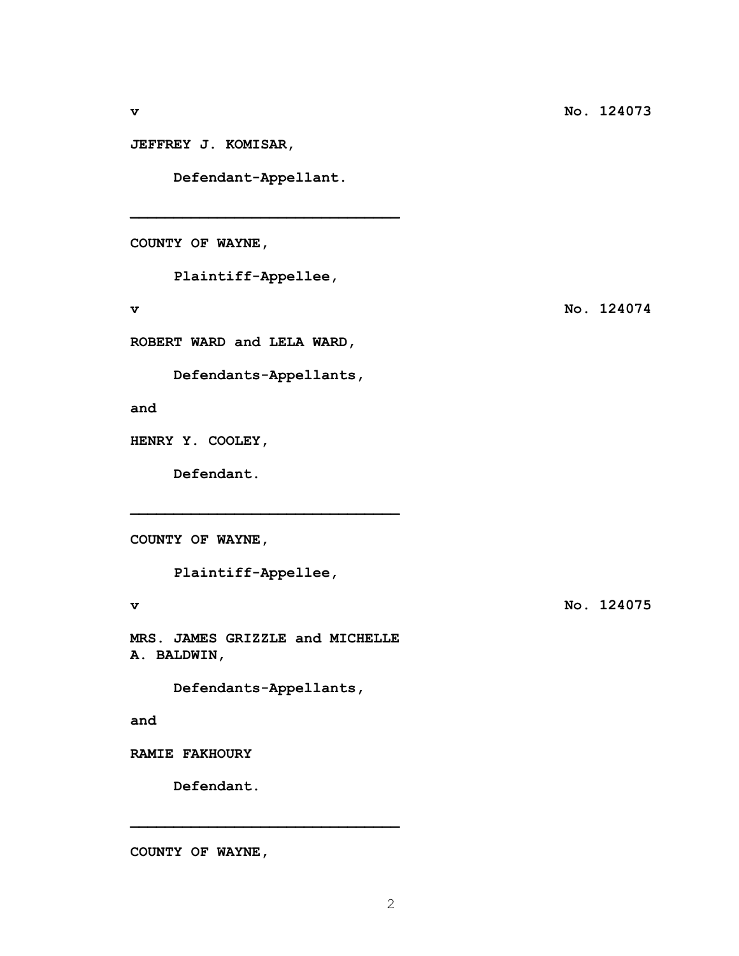**JEFFREY J. KOMISAR,** 

 **Defendant-Appellant.** 

**\_\_\_\_\_\_\_\_\_\_\_\_\_\_\_\_\_\_\_\_\_\_\_\_\_\_\_\_\_\_\_** 

**COUNTY OF WAYNE,** 

 **Plaintiff-Appellee,** 

**v** No. 124074

**ROBERT WARD and LELA WARD,** 

 **Defendants-Appellants,** 

**and** 

**HENRY Y. COOLEY,** 

**Defendant.** 

**COUNTY OF WAYNE,** 

 **Plaintiff-Appellee,** 

**\_\_\_\_\_\_\_\_\_\_\_\_\_\_\_\_\_\_\_\_\_\_\_\_\_\_\_\_\_\_\_** 

**v No. 124075** 

**MRS. JAMES GRIZZLE and MICHELLE A. BALDWIN,** 

 **Defendants-Appellants,** 

**\_\_\_\_\_\_\_\_\_\_\_\_\_\_\_\_\_\_\_\_\_\_\_\_\_\_\_\_\_\_\_** 

**and** 

**RAMIE FAKHOURY** 

 **Defendant.** 

**COUNTY OF WAYNE,**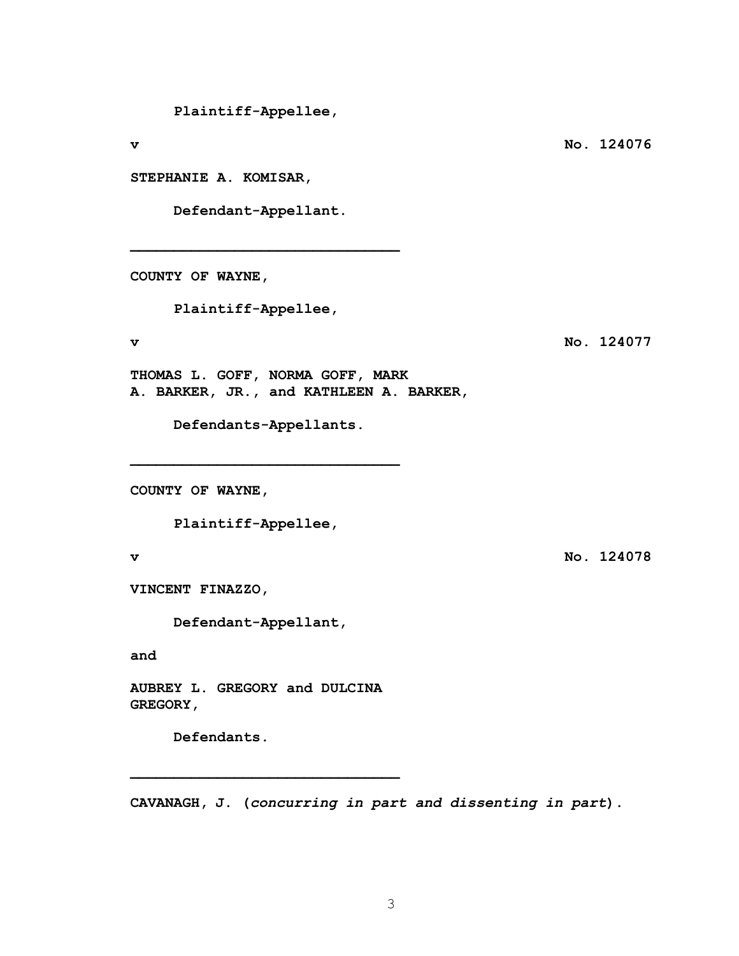**Plaintiff-Appellee,** 

**STEPHANIE A. KOMISAR,** 

 **Defendant-Appellant.** 

**\_\_\_\_\_\_\_\_\_\_\_\_\_\_\_\_\_\_\_\_\_\_\_\_\_\_\_\_\_\_\_** 

**COUNTY OF WAYNE,** 

 **Plaintiff-Appellee,** 

**v** No. 124077

**THOMAS L. GOFF, NORMA GOFF, MARK A. BARKER, JR., and KATHLEEN A. BARKER,** 

**\_\_\_\_\_\_\_\_\_\_\_\_\_\_\_\_\_\_\_\_\_\_\_\_\_\_\_\_\_\_\_** 

 **Defendants-Appellants.** 

**COUNTY OF WAYNE,** 

 **Plaintiff-Appellee,** 

**v** No. 124078

**VINCENT FINAZZO,** 

 **Defendant-Appellant,** 

**and** 

**AUBREY L. GREGORY and DULCINA GREGORY,** 

**\_\_\_\_\_\_\_\_\_\_\_\_\_\_\_\_\_\_\_\_\_\_\_\_\_\_\_\_\_\_\_** 

**Defendants.** 

**CAVANAGH, J. (***concurring in part and dissenting in part***).** 

**v** No. 124076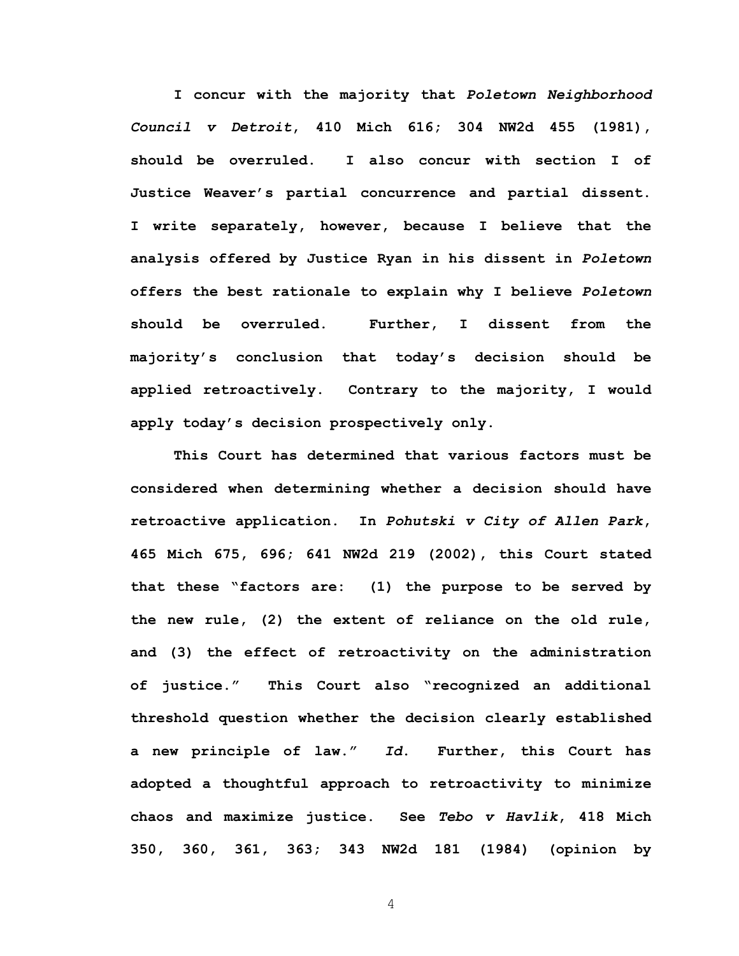**I concur with the majority that** *Poletown Neighborhood Council v Detroit***, 410 Mich 616; 304 NW2d 455 (1981), should be overruled. I also concur with section I of Justice Weaver's partial concurrence and partial dissent. I write separately, however, because I believe that the analysis offered by Justice Ryan in his dissent in** *Poletown* **offers the best rationale to explain why I believe** *Poletown* **should be overruled. Further, I dissent from the majority's conclusion that today's decision should be applied retroactively. Contrary to the majority, I would apply today's decision prospectively only.** 

**This Court has determined that various factors must be considered when determining whether a decision should have retroactive application. In** *Pohutski v City of Allen Park***, 465 Mich 675, 696; 641 NW2d 219 (2002), this Court stated that these "factors are: (1) the purpose to be served by the new rule, (2) the extent of reliance on the old rule, and (3) the effect of retroactivity on the administration of justice." This Court also "recognized an additional threshold question whether the decision clearly established a new principle of law."** *Id***. Further, this Court has adopted a thoughtful approach to retroactivity to minimize chaos and maximize justice. See** *Tebo v Havlik***, 418 Mich 350, 360, 361, 363; 343 NW2d 181 (1984) (opinion by**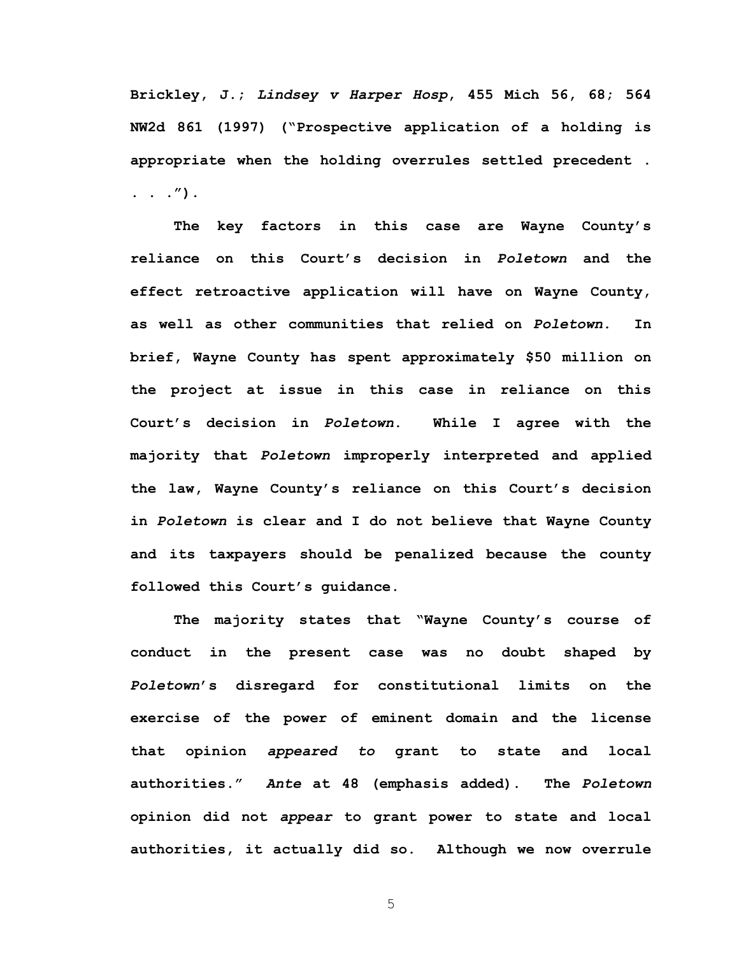**Brickley, J.;** *Lindsey v Harper Hosp***, 455 Mich 56, 68; 564 NW2d 861 (1997) ("Prospective application of a holding is appropriate when the holding overrules settled precedent . . . .").** 

**The key factors in this case are Wayne County's reliance on this Court's decision in** *Poletown* **and the effect retroactive application will have on Wayne County, as well as other communities that relied on** *Poletown***. In brief, Wayne County has spent approximately \$50 million on the project at issue in this case in reliance on this Court's decision in** *Poletown***. While I agree with the majority that** *Poletown* **improperly interpreted and applied the law, Wayne County's reliance on this Court's decision in** *Poletown* **is clear and I do not believe that Wayne County and its taxpayers should be penalized because the county followed this Court's guidance.** 

**The majority states that "Wayne County's course of conduct in the present case was no doubt shaped by**  *Poletown***'s disregard for constitutional limits on the exercise of the power of eminent domain and the license that opinion** *appeared to* **grant to state and local authorities."** *Ante* **at 48 (emphasis added). The** *Poletown* **opinion did not** *appear* **to grant power to state and local authorities, it actually did so. Although we now overrule**